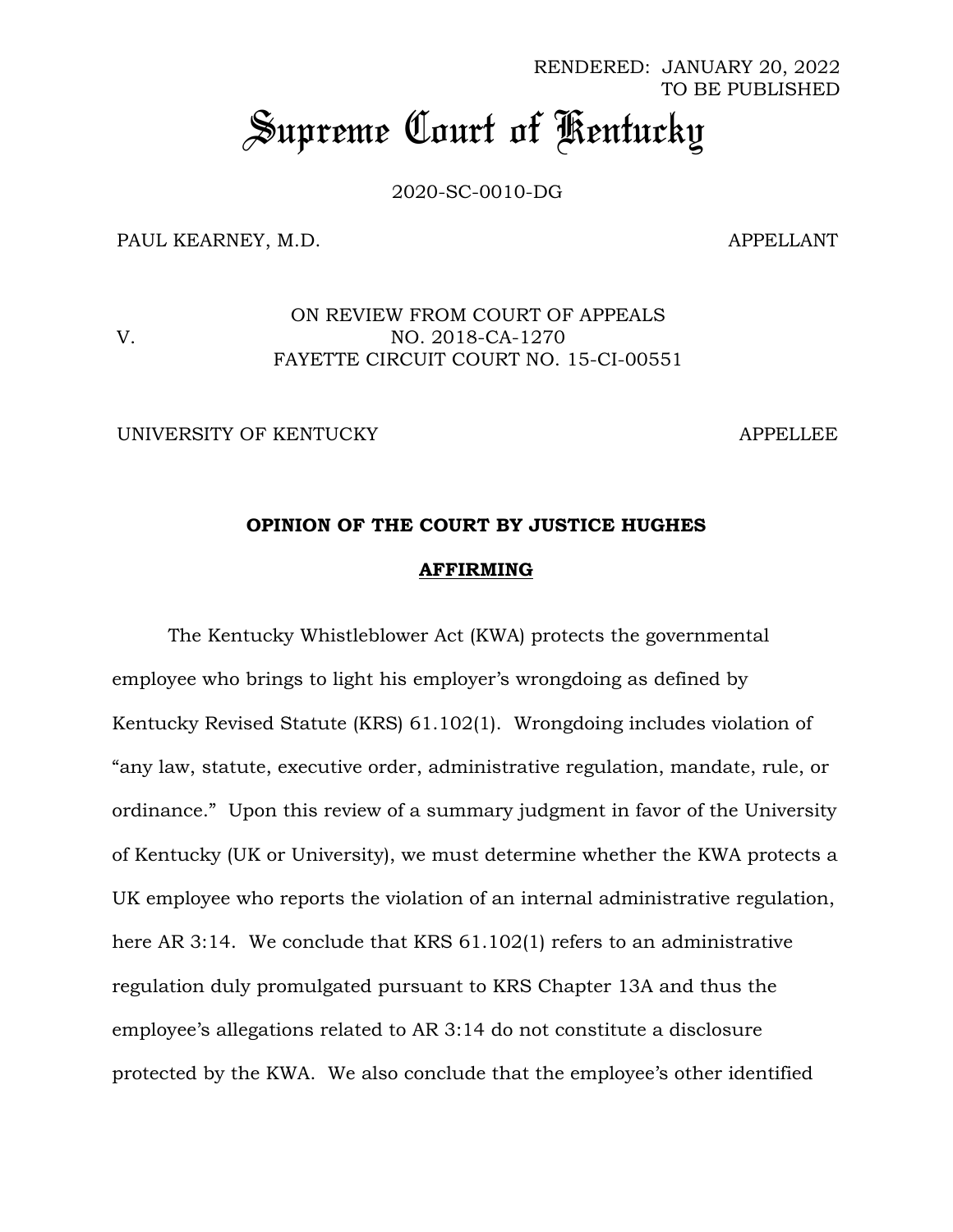RENDERED: JANUARY 20, 2022 TO BE PUBLISHED

# *Supreme Court of Kentucky*

2020-SC-0010-DG

PAUL KEARNEY, M.D. APPELLANT

V.

ON REVIEW FROM COURT OF APPEALS NO. 2018-CA-1270 FAYETTE CIRCUIT COURT NO. 15-CI-00551

UNIVERSITY OF KENTUCKY APPELLEE

## **OPINION OF THE COURT BY JUSTICE HUGHES**

#### **AFFIRMING**

The Kentucky Whistleblower Act (KWA) protects the governmental employee who brings to light his employer's wrongdoing as defined by Kentucky Revised Statute (KRS) 61.102(1). Wrongdoing includes violation of "any law, statute, executive order, administrative regulation, mandate, rule, or ordinance." Upon this review of a summary judgment in favor of the University of Kentucky (UK or University), we must determine whether the KWA protects a UK employee who reports the violation of an internal administrative regulation, here AR 3:14. We conclude that KRS 61.102(1) refers to an administrative regulation duly promulgated pursuant to KRS Chapter 13A and thus the employee's allegations related to AR 3:14 do not constitute a disclosure protected by the KWA. We also conclude that the employee's other identified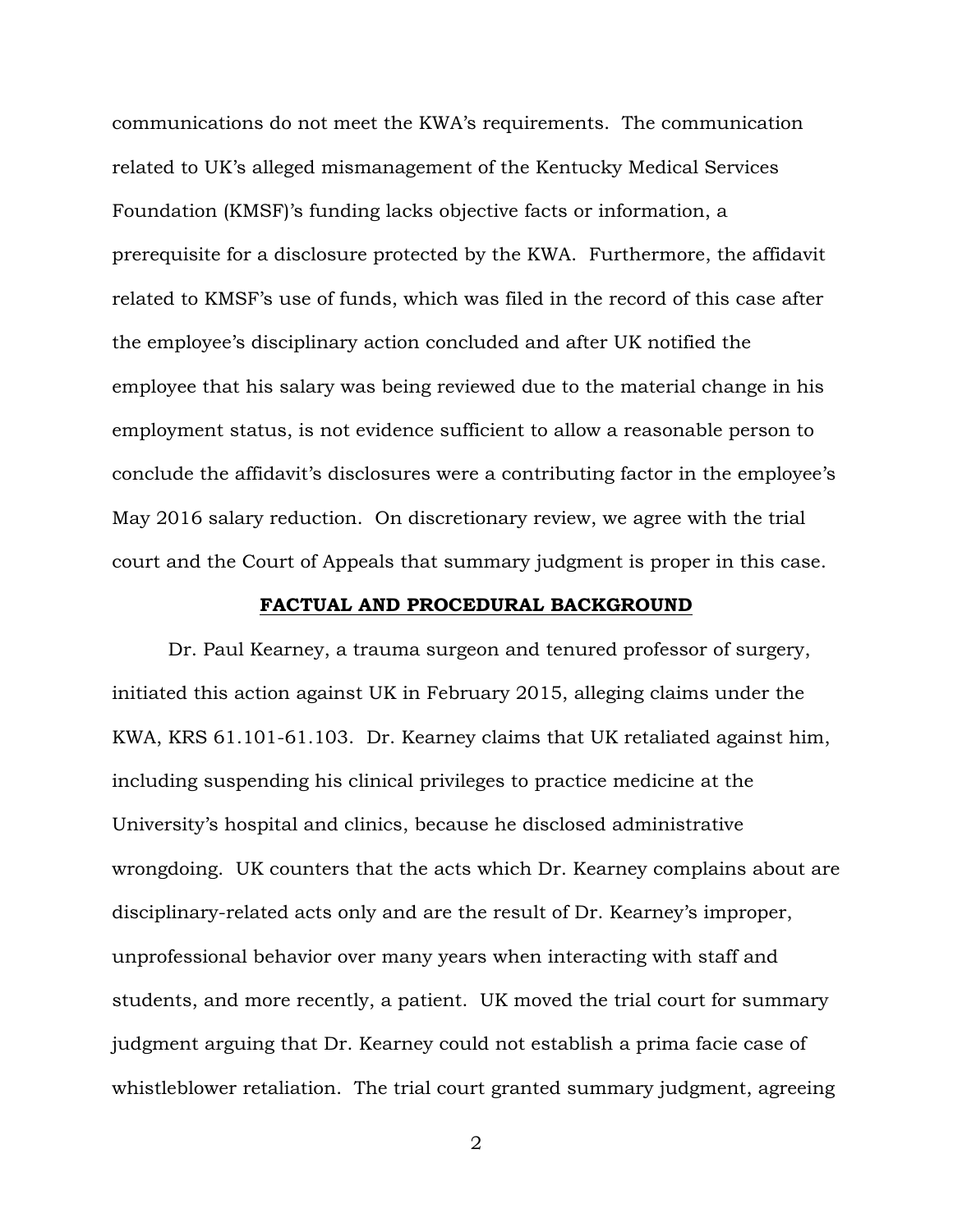communications do not meet the KWA's requirements. The communication related to UK's alleged mismanagement of the Kentucky Medical Services Foundation (KMSF)'s funding lacks objective facts or information, a prerequisite for a disclosure protected by the KWA. Furthermore, the affidavit related to KMSF's use of funds, which was filed in the record of this case after the employee's disciplinary action concluded and after UK notified the employee that his salary was being reviewed due to the material change in his employment status, is not evidence sufficient to allow a reasonable person to conclude the affidavit's disclosures were a contributing factor in the employee's May 2016 salary reduction. On discretionary review, we agree with the trial court and the Court of Appeals that summary judgment is proper in this case.

#### **FACTUAL AND PROCEDURAL BACKGROUND**

Dr. Paul Kearney, a trauma surgeon and tenured professor of surgery, initiated this action against UK in February 2015, alleging claims under the KWA, KRS 61.101-61.103. Dr. Kearney claims that UK retaliated against him, including suspending his clinical privileges to practice medicine at the University's hospital and clinics, because he disclosed administrative wrongdoing. UK counters that the acts which Dr. Kearney complains about are disciplinary-related acts only and are the result of Dr. Kearney's improper, unprofessional behavior over many years when interacting with staff and students, and more recently, a patient. UK moved the trial court for summary judgment arguing that Dr. Kearney could not establish a prima facie case of whistleblower retaliation. The trial court granted summary judgment, agreeing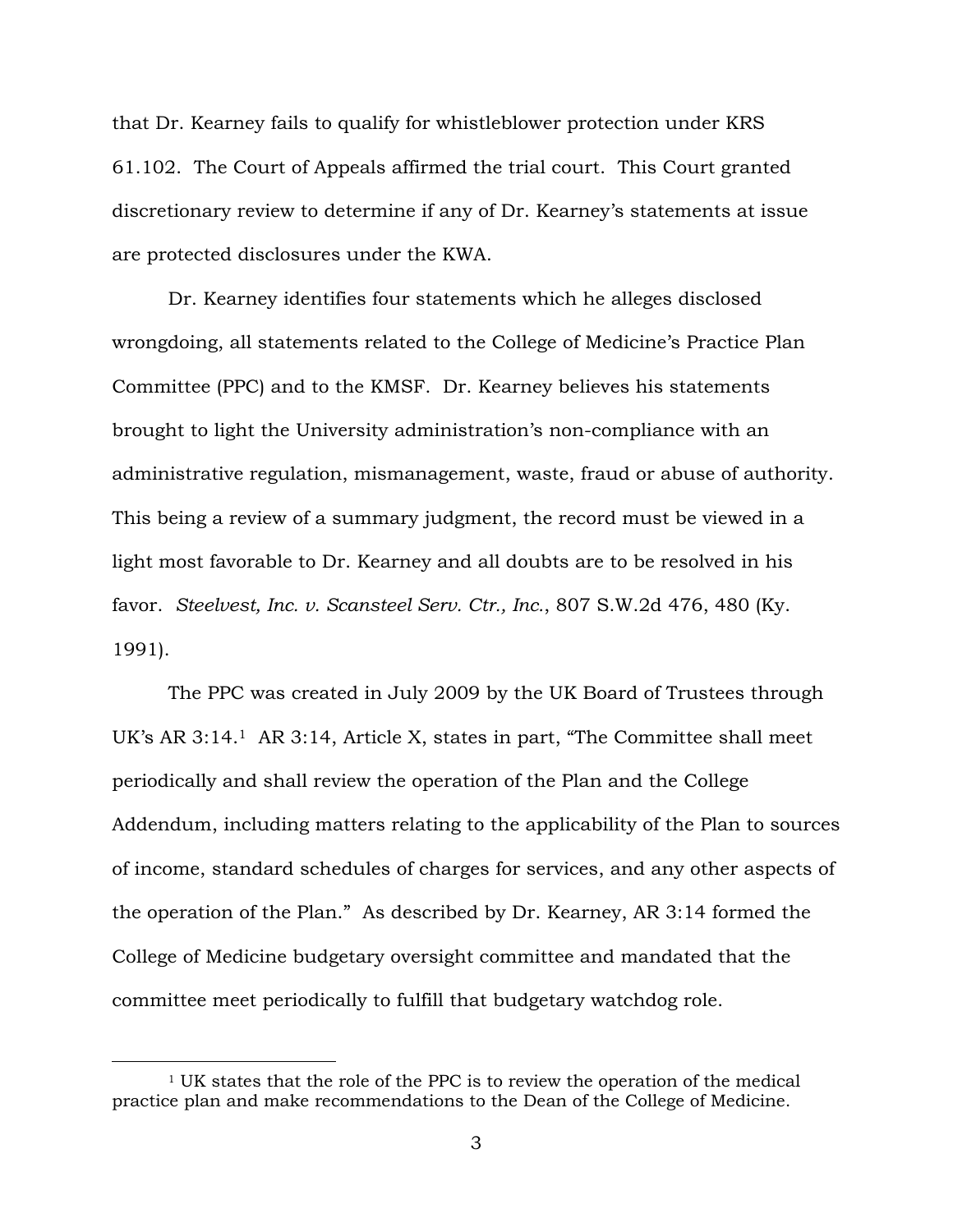that Dr. Kearney fails to qualify for whistleblower protection under KRS 61.102. The Court of Appeals affirmed the trial court. This Court granted discretionary review to determine if any of Dr. Kearney's statements at issue are protected disclosures under the KWA.

Dr. Kearney identifies four statements which he alleges disclosed wrongdoing, all statements related to the College of Medicine's Practice Plan Committee (PPC) and to the KMSF. Dr. Kearney believes his statements brought to light the University administration's non-compliance with an administrative regulation, mismanagement, waste, fraud or abuse of authority. This being a review of a summary judgment, the record must be viewed in a light most favorable to Dr. Kearney and all doubts are to be resolved in his favor. *Steelvest, Inc. v. Scansteel Serv. Ctr., Inc.*, 807 S.W.2d 476, 480 (Ky. 1991).

The PPC was created in July 2009 by the UK Board of Trustees through UK's AR 3:14.<sup>1</sup> AR 3:14, Article X, states in part, "The Committee shall meet periodically and shall review the operation of the Plan and the College Addendum, including matters relating to the applicability of the Plan to sources of income, standard schedules of charges for services, and any other aspects of the operation of the Plan." As described by Dr. Kearney, AR 3:14 formed the College of Medicine budgetary oversight committee and mandated that the committee meet periodically to fulfill that budgetary watchdog role.

<sup>1</sup> UK states that the role of the PPC is to review the operation of the medical practice plan and make recommendations to the Dean of the College of Medicine.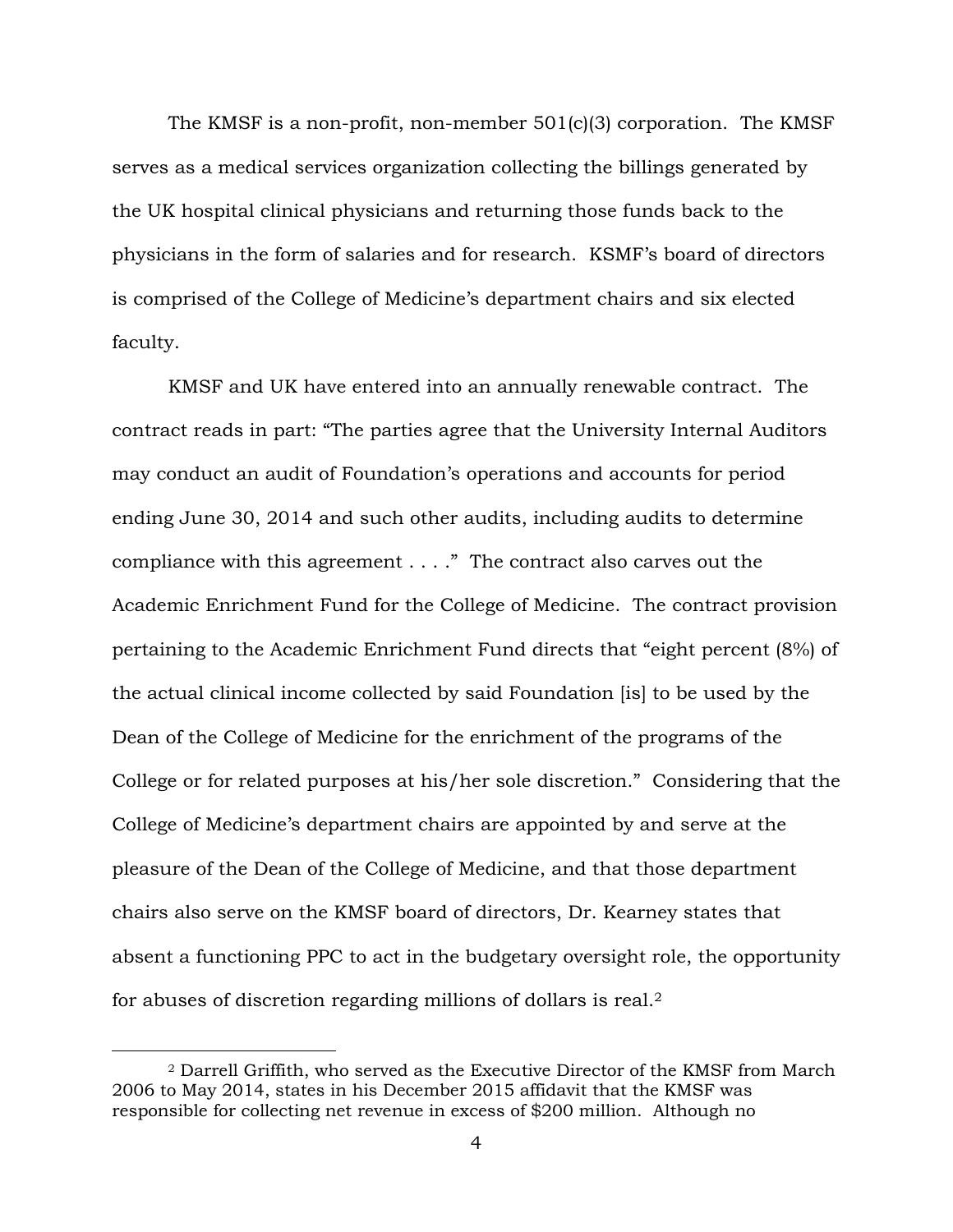The KMSF is a non-profit, non-member 501(c)(3) corporation. The KMSF serves as a medical services organization collecting the billings generated by the UK hospital clinical physicians and returning those funds back to the physicians in the form of salaries and for research. KSMF's board of directors is comprised of the College of Medicine's department chairs and six elected faculty.

KMSF and UK have entered into an annually renewable contract. The contract reads in part: "The parties agree that the University Internal Auditors may conduct an audit of Foundation's operations and accounts for period ending June 30, 2014 and such other audits, including audits to determine compliance with this agreement . . . ." The contract also carves out the Academic Enrichment Fund for the College of Medicine. The contract provision pertaining to the Academic Enrichment Fund directs that "eight percent (8%) of the actual clinical income collected by said Foundation [is] to be used by the Dean of the College of Medicine for the enrichment of the programs of the College or for related purposes at his/her sole discretion." Considering that the College of Medicine's department chairs are appointed by and serve at the pleasure of the Dean of the College of Medicine, and that those department chairs also serve on the KMSF board of directors, Dr. Kearney states that absent a functioning PPC to act in the budgetary oversight role, the opportunity for abuses of discretion regarding millions of dollars is real.<sup>2</sup>

<sup>2</sup> Darrell Griffith, who served as the Executive Director of the KMSF from March 2006 to May 2014, states in his December 2015 affidavit that the KMSF was responsible for collecting net revenue in excess of \$200 million. Although no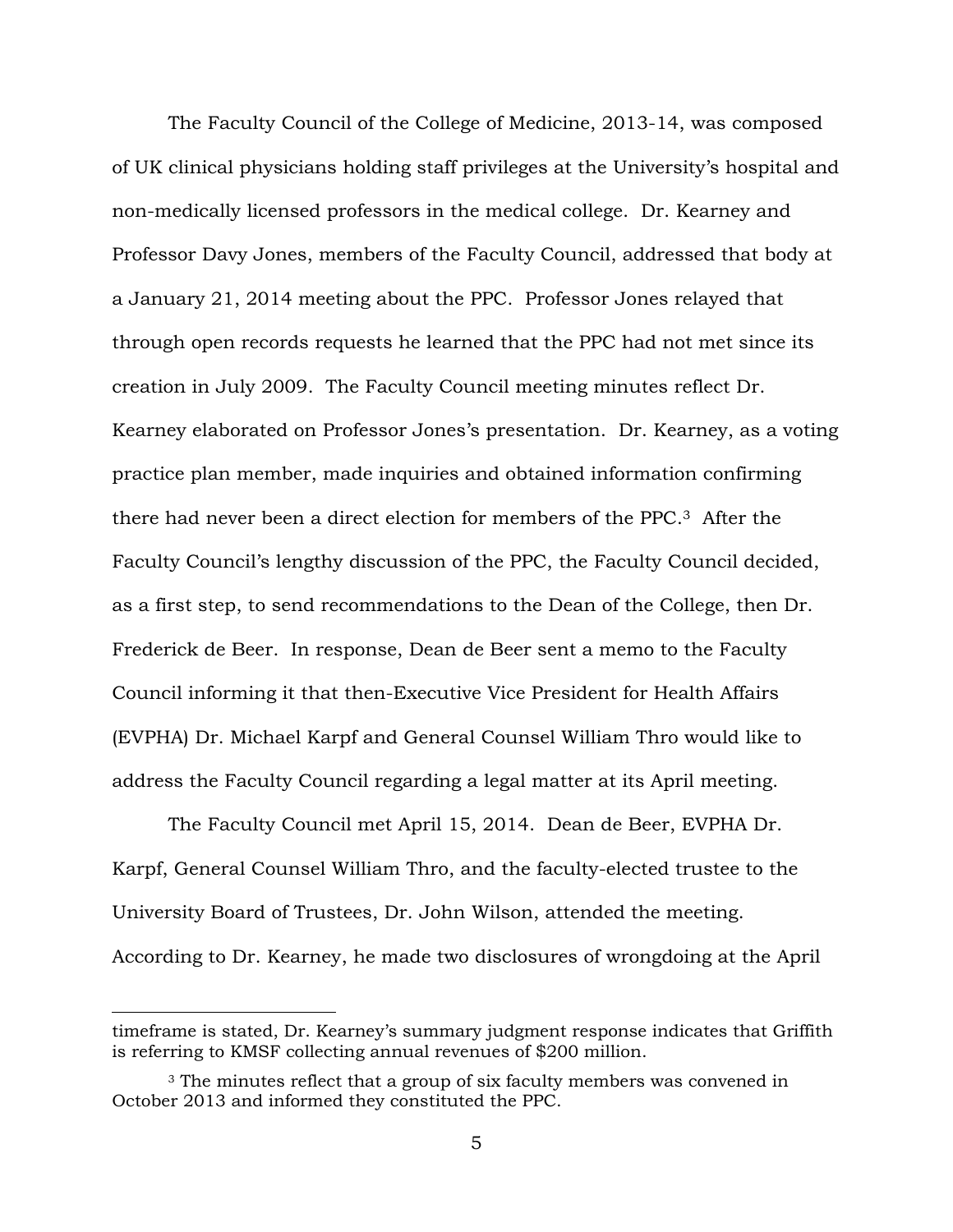The Faculty Council of the College of Medicine, 2013-14, was composed of UK clinical physicians holding staff privileges at the University's hospital and non-medically licensed professors in the medical college. Dr. Kearney and Professor Davy Jones, members of the Faculty Council, addressed that body at a January 21, 2014 meeting about the PPC. Professor Jones relayed that through open records requests he learned that the PPC had not met since its creation in July 2009. The Faculty Council meeting minutes reflect Dr. Kearney elaborated on Professor Jones's presentation. Dr. Kearney, as a voting practice plan member, made inquiries and obtained information confirming there had never been a direct election for members of the PPC. <sup>3</sup> After the Faculty Council's lengthy discussion of the PPC, the Faculty Council decided, as a first step, to send recommendations to the Dean of the College, then Dr. Frederick de Beer. In response, Dean de Beer sent a memo to the Faculty Council informing it that then-Executive Vice President for Health Affairs (EVPHA) Dr. Michael Karpf and General Counsel William Thro would like to address the Faculty Council regarding a legal matter at its April meeting.

The Faculty Council met April 15, 2014. Dean de Beer, EVPHA Dr. Karpf, General Counsel William Thro, and the faculty-elected trustee to the University Board of Trustees, Dr. John Wilson, attended the meeting. According to Dr. Kearney, he made two disclosures of wrongdoing at the April

timeframe is stated, Dr. Kearney's summary judgment response indicates that Griffith is referring to KMSF collecting annual revenues of \$200 million.

<sup>&</sup>lt;sup>3</sup> The minutes reflect that a group of six faculty members was convened in October 2013 and informed they constituted the PPC.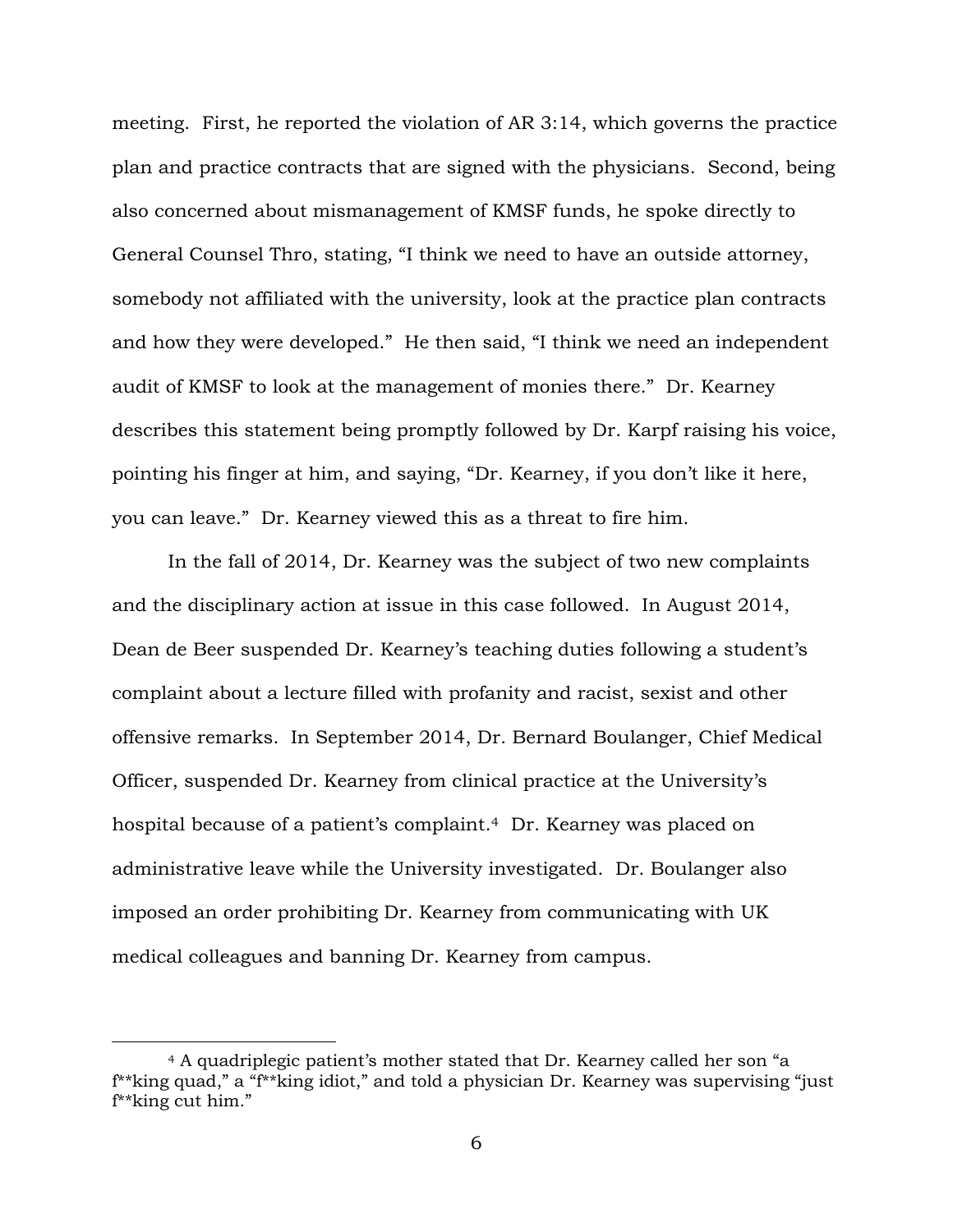meeting. First, he reported the violation of AR 3:14, which governs the practice plan and practice contracts that are signed with the physicians. Second, being also concerned about mismanagement of KMSF funds, he spoke directly to General Counsel Thro, stating, "I think we need to have an outside attorney, somebody not affiliated with the university, look at the practice plan contracts and how they were developed." He then said, "I think we need an independent audit of KMSF to look at the management of monies there." Dr. Kearney describes this statement being promptly followed by Dr. Karpf raising his voice, pointing his finger at him, and saying, "Dr. Kearney, if you don't like it here, you can leave." Dr. Kearney viewed this as a threat to fire him.

In the fall of 2014, Dr. Kearney was the subject of two new complaints and the disciplinary action at issue in this case followed. In August 2014, Dean de Beer suspended Dr. Kearney's teaching duties following a student's complaint about a lecture filled with profanity and racist, sexist and other offensive remarks. In September 2014, Dr. Bernard Boulanger, Chief Medical Officer, suspended Dr. Kearney from clinical practice at the University's hospital because of a patient's complaint.<sup>4</sup> Dr. Kearney was placed on administrative leave while the University investigated. Dr. Boulanger also imposed an order prohibiting Dr. Kearney from communicating with UK medical colleagues and banning Dr. Kearney from campus.

<sup>4</sup> A quadriplegic patient's mother stated that Dr. Kearney called her son "a f\*\*king quad," a "f\*\*king idiot," and told a physician Dr. Kearney was supervising "just f\*\*king cut him."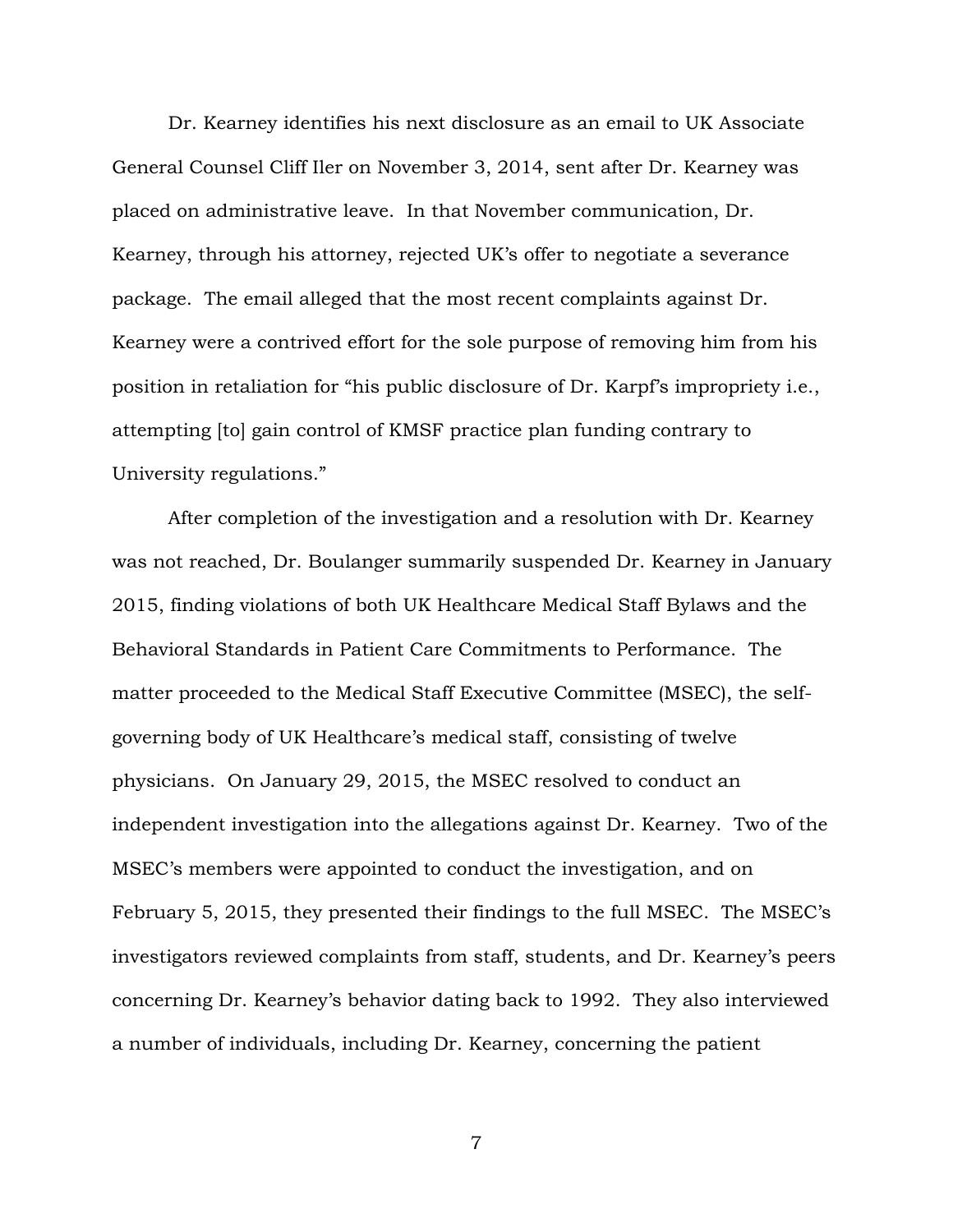Dr. Kearney identifies his next disclosure as an email to UK Associate General Counsel Cliff Iler on November 3, 2014, sent after Dr. Kearney was placed on administrative leave. In that November communication, Dr. Kearney, through his attorney, rejected UK's offer to negotiate a severance package. The email alleged that the most recent complaints against Dr. Kearney were a contrived effort for the sole purpose of removing him from his position in retaliation for "his public disclosure of Dr. Karpf's impropriety i.e., attempting [to] gain control of KMSF practice plan funding contrary to University regulations."

After completion of the investigation and a resolution with Dr. Kearney was not reached, Dr. Boulanger summarily suspended Dr. Kearney in January 2015, finding violations of both UK Healthcare Medical Staff Bylaws and the Behavioral Standards in Patient Care Commitments to Performance. The matter proceeded to the Medical Staff Executive Committee (MSEC), the selfgoverning body of UK Healthcare's medical staff, consisting of twelve physicians. On January 29, 2015, the MSEC resolved to conduct an independent investigation into the allegations against Dr. Kearney. Two of the MSEC's members were appointed to conduct the investigation, and on February 5, 2015, they presented their findings to the full MSEC. The MSEC's investigators reviewed complaints from staff, students, and Dr. Kearney's peers concerning Dr. Kearney's behavior dating back to 1992. They also interviewed a number of individuals, including Dr. Kearney, concerning the patient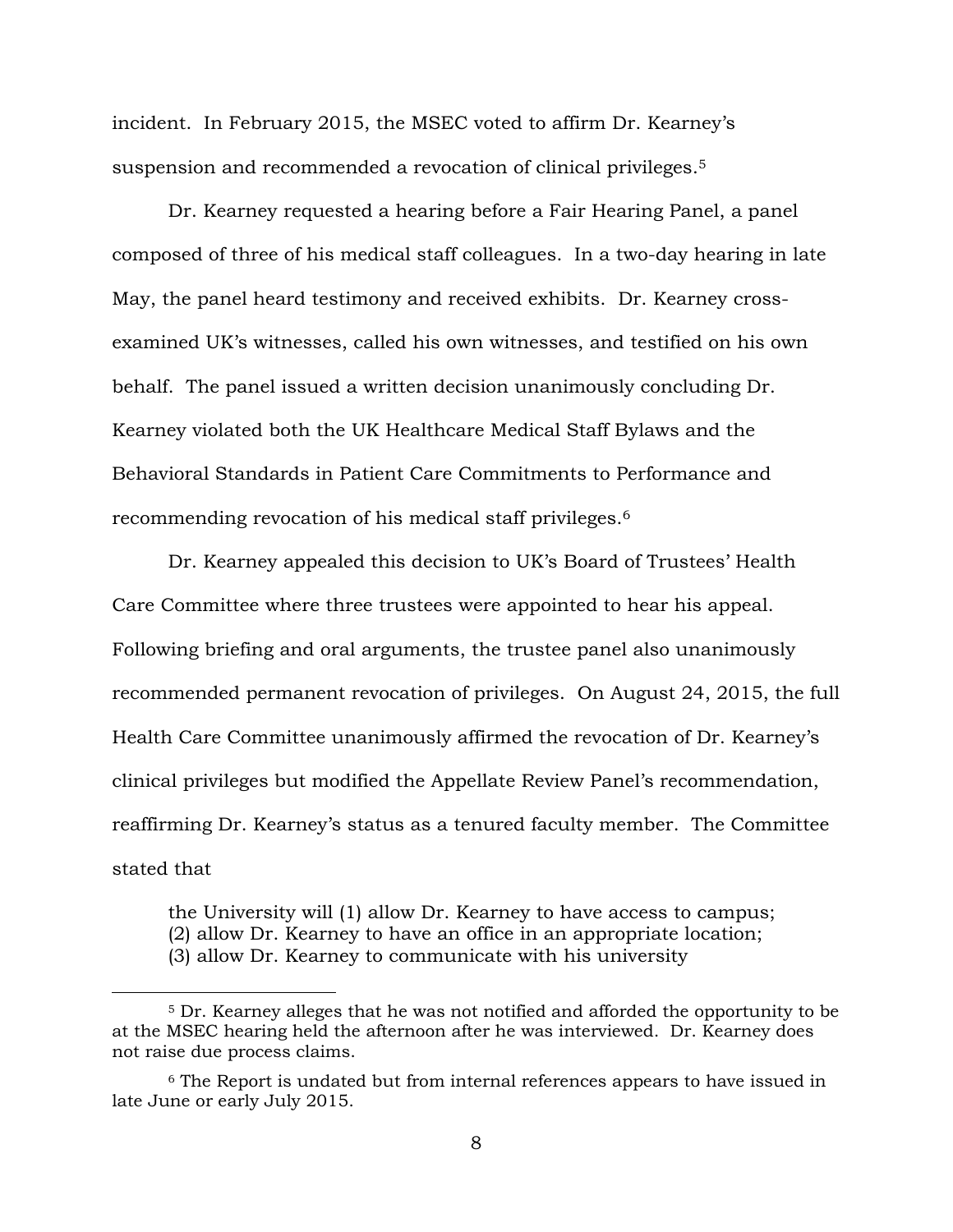incident. In February 2015, the MSEC voted to affirm Dr. Kearney's suspension and recommended a revocation of clinical privileges.<sup>5</sup>

Dr. Kearney requested a hearing before a Fair Hearing Panel, a panel composed of three of his medical staff colleagues. In a two-day hearing in late May, the panel heard testimony and received exhibits. Dr. Kearney crossexamined UK's witnesses, called his own witnesses, and testified on his own behalf. The panel issued a written decision unanimously concluding Dr. Kearney violated both the UK Healthcare Medical Staff Bylaws and the Behavioral Standards in Patient Care Commitments to Performance and recommending revocation of his medical staff privileges.<sup>6</sup>

Dr. Kearney appealed this decision to UK's Board of Trustees' Health Care Committee where three trustees were appointed to hear his appeal. Following briefing and oral arguments, the trustee panel also unanimously recommended permanent revocation of privileges. On August 24, 2015, the full Health Care Committee unanimously affirmed the revocation of Dr. Kearney's clinical privileges but modified the Appellate Review Panel's recommendation, reaffirming Dr. Kearney's status as a tenured faculty member. The Committee stated that

the University will (1) allow Dr. Kearney to have access to campus; (2) allow Dr. Kearney to have an office in an appropriate location; (3) allow Dr. Kearney to communicate with his university

<sup>5</sup> Dr. Kearney alleges that he was not notified and afforded the opportunity to be at the MSEC hearing held the afternoon after he was interviewed. Dr. Kearney does not raise due process claims.

<sup>6</sup> The Report is undated but from internal references appears to have issued in late June or early July 2015.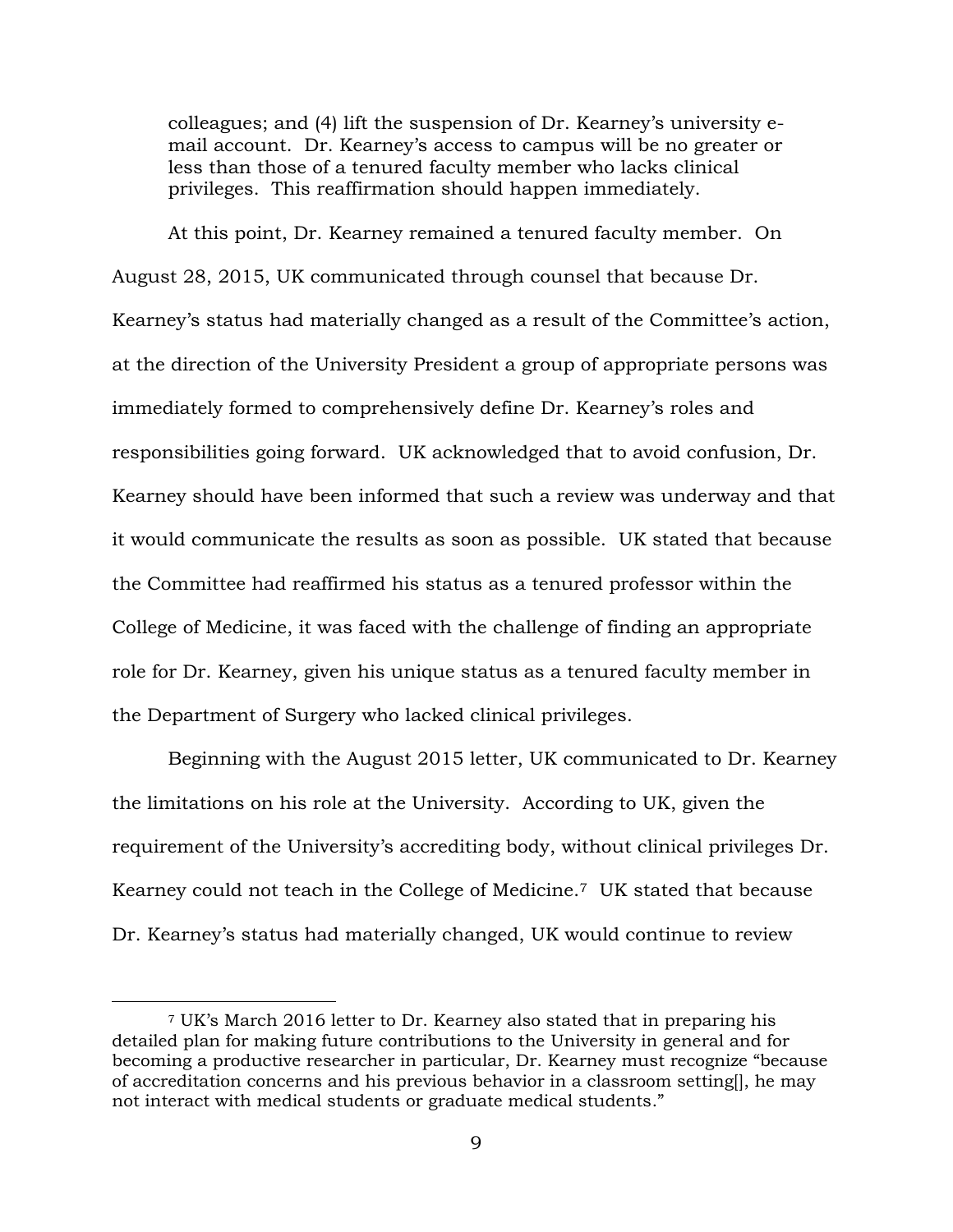colleagues; and (4) lift the suspension of Dr. Kearney's university email account. Dr. Kearney's access to campus will be no greater or less than those of a tenured faculty member who lacks clinical privileges. This reaffirmation should happen immediately.

At this point, Dr. Kearney remained a tenured faculty member. On August 28, 2015, UK communicated through counsel that because Dr. Kearney's status had materially changed as a result of the Committee's action, at the direction of the University President a group of appropriate persons was immediately formed to comprehensively define Dr. Kearney's roles and responsibilities going forward. UK acknowledged that to avoid confusion, Dr. Kearney should have been informed that such a review was underway and that it would communicate the results as soon as possible. UK stated that because the Committee had reaffirmed his status as a tenured professor within the College of Medicine, it was faced with the challenge of finding an appropriate role for Dr. Kearney, given his unique status as a tenured faculty member in the Department of Surgery who lacked clinical privileges.

Beginning with the August 2015 letter, UK communicated to Dr. Kearney the limitations on his role at the University. According to UK, given the requirement of the University's accrediting body, without clinical privileges Dr. Kearney could not teach in the College of Medicine.7 UK stated that because Dr. Kearney's status had materially changed, UK would continue to review

<sup>7</sup> UK's March 2016 letter to Dr. Kearney also stated that in preparing his detailed plan for making future contributions to the University in general and for becoming a productive researcher in particular, Dr. Kearney must recognize "because of accreditation concerns and his previous behavior in a classroom setting[], he may not interact with medical students or graduate medical students."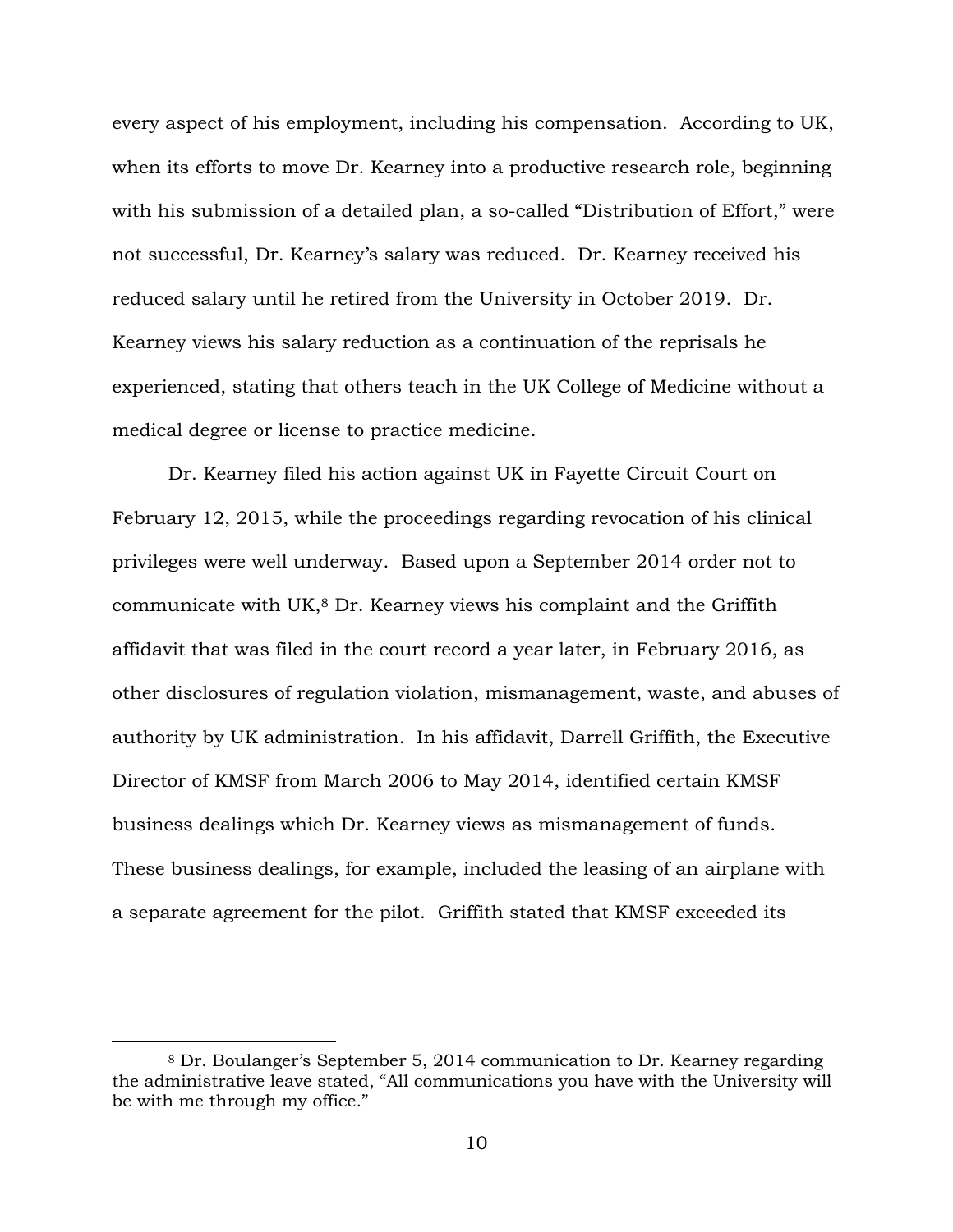every aspect of his employment, including his compensation. According to UK, when its efforts to move Dr. Kearney into a productive research role, beginning with his submission of a detailed plan, a so-called "Distribution of Effort," were not successful, Dr. Kearney's salary was reduced. Dr. Kearney received his reduced salary until he retired from the University in October 2019. Dr. Kearney views his salary reduction as a continuation of the reprisals he experienced, stating that others teach in the UK College of Medicine without a medical degree or license to practice medicine.

Dr. Kearney filed his action against UK in Fayette Circuit Court on February 12, 2015, while the proceedings regarding revocation of his clinical privileges were well underway. Based upon a September 2014 order not to communicate with UK, <sup>8</sup> Dr. Kearney views his complaint and the Griffith affidavit that was filed in the court record a year later, in February 2016, as other disclosures of regulation violation, mismanagement, waste, and abuses of authority by UK administration. In his affidavit, Darrell Griffith, the Executive Director of KMSF from March 2006 to May 2014, identified certain KMSF business dealings which Dr. Kearney views as mismanagement of funds. These business dealings, for example, included the leasing of an airplane with a separate agreement for the pilot. Griffith stated that KMSF exceeded its

<sup>8</sup> Dr. Boulanger's September 5, 2014 communication to Dr. Kearney regarding the administrative leave stated, "All communications you have with the University will be with me through my office."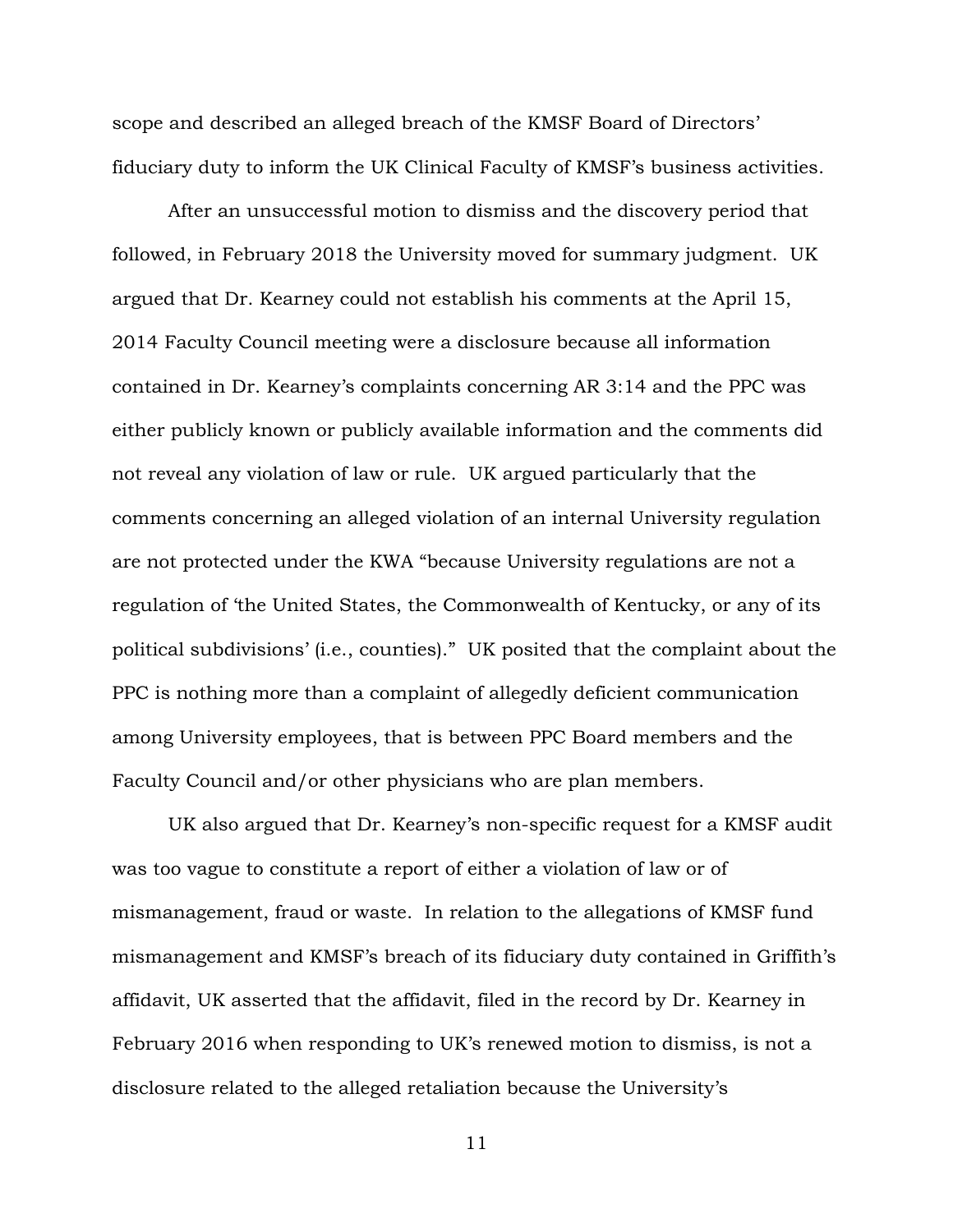scope and described an alleged breach of the KMSF Board of Directors' fiduciary duty to inform the UK Clinical Faculty of KMSF's business activities.

After an unsuccessful motion to dismiss and the discovery period that followed, in February 2018 the University moved for summary judgment. UK argued that Dr. Kearney could not establish his comments at the April 15, 2014 Faculty Council meeting were a disclosure because all information contained in Dr. Kearney's complaints concerning AR 3:14 and the PPC was either publicly known or publicly available information and the comments did not reveal any violation of law or rule. UK argued particularly that the comments concerning an alleged violation of an internal University regulation are not protected under the KWA "because University regulations are not a regulation of 'the United States, the Commonwealth of Kentucky, or any of its political subdivisions' (i.e., counties)." UK posited that the complaint about the PPC is nothing more than a complaint of allegedly deficient communication among University employees, that is between PPC Board members and the Faculty Council and/or other physicians who are plan members.

UK also argued that Dr. Kearney's non-specific request for a KMSF audit was too vague to constitute a report of either a violation of law or of mismanagement, fraud or waste. In relation to the allegations of KMSF fund mismanagement and KMSF's breach of its fiduciary duty contained in Griffith's affidavit, UK asserted that the affidavit, filed in the record by Dr. Kearney in February 2016 when responding to UK's renewed motion to dismiss, is not a disclosure related to the alleged retaliation because the University's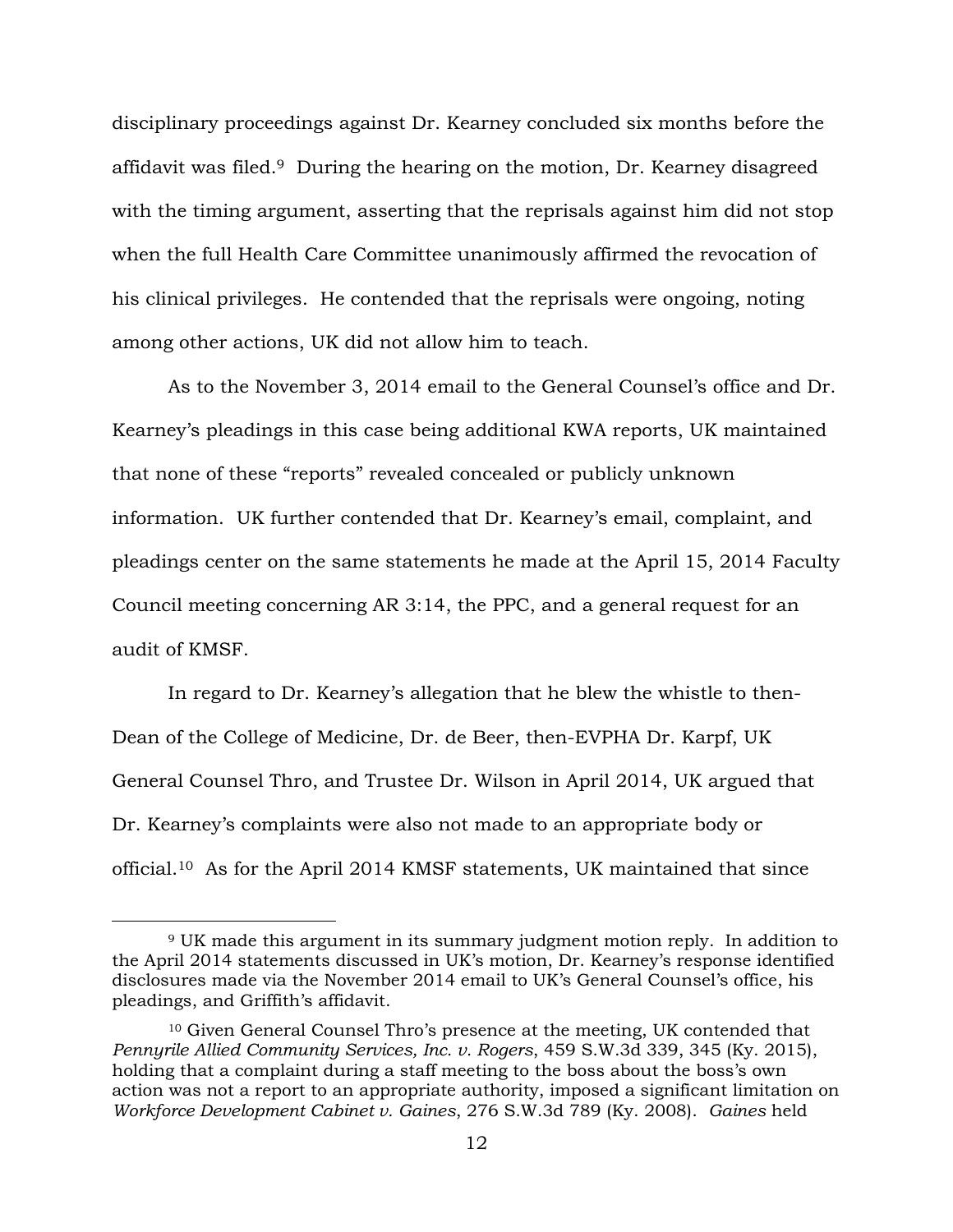disciplinary proceedings against Dr. Kearney concluded six months before the affidavit was filed.9 During the hearing on the motion, Dr. Kearney disagreed with the timing argument, asserting that the reprisals against him did not stop when the full Health Care Committee unanimously affirmed the revocation of his clinical privileges. He contended that the reprisals were ongoing, noting among other actions, UK did not allow him to teach.

As to the November 3, 2014 email to the General Counsel's office and Dr. Kearney's pleadings in this case being additional KWA reports, UK maintained that none of these "reports" revealed concealed or publicly unknown information. UK further contended that Dr. Kearney's email, complaint, and pleadings center on the same statements he made at the April 15, 2014 Faculty Council meeting concerning AR 3:14, the PPC, and a general request for an audit of KMSF.

In regard to Dr. Kearney's allegation that he blew the whistle to then-Dean of the College of Medicine, Dr. de Beer, then-EVPHA Dr. Karpf, UK General Counsel Thro, and Trustee Dr. Wilson in April 2014, UK argued that Dr. Kearney's complaints were also not made to an appropriate body or official.10 As for the April 2014 KMSF statements, UK maintained that since

<sup>9</sup> UK made this argument in its summary judgment motion reply. In addition to the April 2014 statements discussed in UK's motion, Dr. Kearney's response identified disclosures made via the November 2014 email to UK's General Counsel's office, his pleadings, and Griffith's affidavit.

<sup>10</sup> Given General Counsel Thro's presence at the meeting, UK contended that *Pennyrile Allied Community Services, Inc. v. Rogers*, 459 S.W.3d 339, 345 (Ky. 2015), holding that a complaint during a staff meeting to the boss about the boss's own action was not a report to an appropriate authority, imposed a significant limitation on *Workforce Development Cabinet v. Gaines*, 276 S.W.3d 789 (Ky. 2008). *Gaines* held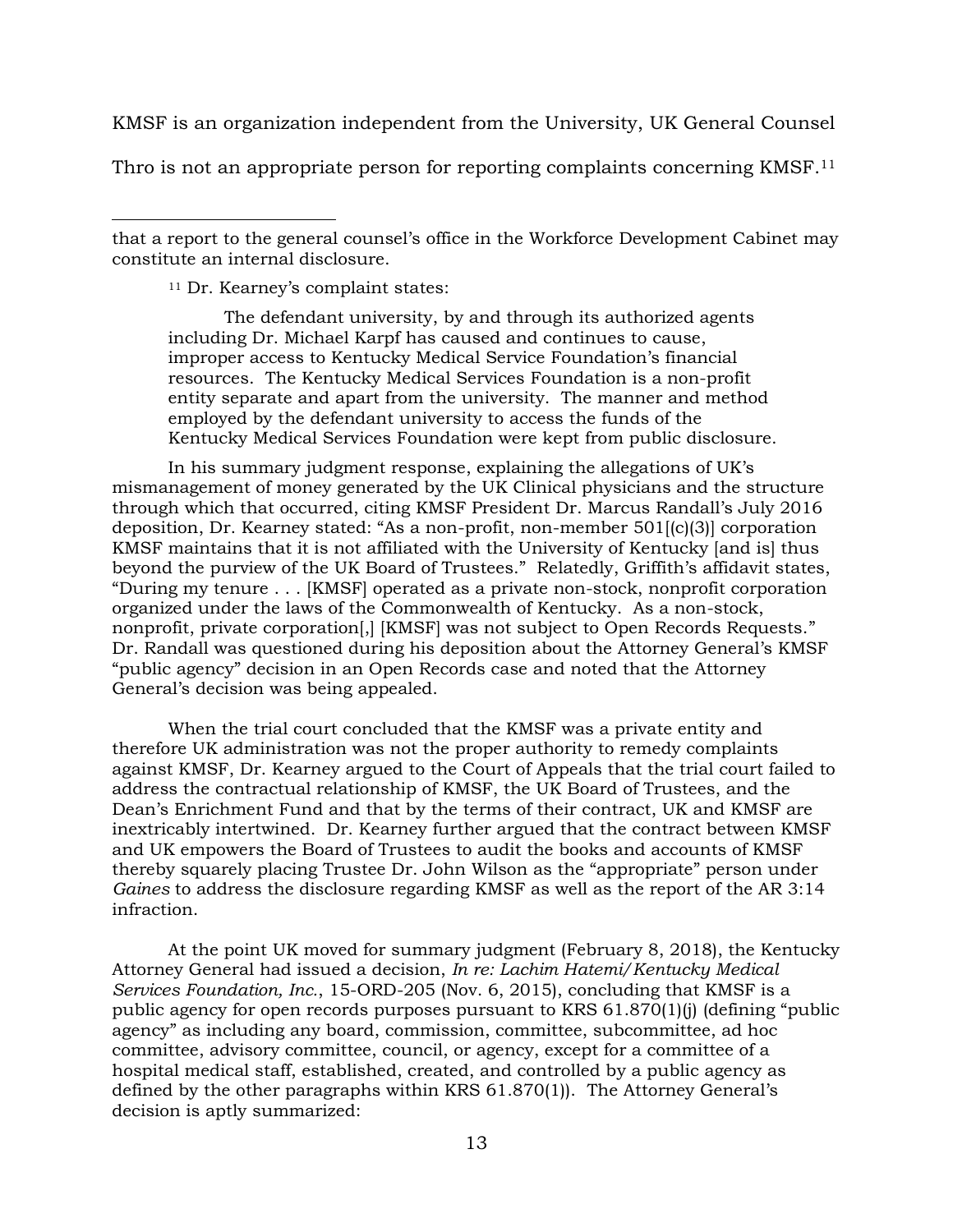KMSF is an organization independent from the University, UK General Counsel

Thro is not an appropriate person for reporting complaints concerning KMSF.<sup>11</sup>

that a report to the general counsel's office in the Workforce Development Cabinet may constitute an internal disclosure.

<sup>11</sup> Dr. Kearney's complaint states:

 $\overline{a}$ 

The defendant university, by and through its authorized agents including Dr. Michael Karpf has caused and continues to cause, improper access to Kentucky Medical Service Foundation's financial resources. The Kentucky Medical Services Foundation is a non-profit entity separate and apart from the university. The manner and method employed by the defendant university to access the funds of the Kentucky Medical Services Foundation were kept from public disclosure.

In his summary judgment response, explaining the allegations of UK's mismanagement of money generated by the UK Clinical physicians and the structure through which that occurred, citing KMSF President Dr. Marcus Randall's July 2016 deposition, Dr. Kearney stated: "As a non-profit, non-member 501[(c)(3)] corporation KMSF maintains that it is not affiliated with the University of Kentucky [and is] thus beyond the purview of the UK Board of Trustees." Relatedly, Griffith's affidavit states, "During my tenure . . . [KMSF] operated as a private non-stock, nonprofit corporation organized under the laws of the Commonwealth of Kentucky. As a non-stock, nonprofit, private corporation[,] [KMSF] was not subject to Open Records Requests." Dr. Randall was questioned during his deposition about the Attorney General's KMSF "public agency" decision in an Open Records case and noted that the Attorney General's decision was being appealed.

When the trial court concluded that the KMSF was a private entity and therefore UK administration was not the proper authority to remedy complaints against KMSF, Dr. Kearney argued to the Court of Appeals that the trial court failed to address the contractual relationship of KMSF, the UK Board of Trustees, and the Dean's Enrichment Fund and that by the terms of their contract, UK and KMSF are inextricably intertwined. Dr. Kearney further argued that the contract between KMSF and UK empowers the Board of Trustees to audit the books and accounts of KMSF thereby squarely placing Trustee Dr. John Wilson as the "appropriate" person under *Gaines* to address the disclosure regarding KMSF as well as the report of the AR 3:14 infraction.

At the point UK moved for summary judgment (February 8, 2018), the Kentucky Attorney General had issued a decision, *In re: Lachim Hatemi/Kentucky Medical Services Foundation, Inc.*, 15-ORD-205 (Nov. 6, 2015), concluding that KMSF is a public agency for open records purposes pursuant to KRS 61.870(1)(j) (defining "public agency" as including any board, commission, committee, subcommittee, ad hoc committee, advisory committee, council, or agency, except for a committee of a hospital medical staff, established, created, and controlled by a public agency as defined by the other paragraphs within KRS 61.870(1)). The Attorney General's decision is aptly summarized: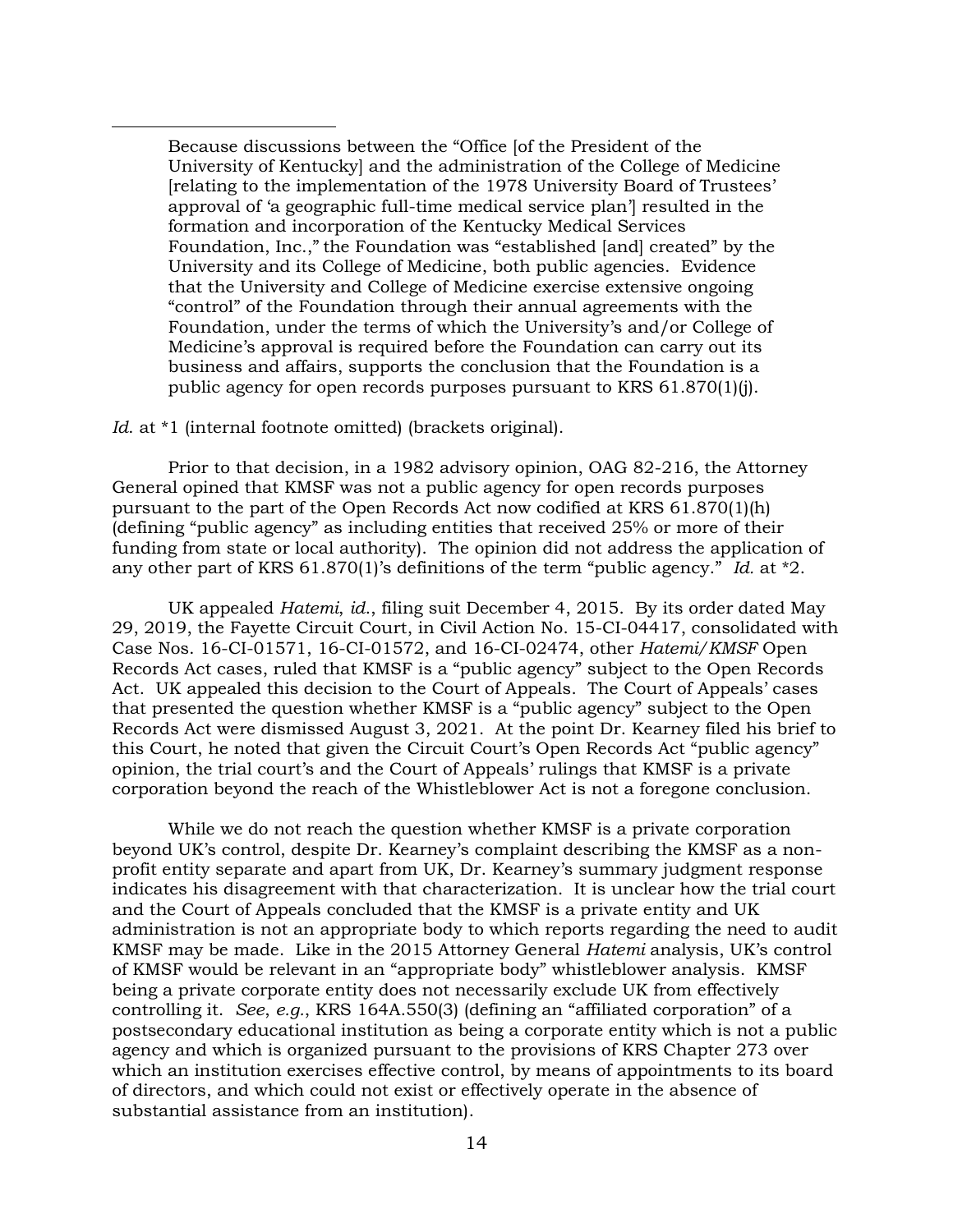Because discussions between the "Office [of the President of the University of Kentucky] and the administration of the College of Medicine [relating to the implementation of the 1978 University Board of Trustees' approval of 'a geographic full-time medical service plan'] resulted in the formation and incorporation of the Kentucky Medical Services Foundation, Inc.," the Foundation was "established [and] created" by the University and its College of Medicine, both public agencies. Evidence that the University and College of Medicine exercise extensive ongoing "control" of the Foundation through their annual agreements with the Foundation, under the terms of which the University's and/or College of Medicine's approval is required before the Foundation can carry out its business and affairs, supports the conclusion that the Foundation is a public agency for open records purposes pursuant to KRS 61.870(1)(j).

### *Id*. at \*1 (internal footnote omitted) (brackets original).

 $\overline{a}$ 

Prior to that decision, in a 1982 advisory opinion, OAG 82-216, the Attorney General opined that KMSF was not a public agency for open records purposes pursuant to the part of the Open Records Act now codified at KRS 61.870(1)(h) (defining "public agency" as including entities that received 25% or more of their funding from state or local authority). The opinion did not address the application of any other part of KRS 61.870(1)'s definitions of the term "public agency." *Id.* at \*2.

UK appealed *Hatemi*, *id*., filing suit December 4, 2015. By its order dated May 29, 2019, the Fayette Circuit Court, in Civil Action No. 15-CI-04417, consolidated with Case Nos. 16-CI-01571, 16-CI-01572, and 16-CI-02474, other *Hatemi/KMSF* Open Records Act cases, ruled that KMSF is a "public agency" subject to the Open Records Act. UK appealed this decision to the Court of Appeals. The Court of Appeals' cases that presented the question whether KMSF is a "public agency" subject to the Open Records Act were dismissed August 3, 2021. At the point Dr. Kearney filed his brief to this Court, he noted that given the Circuit Court's Open Records Act "public agency" opinion, the trial court's and the Court of Appeals' rulings that KMSF is a private corporation beyond the reach of the Whistleblower Act is not a foregone conclusion.

While we do not reach the question whether KMSF is a private corporation beyond UK's control, despite Dr. Kearney's complaint describing the KMSF as a nonprofit entity separate and apart from UK, Dr. Kearney's summary judgment response indicates his disagreement with that characterization. It is unclear how the trial court and the Court of Appeals concluded that the KMSF is a private entity and UK administration is not an appropriate body to which reports regarding the need to audit KMSF may be made. Like in the 2015 Attorney General *Hatemi* analysis, UK's control of KMSF would be relevant in an "appropriate body" whistleblower analysis. KMSF being a private corporate entity does not necessarily exclude UK from effectively controlling it. *See*, *e.g.*, KRS 164A.550(3) (defining an "affiliated corporation" of a postsecondary educational institution as being a corporate entity which is not a public agency and which is organized pursuant to the provisions of KRS Chapter 273 over which an institution exercises effective control, by means of appointments to its board of directors, and which could not exist or effectively operate in the absence of substantial assistance from an institution).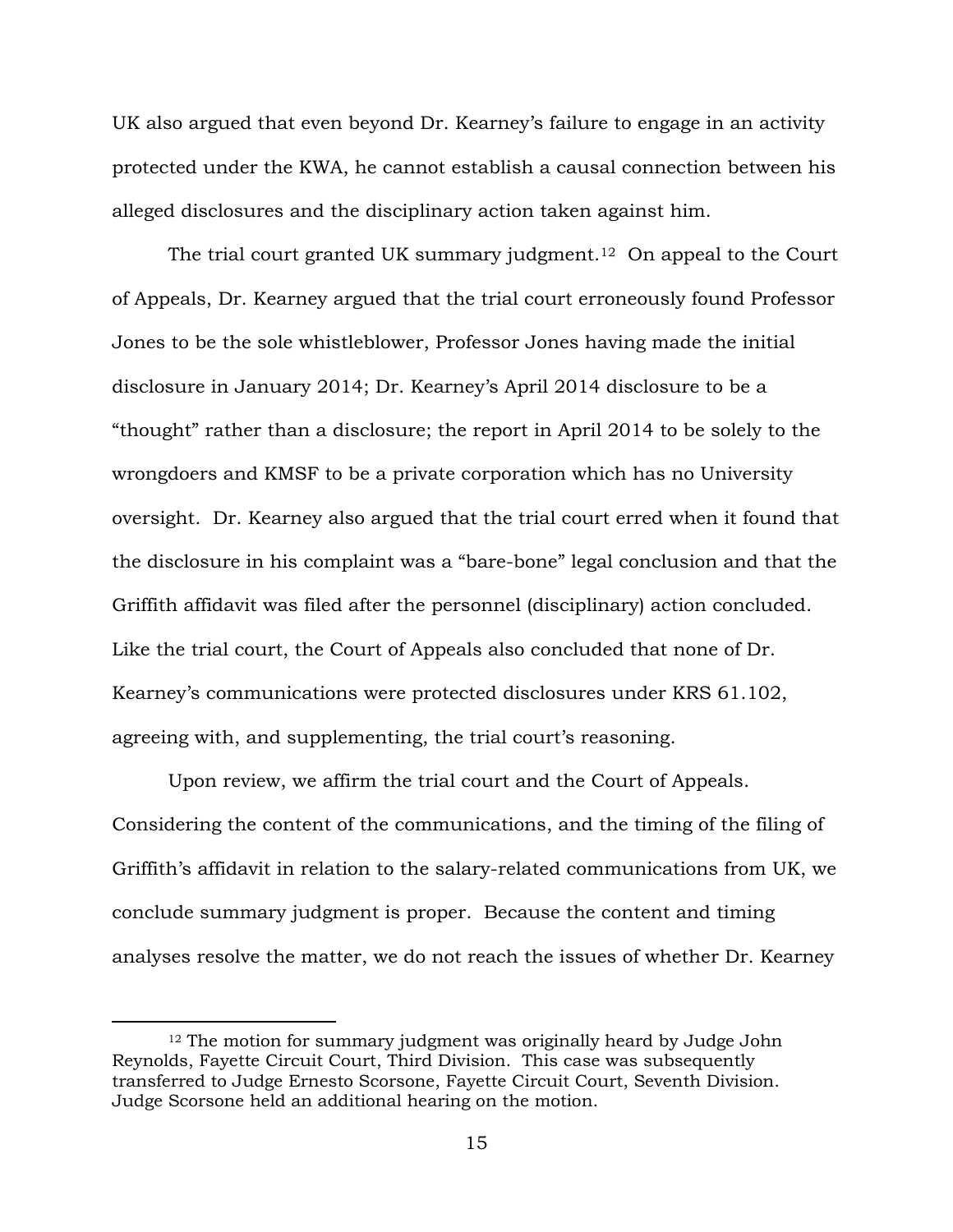UK also argued that even beyond Dr. Kearney's failure to engage in an activity protected under the KWA, he cannot establish a causal connection between his alleged disclosures and the disciplinary action taken against him.

The trial court granted UK summary judgment.<sup>12</sup> On appeal to the Court of Appeals, Dr. Kearney argued that the trial court erroneously found Professor Jones to be the sole whistleblower, Professor Jones having made the initial disclosure in January 2014; Dr. Kearney's April 2014 disclosure to be a "thought" rather than a disclosure; the report in April 2014 to be solely to the wrongdoers and KMSF to be a private corporation which has no University oversight. Dr. Kearney also argued that the trial court erred when it found that the disclosure in his complaint was a "bare-bone" legal conclusion and that the Griffith affidavit was filed after the personnel (disciplinary) action concluded. Like the trial court, the Court of Appeals also concluded that none of Dr. Kearney's communications were protected disclosures under KRS 61.102, agreeing with, and supplementing, the trial court's reasoning.

Upon review, we affirm the trial court and the Court of Appeals. Considering the content of the communications, and the timing of the filing of Griffith's affidavit in relation to the salary-related communications from UK, we conclude summary judgment is proper. Because the content and timing analyses resolve the matter, we do not reach the issues of whether Dr. Kearney

<sup>&</sup>lt;sup>12</sup> The motion for summary judgment was originally heard by Judge John Reynolds, Fayette Circuit Court, Third Division. This case was subsequently transferred to Judge Ernesto Scorsone, Fayette Circuit Court, Seventh Division. Judge Scorsone held an additional hearing on the motion.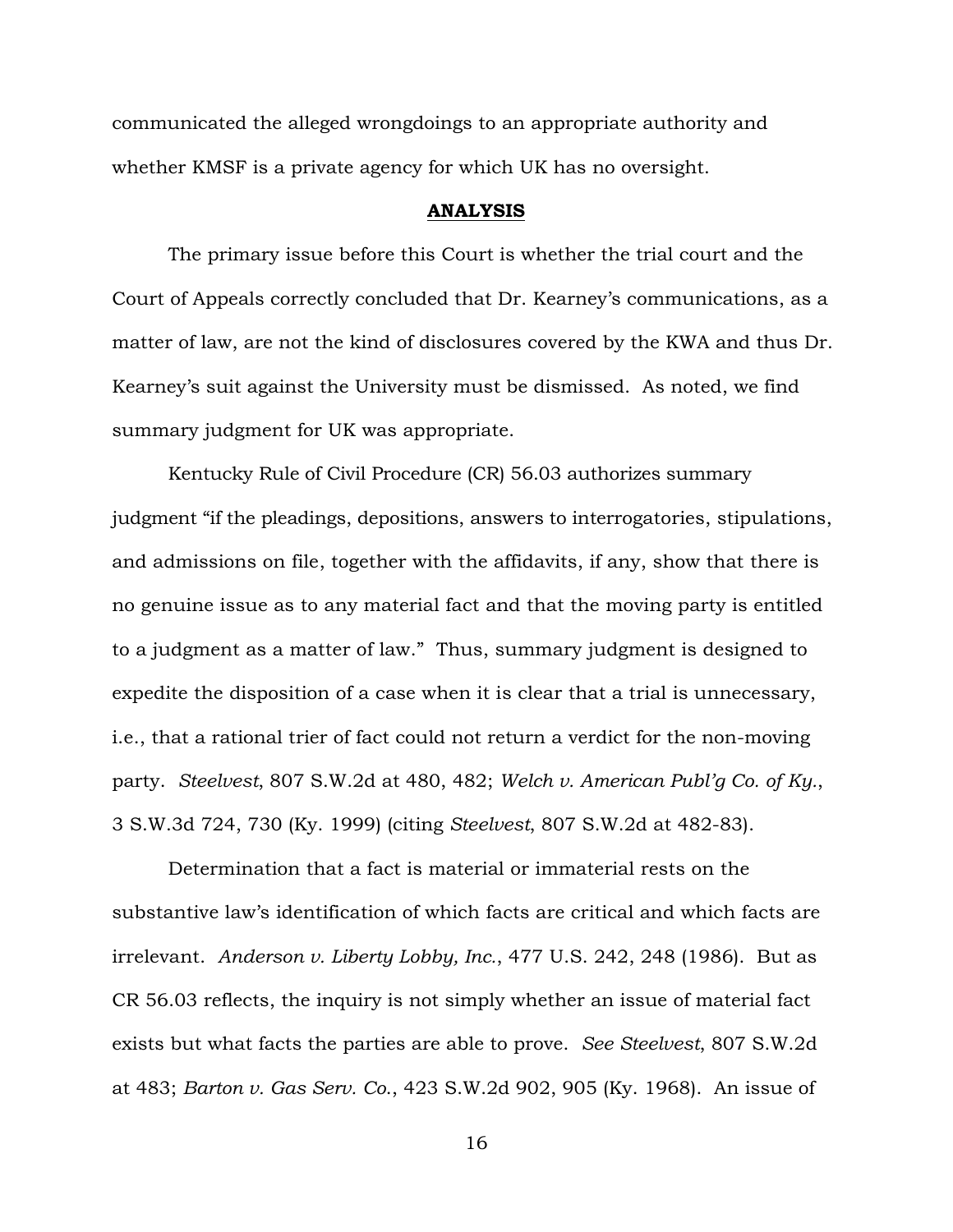communicated the alleged wrongdoings to an appropriate authority and whether KMSF is a private agency for which UK has no oversight.

#### **ANALYSIS**

The primary issue before this Court is whether the trial court and the Court of Appeals correctly concluded that Dr. Kearney's communications, as a matter of law, are not the kind of disclosures covered by the KWA and thus Dr. Kearney's suit against the University must be dismissed. As noted, we find summary judgment for UK was appropriate.

Kentucky Rule of Civil Procedure (CR) 56.03 authorizes summary judgment "if the pleadings, depositions, answers to interrogatories, stipulations, and admissions on file, together with the affidavits, if any, show that there is no genuine issue as to any material fact and that the moving party is entitled to a judgment as a matter of law." Thus, summary judgment is designed to expedite the disposition of a case when it is clear that a trial is unnecessary, i.e., that a rational trier of fact could not return a verdict for the non-moving party. *Steelvest*, 807 S.W.2d at 480, 482; *Welch v. American Publ'g Co. of Ky.*, 3 S.W.3d 724, 730 (Ky. 1999) (citing *Steelvest*, 807 S.W.2d at 482-83).

Determination that a fact is material or immaterial rests on the substantive law's identification of which facts are critical and which facts are irrelevant. *Anderson v. Liberty Lobby, Inc.*, 477 U.S. 242, 248 (1986). But as CR 56.03 reflects, the inquiry is not simply whether an issue of material fact exists but what facts the parties are able to prove. *See Steelvest*, 807 S.W.2d at 483; *Barton v. Gas Serv. Co*., 423 S.W.2d 902, 905 (Ky. 1968). An issue of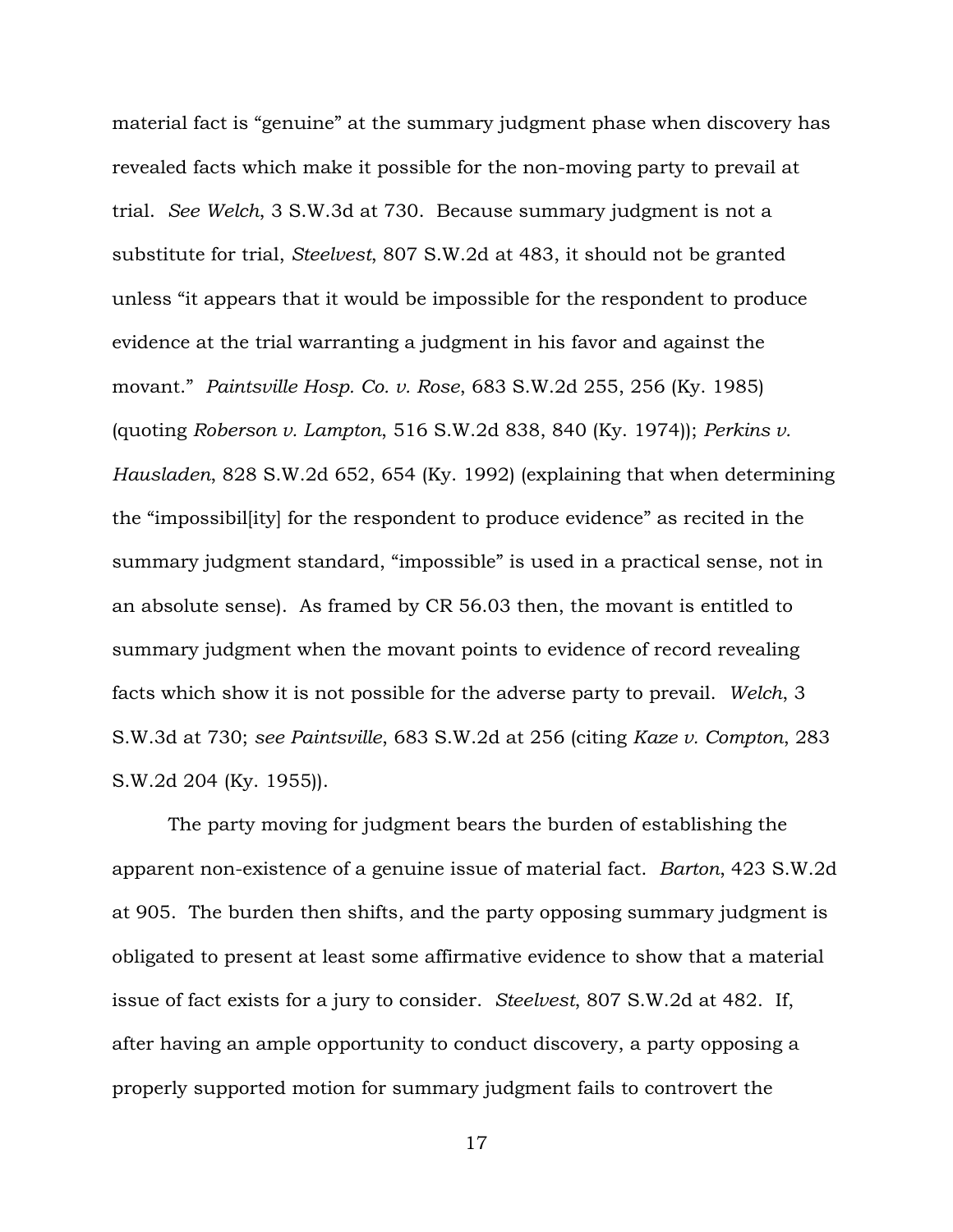material fact is "genuine" at the summary judgment phase when discovery has revealed facts which make it possible for the non-moving party to prevail at trial. *See Welch*, 3 S.W.3d at 730. Because summary judgment is not a substitute for trial, *Steelvest*, 807 S.W.2d at 483, it should not be granted unless "it appears that it would be impossible for the respondent to produce evidence at the trial warranting a judgment in his favor and against the movant." *Paintsville Hosp. Co. v. Rose*, 683 S.W.2d 255, 256 (Ky. 1985) (quoting *Roberson v. Lampton*, 516 S.W.2d 838, 840 (Ky. 1974)); *Perkins v. Hausladen*, 828 S.W.2d 652, 654 (Ky. 1992) (explaining that when determining the "impossibil[ity] for the respondent to produce evidence" as recited in the summary judgment standard, "impossible" is used in a practical sense, not in an absolute sense). As framed by CR 56.03 then, the movant is entitled to summary judgment when the movant points to evidence of record revealing facts which show it is not possible for the adverse party to prevail. *Welch*, 3 S.W.3d at 730; *see Paintsville*, 683 S.W.2d at 256 (citing *Kaze v. Compton*, 283 S.W.2d 204 (Ky. 1955)).

The party moving for judgment bears the burden of establishing the apparent non-existence of a genuine issue of material fact. *Barton*, 423 S.W.2d at 905. The burden then shifts, and the party opposing summary judgment is obligated to present at least some affirmative evidence to show that a material issue of fact exists for a jury to consider. *Steelvest*, 807 S.W.2d at 482. If, after having an ample opportunity to conduct discovery, a party opposing a properly supported motion for summary judgment fails to controvert the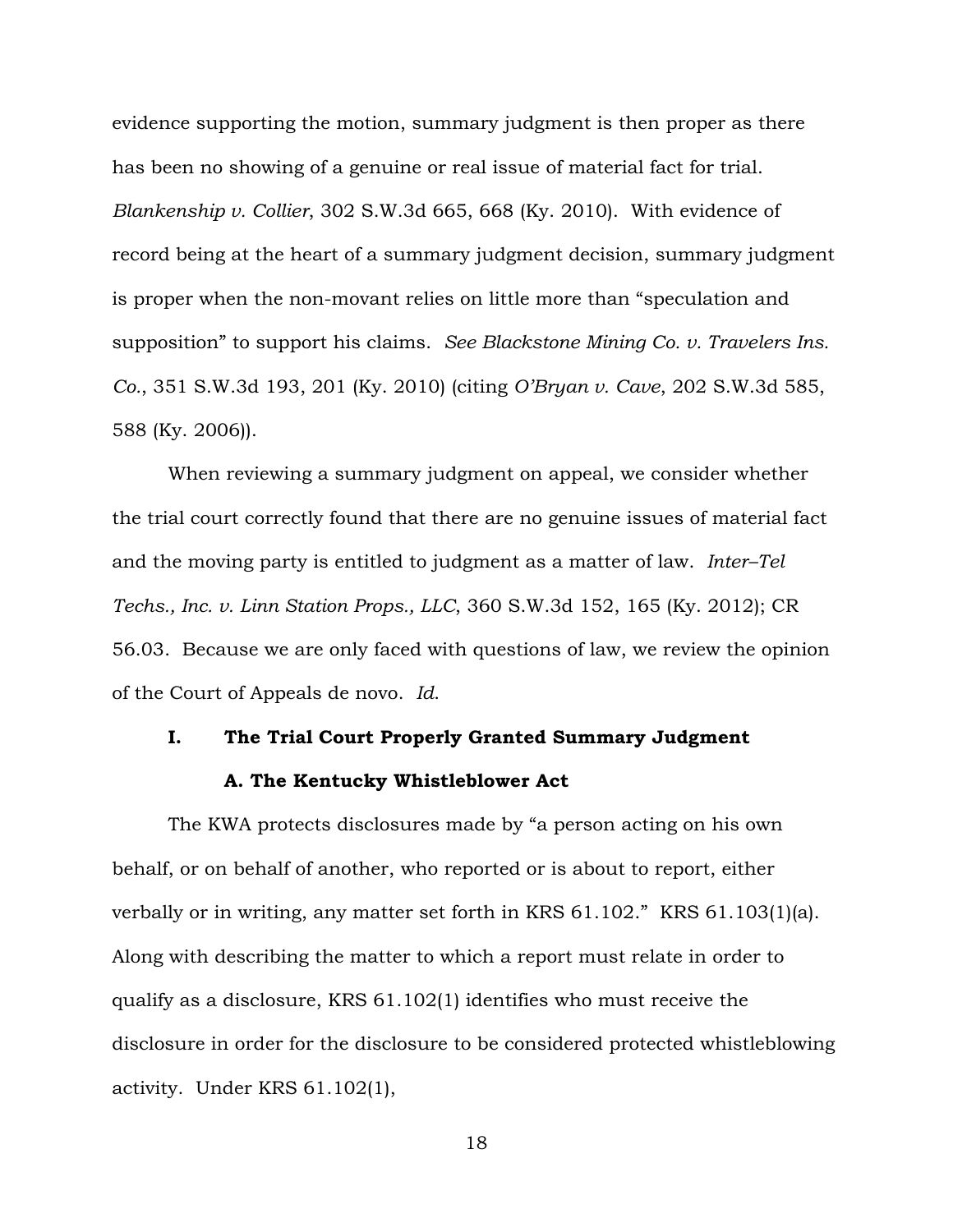evidence supporting the motion, summary judgment is then proper as there has been no showing of a genuine or real issue of material fact for trial. *Blankenship v. Collier*, 302 S.W.3d 665, 668 (Ky. 2010). With evidence of record being at the heart of a summary judgment decision, summary judgment is proper when the non-movant relies on little more than "speculation and supposition" to support his claims. *See Blackstone Mining Co. v. Travelers Ins. Co.*, 351 S.W.3d 193, 201 (Ky. 2010) (citing *O'Bryan v. Cave*, 202 S.W.3d 585, 588 (Ky. 2006)).

When reviewing a summary judgment on appeal, we consider whether the trial court correctly found that there are no genuine issues of material fact and the moving party is entitled to judgment as a matter of law. *Inter–Tel Techs., Inc. v. Linn Station Props., LLC*, 360 S.W.3d 152, 165 (Ky. 2012); CR 56.03. Because we are only faced with questions of law, we review the opinion of the Court of Appeals de novo. *Id*.

# **I. The Trial Court Properly Granted Summary Judgment**

## **A. The Kentucky Whistleblower Act**

The KWA protects disclosures made by "a person acting on his own behalf, or on behalf of another, who reported or is about to report, either verbally or in writing, any matter set forth in KRS 61.102." KRS 61.103(1)(a). Along with describing the matter to which a report must relate in order to qualify as a disclosure, KRS 61.102(1) identifies who must receive the disclosure in order for the disclosure to be considered protected whistleblowing activity. Under KRS 61.102(1),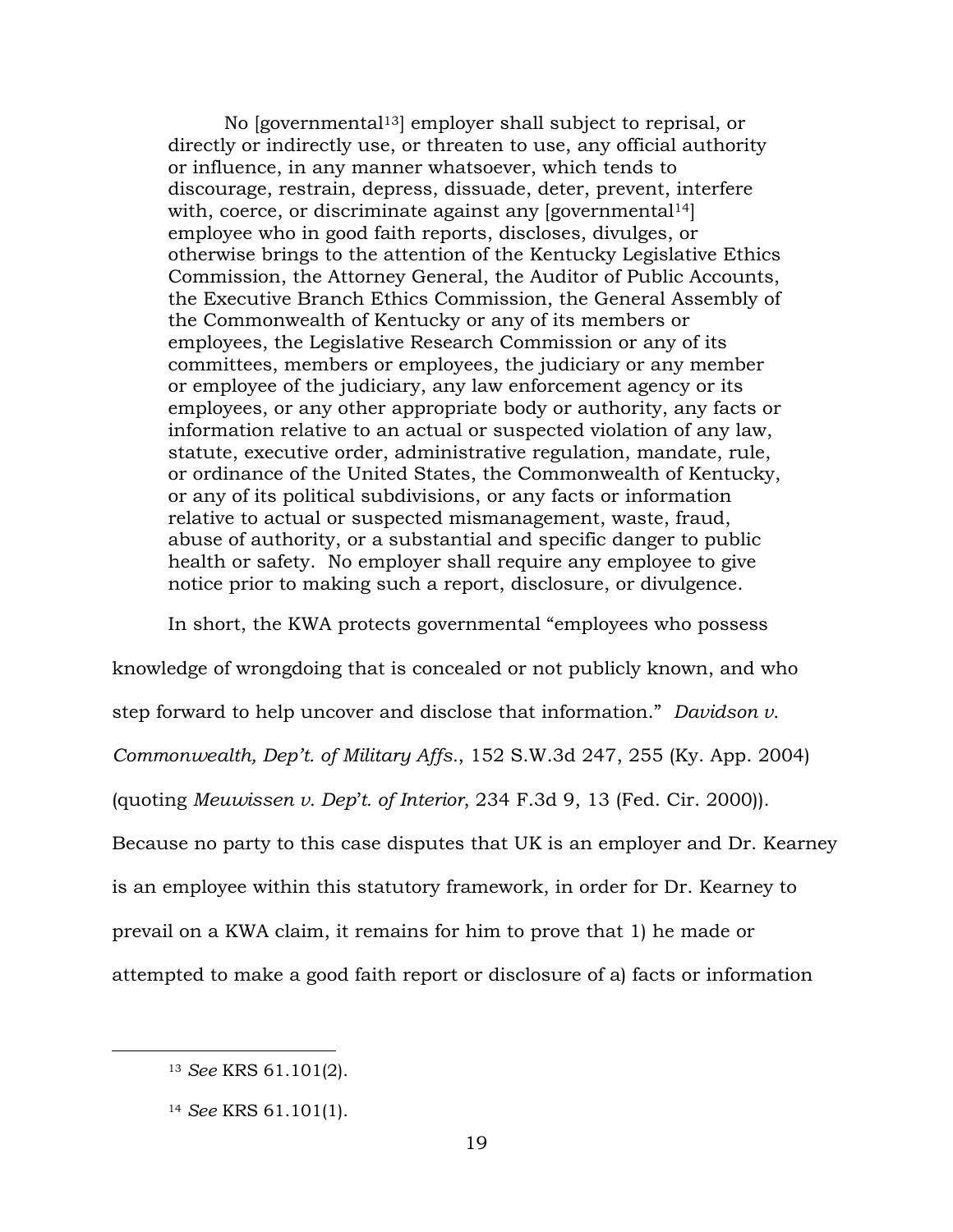No [governmental13] employer shall subject to reprisal, or directly or indirectly use, or threaten to use, any official authority or influence, in any manner whatsoever, which tends to discourage, restrain, depress, dissuade, deter, prevent, interfere with, coerce, or discriminate against any [governmental<sup>14]</sup>] employee who in good faith reports, discloses, divulges, or otherwise brings to the attention of the Kentucky Legislative Ethics Commission, the Attorney General, the Auditor of Public Accounts, the Executive Branch Ethics Commission, the General Assembly of the Commonwealth of Kentucky or any of its members or employees, the Legislative Research Commission or any of its committees, members or employees, the judiciary or any member or employee of the judiciary, any law enforcement agency or its employees, or any other appropriate body or authority, any facts or information relative to an actual or suspected violation of any law, statute, executive order, administrative regulation, mandate, rule, or ordinance of the United States, the Commonwealth of Kentucky, or any of its political subdivisions, or any facts or information relative to actual or suspected mismanagement, waste, fraud, abuse of authority, or a substantial and specific danger to public health or safety. No employer shall require any employee to give notice prior to making such a report, disclosure, or divulgence.

In short, the KWA protects governmental "employees who possess

knowledge of wrongdoing that is concealed or not publicly known, and who

step forward to help uncover and disclose that information." *Davidson v.* 

*Commonwealth, Dep't. of Military Affs.*, 152 S.W.3d 247, 255 (Ky. App. 2004)

(quoting *Meuwissen v. Dep*'*t. of Interior*, 234 F.3d 9, 13 (Fed. Cir. 2000)).

Because no party to this case disputes that UK is an employer and Dr. Kearney

is an employee within this statutory framework, in order for Dr. Kearney to

prevail on a KWA claim, it remains for him to prove that 1) he made or

attempted to make a good faith report or disclosure of a) facts or information

<sup>13</sup> *See* KRS 61.101(2).

<sup>14</sup> *See* KRS 61.101(1).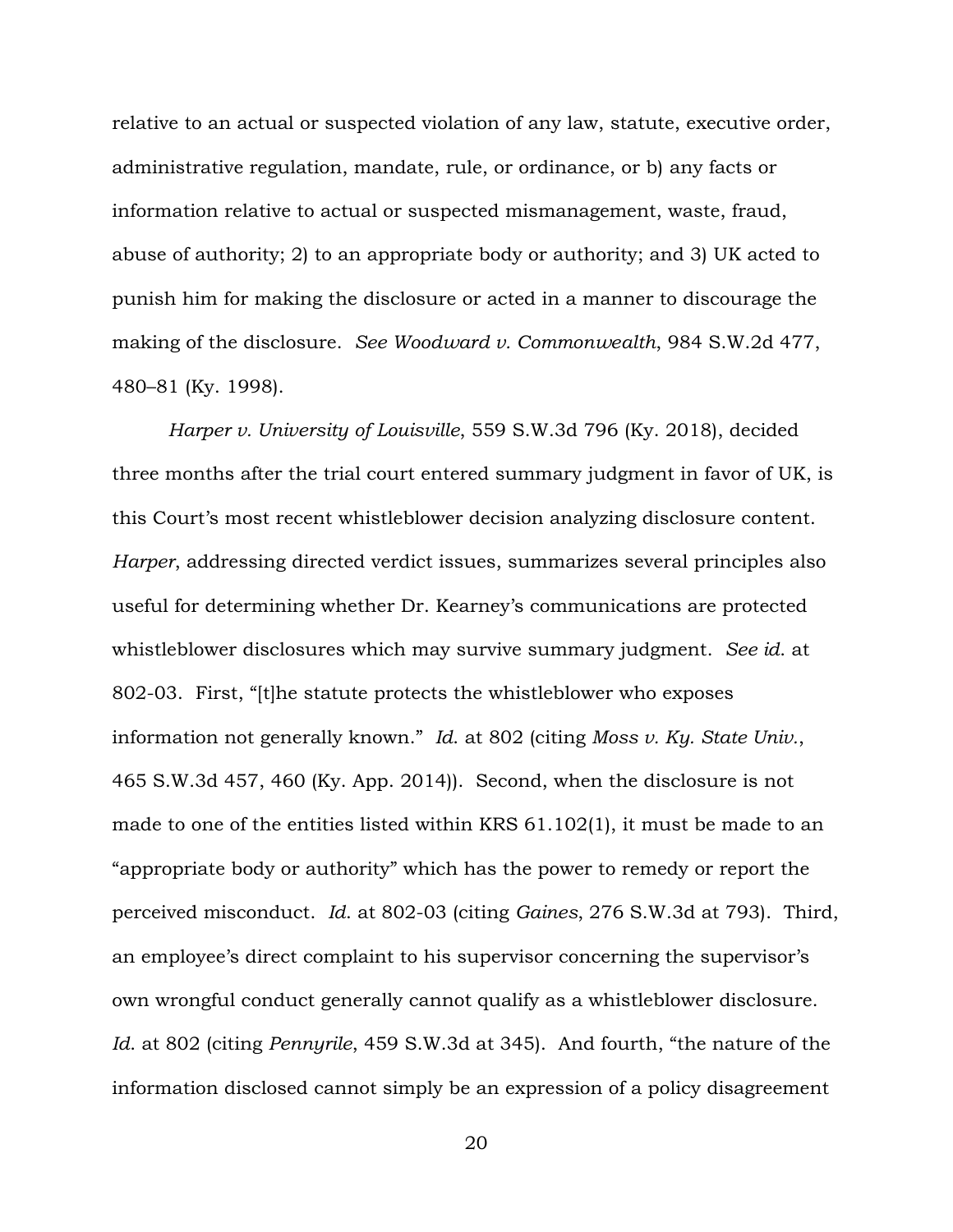relative to an actual or suspected violation of any law, statute, executive order, administrative regulation, mandate, rule, or ordinance, or b) any facts or information relative to actual or suspected mismanagement, waste, fraud, abuse of authority; 2) to an appropriate body or authority; and 3) UK acted to punish him for making the disclosure or acted in a manner to discourage the making of the disclosure. *See Woodward v. Commonwealth*, 984 S.W.2d 477, 480–81 (Ky. 1998).

*Harper v. University of Louisville*, 559 S.W.3d 796 (Ky. 2018), decided three months after the trial court entered summary judgment in favor of UK, is this Court's most recent whistleblower decision analyzing disclosure content. *Harper*, addressing directed verdict issues, summarizes several principles also useful for determining whether Dr. Kearney's communications are protected whistleblower disclosures which may survive summary judgment. *See id*. at 802-03. First, "[t]he statute protects the whistleblower who exposes information not generally known." *Id*. at 802 (citing *Moss v. Ky. State Univ.*, 465 S.W.3d 457, 460 (Ky. App. 2014)). Second, when the disclosure is not made to one of the entities listed within KRS 61.102(1), it must be made to an "appropriate body or authority" which has the power to remedy or report the perceived misconduct. *Id*. at 802-03 (citing *Gaines*, 276 S.W.3d at 793). Third, an employee's direct complaint to his supervisor concerning the supervisor's own wrongful conduct generally cannot qualify as a whistleblower disclosure. *Id*. at 802 (citing *Pennyrile*, 459 S.W.3d at 345). And fourth, "the nature of the information disclosed cannot simply be an expression of a policy disagreement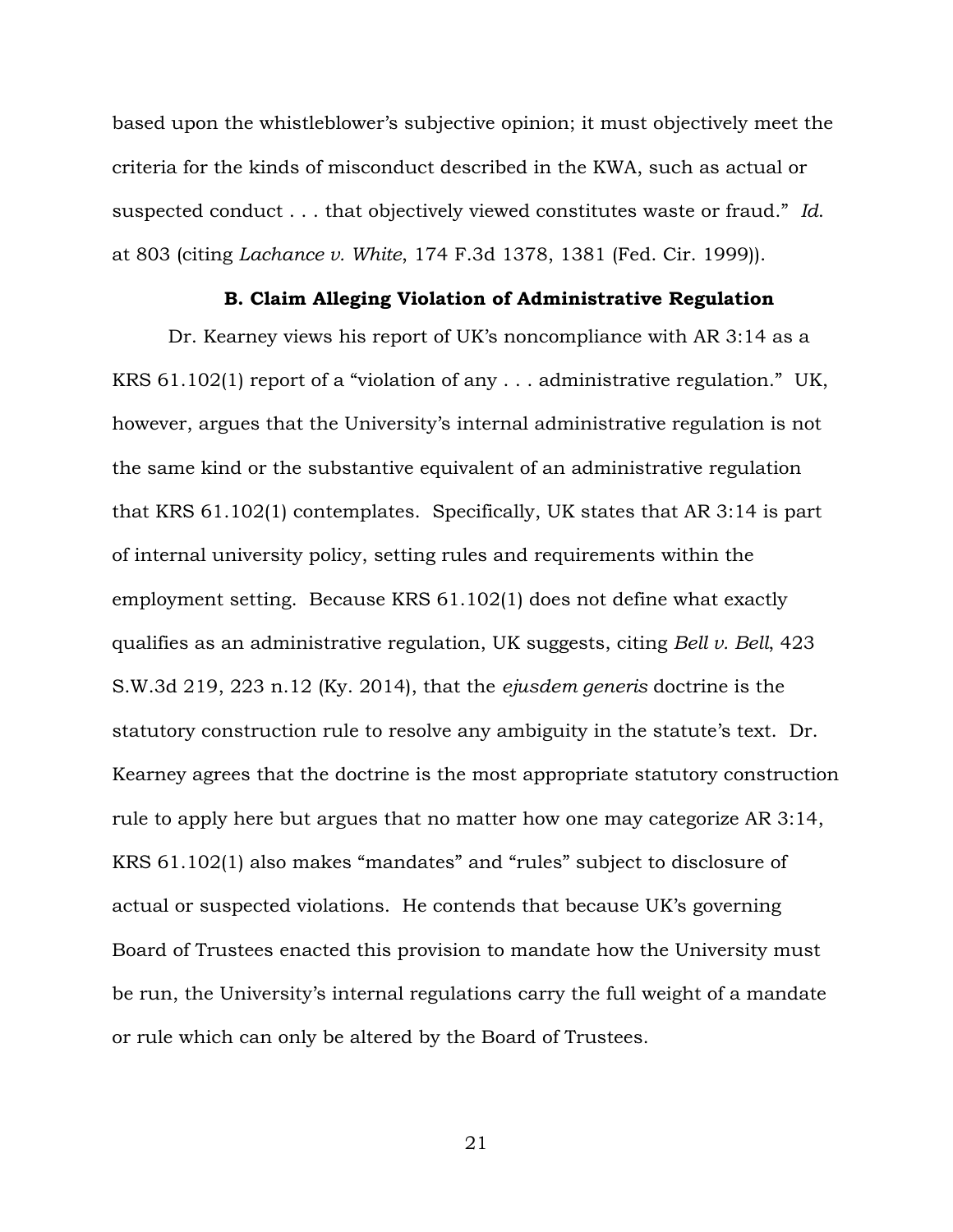based upon the whistleblower's subjective opinion; it must objectively meet the criteria for the kinds of misconduct described in the KWA, such as actual or suspected conduct . . . that objectively viewed constitutes waste or fraud." *Id*. at 803 (citing *Lachance v. White*, 174 F.3d 1378, 1381 (Fed. Cir. 1999)).

## **B. Claim Alleging Violation of Administrative Regulation**

Dr. Kearney views his report of UK's noncompliance with AR 3:14 as a KRS 61.102(1) report of a "violation of any . . . administrative regulation." UK, however, argues that the University's internal administrative regulation is not the same kind or the substantive equivalent of an administrative regulation that KRS 61.102(1) contemplates. Specifically, UK states that AR 3:14 is part of internal university policy, setting rules and requirements within the employment setting. Because KRS 61.102(1) does not define what exactly qualifies as an administrative regulation, UK suggests, citing *Bell v. Bell*, 423 S.W.3d 219, 223 n.12 (Ky. 2014), that the *ejusdem generis* doctrine is the statutory construction rule to resolve any ambiguity in the statute's text. Dr. Kearney agrees that the doctrine is the most appropriate statutory construction rule to apply here but argues that no matter how one may categorize AR 3:14, KRS 61.102(1) also makes "mandates" and "rules" subject to disclosure of actual or suspected violations. He contends that because UK's governing Board of Trustees enacted this provision to mandate how the University must be run, the University's internal regulations carry the full weight of a mandate or rule which can only be altered by the Board of Trustees.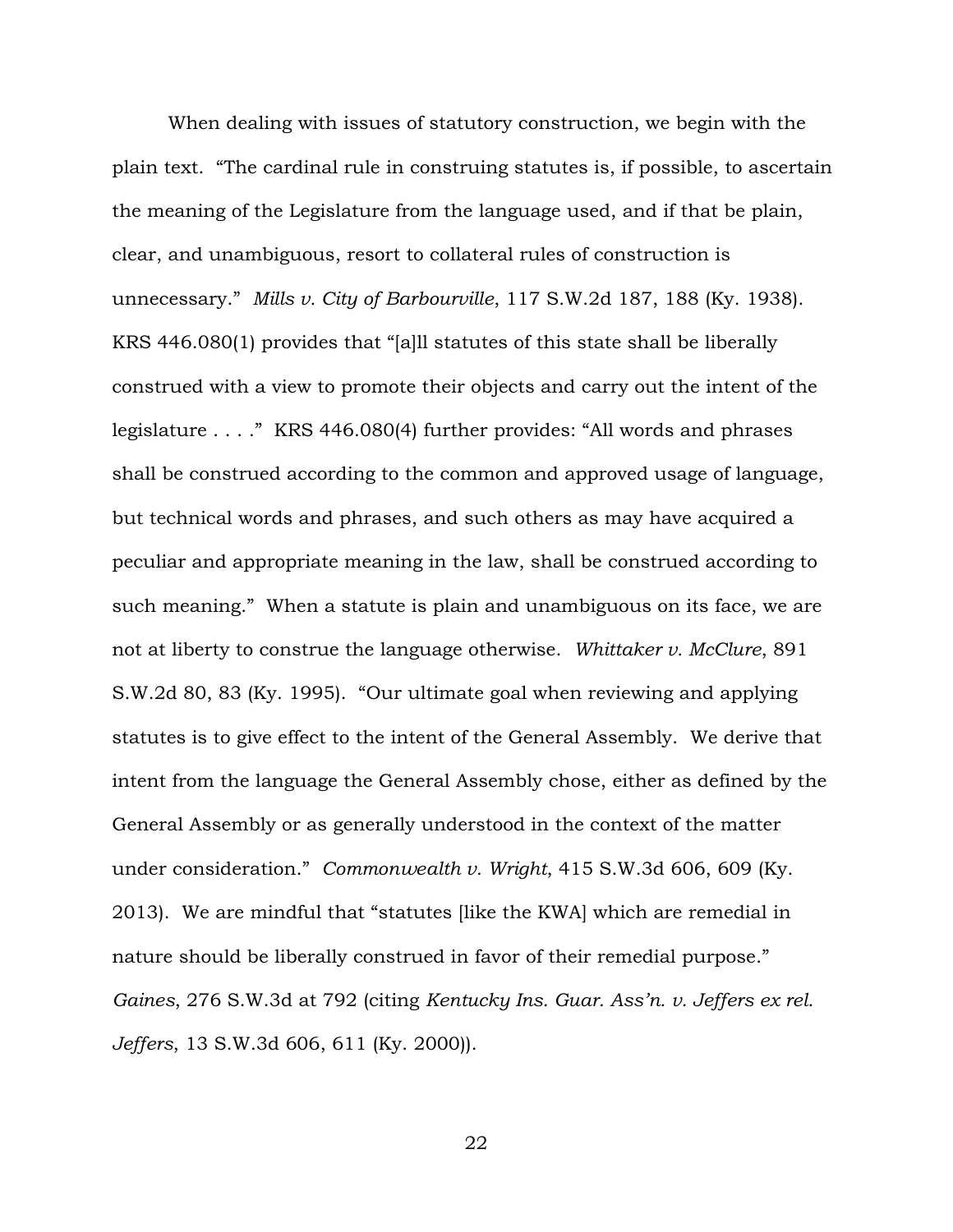When dealing with issues of statutory construction, we begin with the plain text. "The cardinal rule in construing statutes is, if possible, to ascertain the meaning of the Legislature from the language used, and if that be plain, clear, and unambiguous, resort to collateral rules of construction is unnecessary." *Mills v. City of Barbourville*, 117 S.W.2d 187, 188 (Ky. 1938). KRS 446.080(1) provides that "[a]ll statutes of this state shall be liberally construed with a view to promote their objects and carry out the intent of the legislature . . . ." KRS 446.080(4) further provides: "All words and phrases shall be construed according to the common and approved usage of language, but technical words and phrases, and such others as may have acquired a peculiar and appropriate meaning in the law, shall be construed according to such meaning." When a statute is plain and unambiguous on its face, we are not at liberty to construe the language otherwise. *Whittaker v. McClure*, 891 S.W.2d 80, 83 (Ky. 1995). "Our ultimate goal when reviewing and applying statutes is to give effect to the intent of the General Assembly. We derive that intent from the language the General Assembly chose, either as defined by the General Assembly or as generally understood in the context of the matter under consideration." *Commonwealth v. Wright*, 415 S.W.3d 606, 609 (Ky. 2013). We are mindful that "statutes [like the KWA] which are remedial in nature should be liberally construed in favor of their remedial purpose." *Gaines*, 276 S.W.3d at 792 (citing *Kentucky Ins. Guar. Ass'n. v. Jeffers ex rel. Jeffers*, 13 S.W.3d 606, 611 (Ky. 2000)).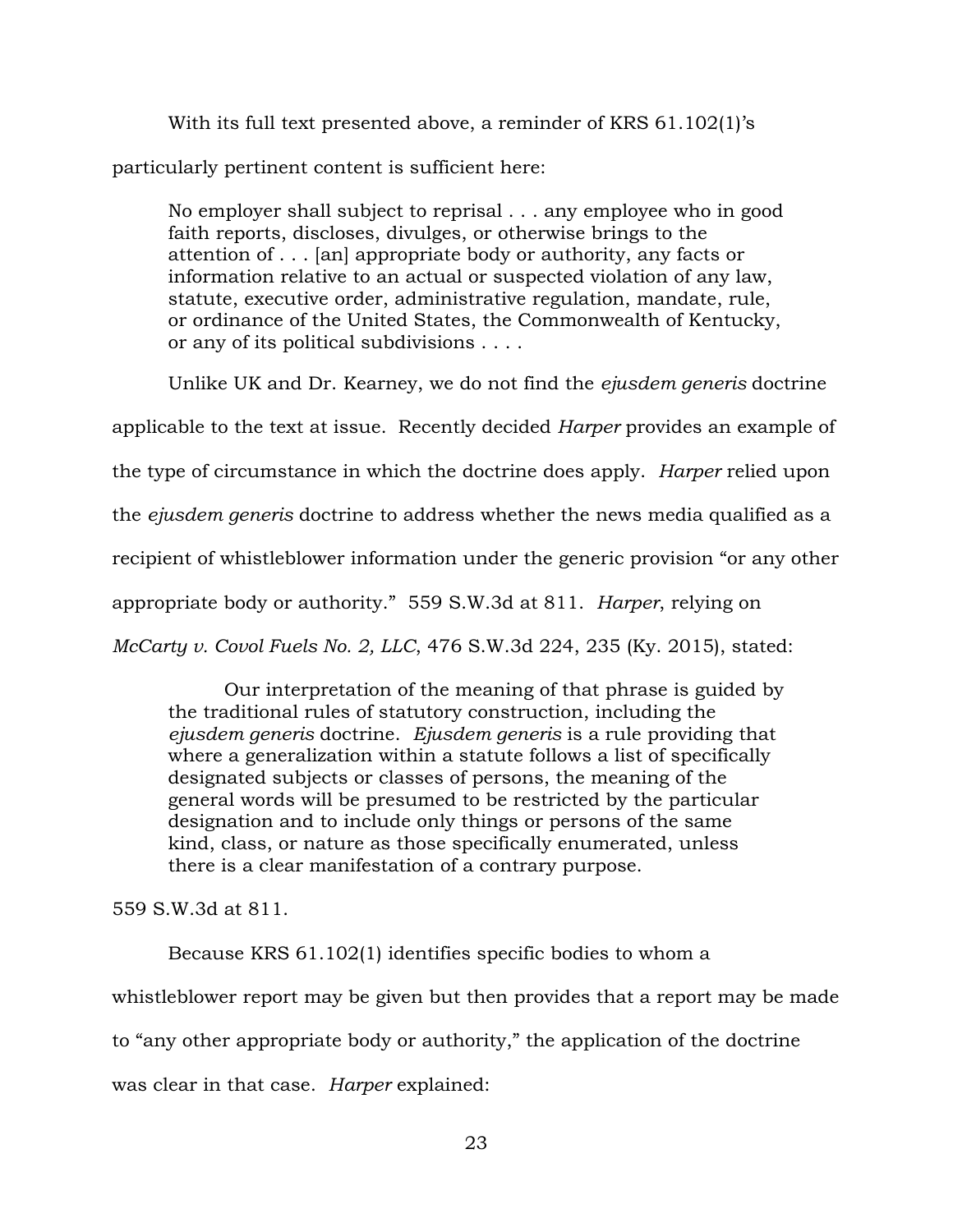With its full text presented above, a reminder of KRS 61.102(1)'s

particularly pertinent content is sufficient here:

No employer shall subject to reprisal . . . any employee who in good faith reports, discloses, divulges, or otherwise brings to the attention of . . . [an] appropriate body or authority, any facts or information relative to an actual or suspected violation of any law, statute, executive order, administrative regulation, mandate, rule, or ordinance of the United States, the Commonwealth of Kentucky, or any of its political subdivisions . . . .

Unlike UK and Dr. Kearney, we do not find the *ejusdem generis* doctrine applicable to the text at issue.Recently decided *Harper* provides an example of the type of circumstance in which the doctrine does apply. *Harper* relied upon the *ejusdem generis* doctrine to address whether the news media qualified as a recipient of whistleblower information under the generic provision "or any other appropriate body or authority." 559 S.W.3d at 811. *Harper*, relying on *McCarty v. Covol Fuels No. 2, LLC*, 476 S.W.3d 224, 235 (Ky. 2015), stated:

Our interpretation of the meaning of that phrase is guided by the traditional rules of statutory construction, including the *ejusdem generis* doctrine. *Ejusdem generis* is a rule providing that where a generalization within a statute follows a list of specifically designated subjects or classes of persons, the meaning of the general words will be presumed to be restricted by the particular designation and to include only things or persons of the same kind, class, or nature as those specifically enumerated, unless there is a clear manifestation of a contrary purpose.

559 S.W.3d at 811.

Because KRS 61.102(1) identifies specific bodies to whom a whistleblower report may be given but then provides that a report may be made to "any other appropriate body or authority," the application of the doctrine was clear in that case. *Harper* explained: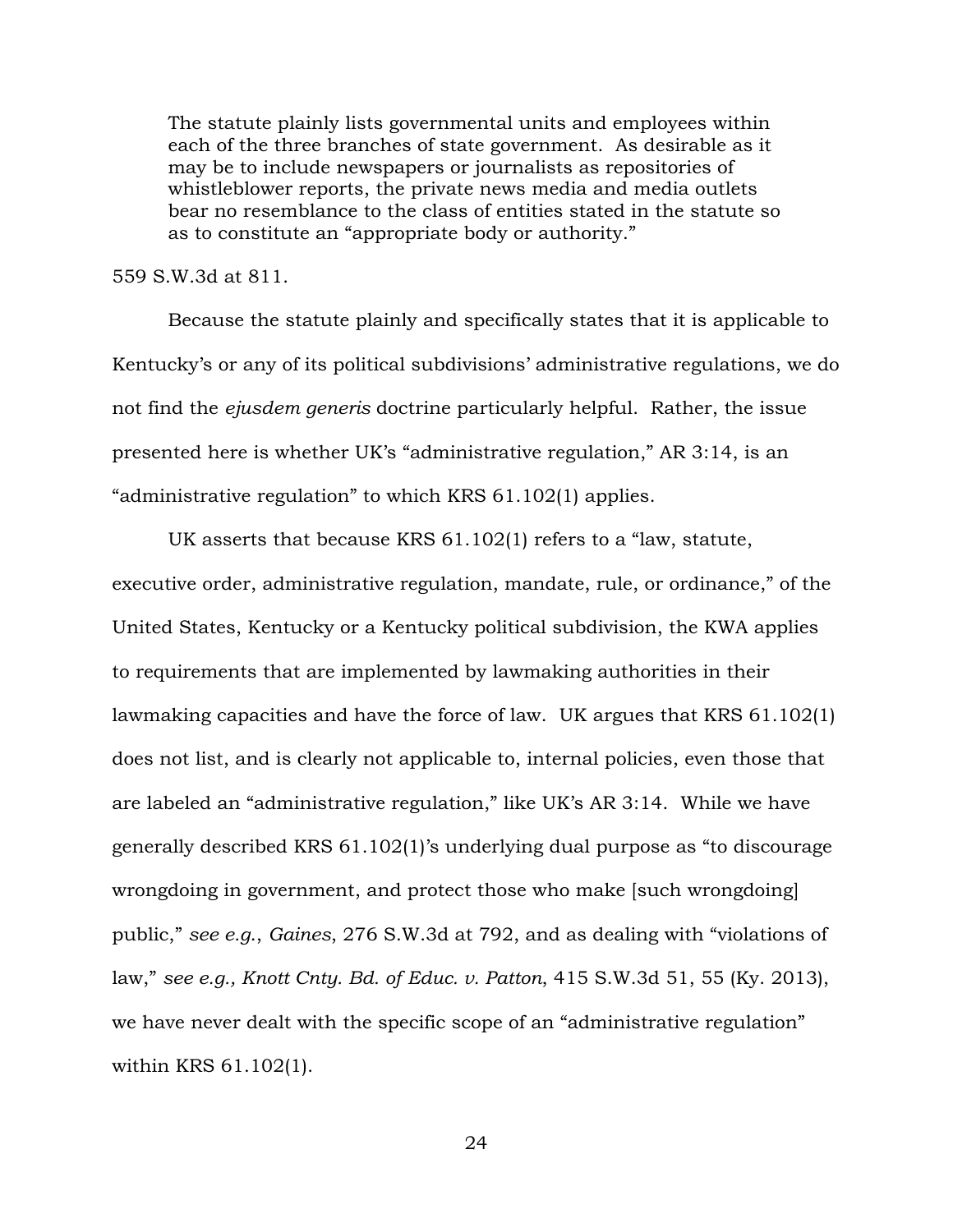The statute plainly lists governmental units and employees within each of the three branches of state government. As desirable as it may be to include newspapers or journalists as repositories of whistleblower reports, the private news media and media outlets bear no resemblance to the class of entities stated in the statute so as to constitute an "appropriate body or authority."

559 S.W.3d at 811.

Because the statute plainly and specifically states that it is applicable to Kentucky's or any of its political subdivisions' administrative regulations, we do not find the *ejusdem generis* doctrine particularly helpful. Rather, the issue presented here is whether UK's "administrative regulation," AR 3:14, is an "administrative regulation" to which KRS 61.102(1) applies.

UK asserts that because KRS 61.102(1) refers to a "law, statute, executive order, administrative regulation, mandate, rule, or ordinance," of the United States, Kentucky or a Kentucky political subdivision, the KWA applies to requirements that are implemented by lawmaking authorities in their lawmaking capacities and have the force of law. UK argues that KRS 61.102(1) does not list, and is clearly not applicable to, internal policies, even those that are labeled an "administrative regulation," like UK's AR 3:14. While we have generally described KRS 61.102(1)'s underlying dual purpose as "to discourage wrongdoing in government, and protect those who make [such wrongdoing] public," *see e.g*., *Gaines*, 276 S.W.3d at 792, and as dealing with "violations of law," *see e.g., Knott Cnty. Bd. of Educ. v. Patton*, 415 S.W.3d 51, 55 (Ky. 2013), we have never dealt with the specific scope of an "administrative regulation" within KRS 61.102(1).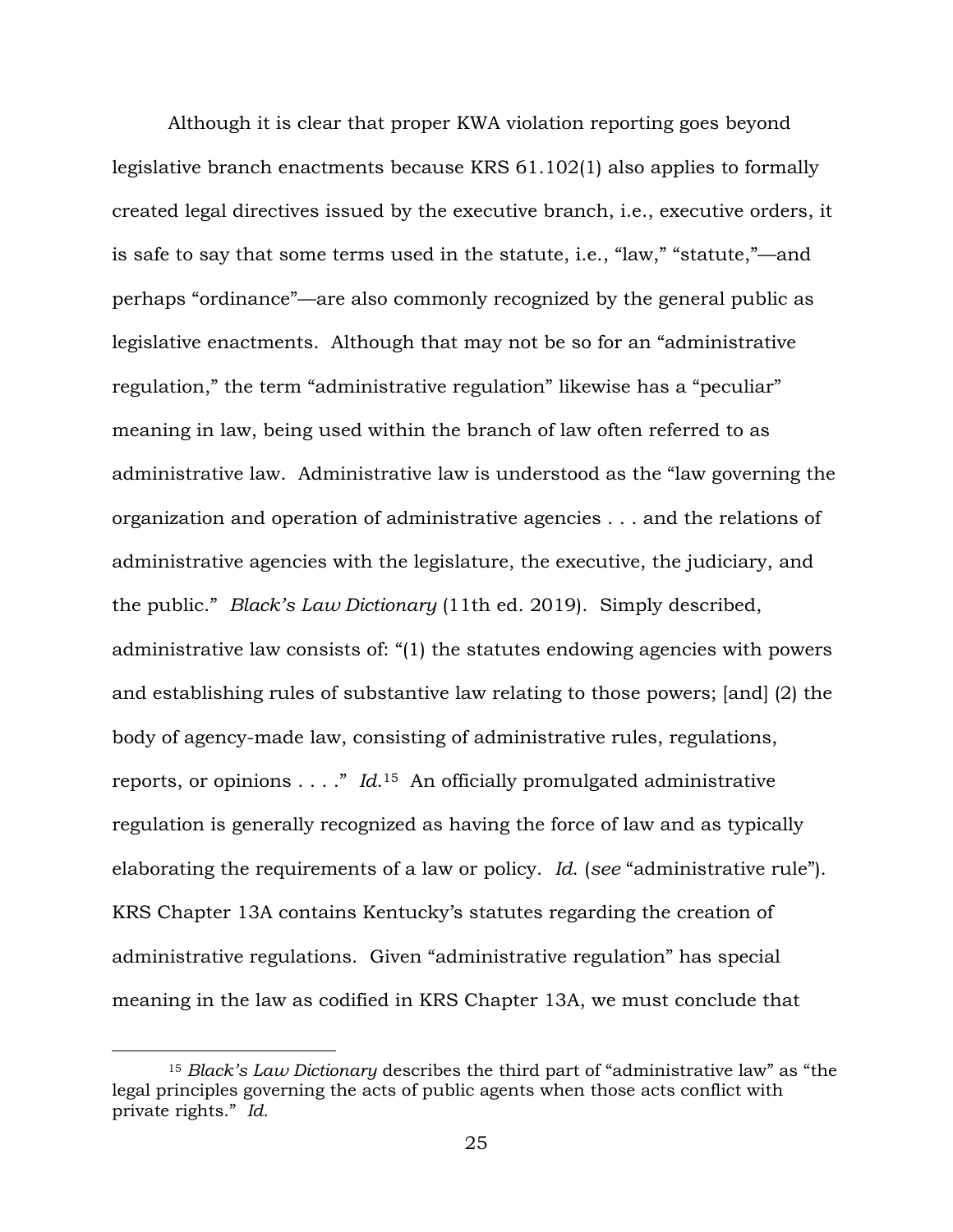Although it is clear that proper KWA violation reporting goes beyond legislative branch enactments because KRS 61.102(1) also applies to formally created legal directives issued by the executive branch, i.e., executive orders, it is safe to say that some terms used in the statute, i.e., "law," "statute,"—and perhaps "ordinance"—are also commonly recognized by the general public as legislative enactments. Although that may not be so for an "administrative regulation," the term "administrative regulation" likewise has a "peculiar" meaning in law, being used within the branch of law often referred to as administrative law. Administrative law is understood as the "law governing the organization and operation of administrative agencies . . . and the relations of administrative agencies with the legislature, the executive, the judiciary, and the public." *Black's Law Dictionary* (11th ed. 2019). Simply described, administrative law consists of: "(1) the statutes endowing agencies with powers and establishing rules of substantive law relating to those powers; [and] (2) the body of agency-made law, consisting of administrative rules, regulations, reports, or opinions . . . ." *Id*. <sup>15</sup> An officially promulgated administrative regulation is generally recognized as having the force of law and as typically elaborating the requirements of a law or policy. *Id*. (*see* "administrative rule"). KRS Chapter 13A contains Kentucky's statutes regarding the creation of administrative regulations. Given "administrative regulation" has special meaning in the law as codified in KRS Chapter 13A, we must conclude that

<sup>15</sup> *Black's Law Dictionary* describes the third part of "administrative law" as "the legal principles governing the acts of public agents when those acts conflict with private rights." *Id.*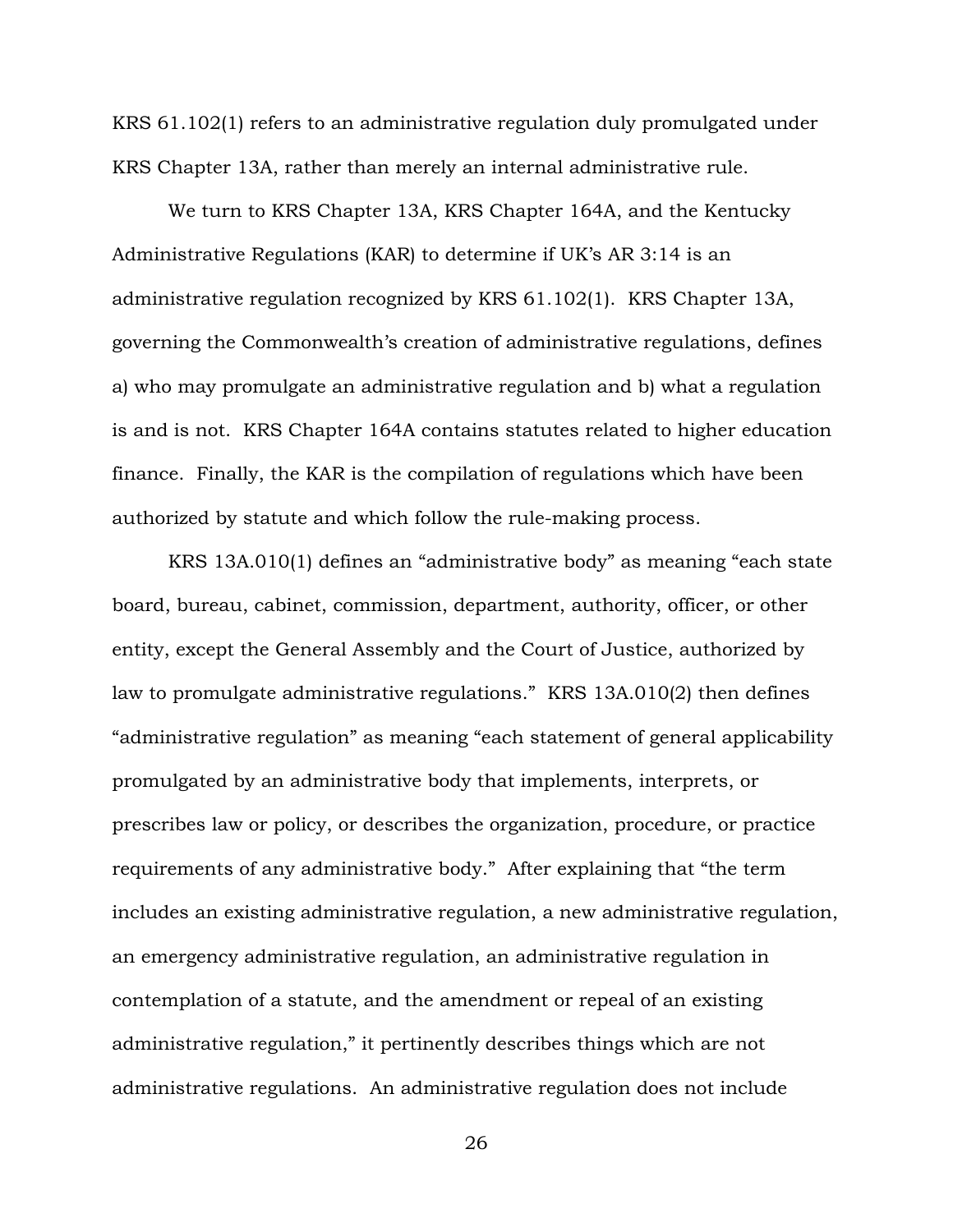KRS 61.102(1) refers to an administrative regulation duly promulgated under KRS Chapter 13A, rather than merely an internal administrative rule.

We turn to KRS Chapter 13A, KRS Chapter 164A, and the Kentucky Administrative Regulations (KAR) to determine if UK's AR 3:14 is an administrative regulation recognized by KRS 61.102(1). KRS Chapter 13A, governing the Commonwealth's creation of administrative regulations, defines a) who may promulgate an administrative regulation and b) what a regulation is and is not. KRS Chapter 164A contains statutes related to higher education finance. Finally, the KAR is the compilation of regulations which have been authorized by statute and which follow the rule-making process.

KRS 13A.010(1) defines an "administrative body" as meaning "each state board, bureau, cabinet, commission, department, authority, officer, or other entity, except the General Assembly and the Court of Justice, authorized by law to promulgate administrative regulations." KRS 13A.010(2) then defines "administrative regulation" as meaning "each statement of general applicability promulgated by an administrative body that implements, interprets, or prescribes law or policy, or describes the organization, procedure, or practice requirements of any administrative body." After explaining that "the term includes an existing administrative regulation, a new administrative regulation, an emergency administrative regulation, an administrative regulation in contemplation of a statute, and the amendment or repeal of an existing administrative regulation," it pertinently describes things which are not administrative regulations. An administrative regulation does not include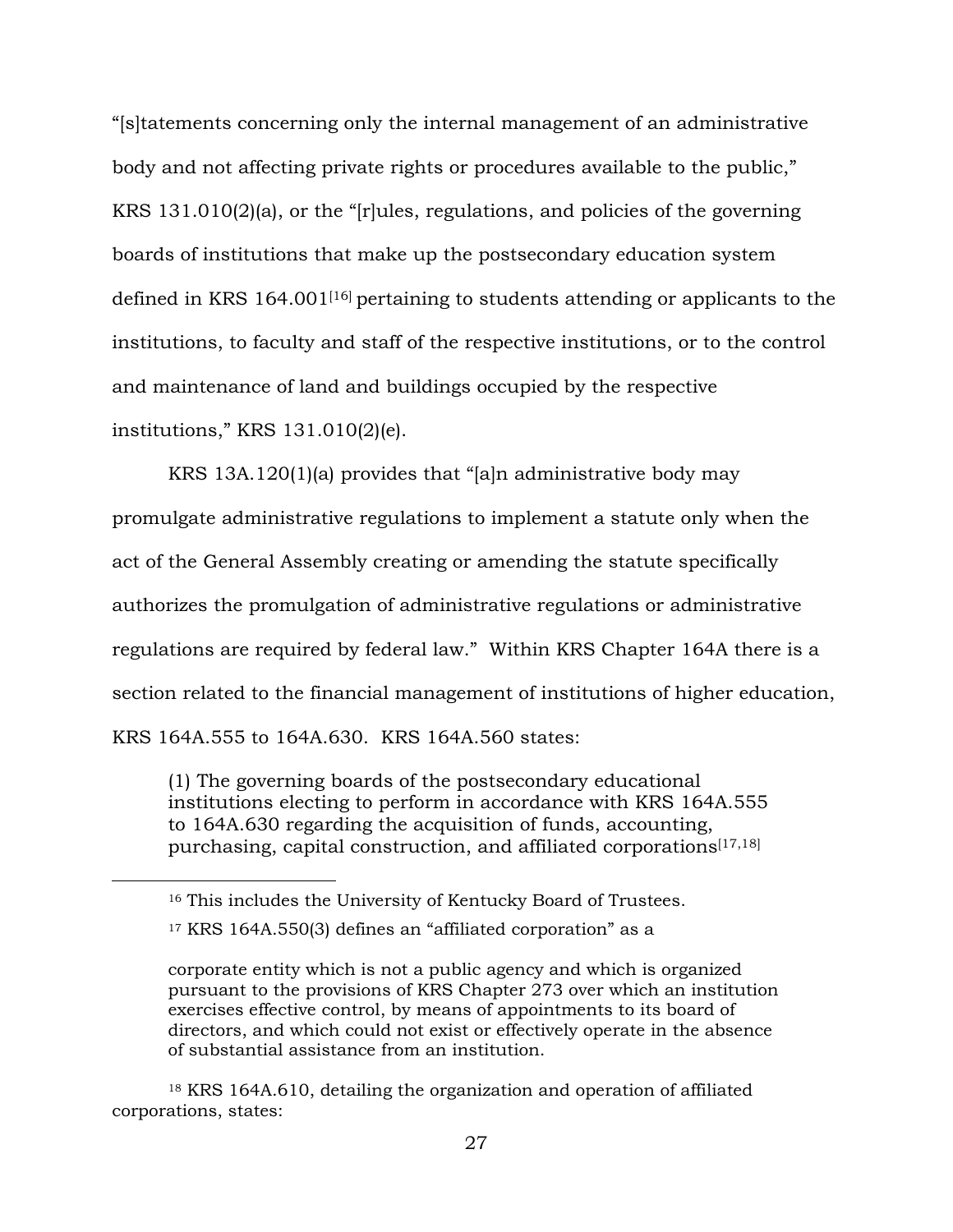"[s]tatements concerning only the internal management of an administrative body and not affecting private rights or procedures available to the public," KRS 131.010(2)(a), or the "[r]ules, regulations, and policies of the governing boards of institutions that make up the postsecondary education system defined in KRS 164.001[16] pertaining to students attending or applicants to the institutions, to faculty and staff of the respective institutions, or to the control and maintenance of land and buildings occupied by the respective institutions," KRS 131.010(2)(e).

KRS 13A.120(1)(a) provides that "[a]n administrative body may promulgate administrative regulations to implement a statute only when the act of the General Assembly creating or amending the statute specifically authorizes the promulgation of administrative regulations or administrative regulations are required by federal law." Within KRS Chapter 164A there is a section related to the financial management of institutions of higher education, KRS 164A.555 to 164A.630. KRS 164A.560 states:

(1) The governing boards of the postsecondary educational institutions electing to perform in accordance with KRS 164A.555 to 164A.630 regarding the acquisition of funds, accounting, purchasing, capital construction, and affiliated corporations<sup>[17,18]</sup>

 $\overline{a}$ 

<sup>18</sup> KRS 164A.610, detailing the organization and operation of affiliated corporations, states:

<sup>16</sup> This includes the University of Kentucky Board of Trustees.

<sup>17</sup> KRS 164A.550(3) defines an "affiliated corporation" as a

corporate entity which is not a public agency and which is organized pursuant to the provisions of KRS Chapter 273 over which an institution exercises effective control, by means of appointments to its board of directors, and which could not exist or effectively operate in the absence of substantial assistance from an institution.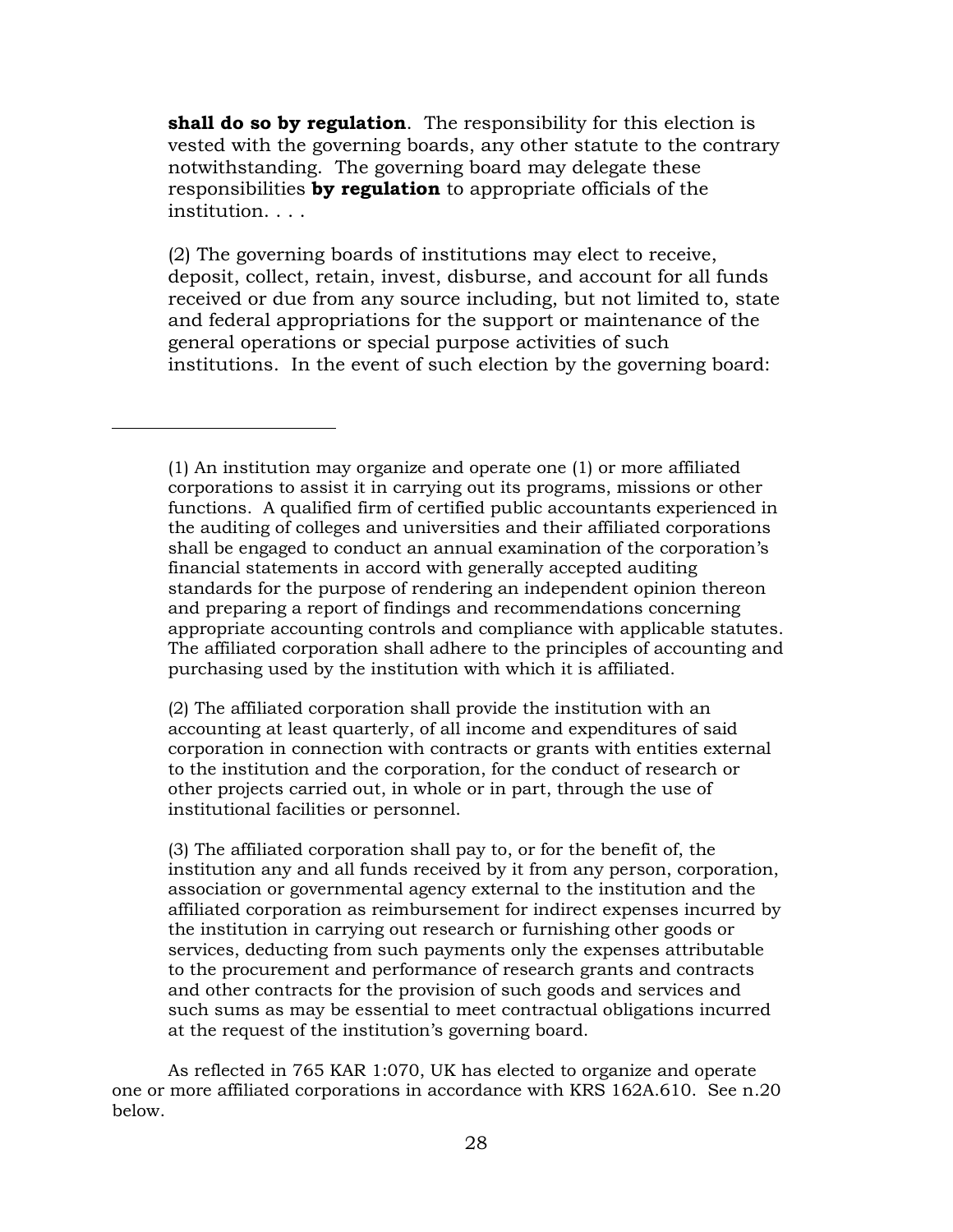**shall do so by regulation**. The responsibility for this election is vested with the governing boards, any other statute to the contrary notwithstanding. The governing board may delegate these responsibilities **by regulation** to appropriate officials of the institution. . . .

(2) The governing boards of institutions may elect to receive, deposit, collect, retain, invest, disburse, and account for all funds received or due from any source including, but not limited to, state and federal appropriations for the support or maintenance of the general operations or special purpose activities of such institutions. In the event of such election by the governing board:

 $\overline{a}$ 

(2) The affiliated corporation shall provide the institution with an accounting at least quarterly, of all income and expenditures of said corporation in connection with contracts or grants with entities external to the institution and the corporation, for the conduct of research or other projects carried out, in whole or in part, through the use of institutional facilities or personnel.

(3) The affiliated corporation shall pay to, or for the benefit of, the institution any and all funds received by it from any person, corporation, association or governmental agency external to the institution and the affiliated corporation as reimbursement for indirect expenses incurred by the institution in carrying out research or furnishing other goods or services, deducting from such payments only the expenses attributable to the procurement and performance of research grants and contracts and other contracts for the provision of such goods and services and such sums as may be essential to meet contractual obligations incurred at the request of the institution's governing board.

As reflected in 765 KAR 1:070, UK has elected to organize and operate one or more affiliated corporations in accordance with KRS 162A.610. See n.20 below.

<sup>(1)</sup> An institution may organize and operate one (1) or more affiliated corporations to assist it in carrying out its programs, missions or other functions. A qualified firm of certified public accountants experienced in the auditing of colleges and universities and their affiliated corporations shall be engaged to conduct an annual examination of the corporation's financial statements in accord with generally accepted auditing standards for the purpose of rendering an independent opinion thereon and preparing a report of findings and recommendations concerning appropriate accounting controls and compliance with applicable statutes. The affiliated corporation shall adhere to the principles of accounting and purchasing used by the institution with which it is affiliated.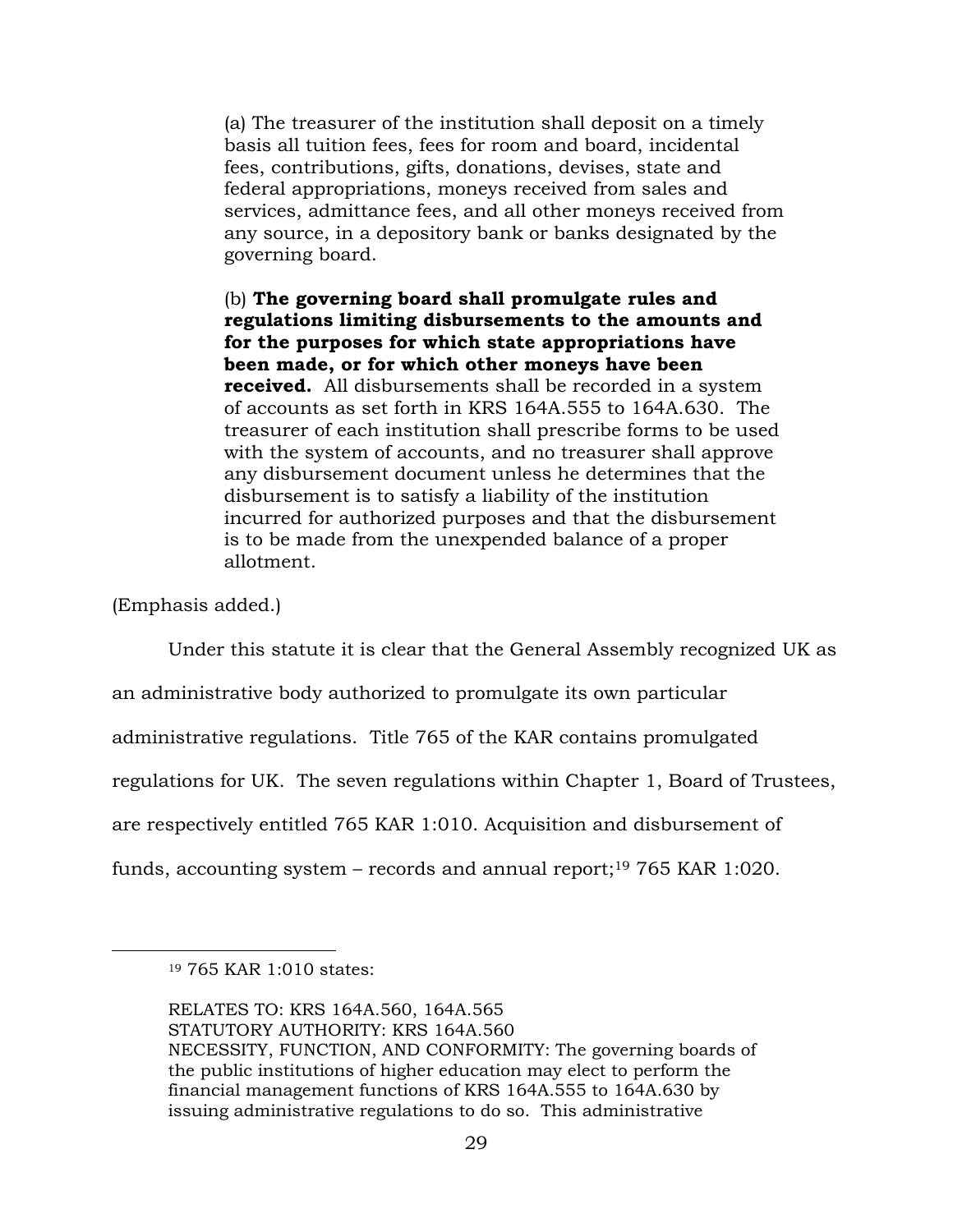(a) The treasurer of the institution shall deposit on a timely basis all tuition fees, fees for room and board, incidental fees, contributions, gifts, donations, devises, state and federal appropriations, moneys received from sales and services, admittance fees, and all other moneys received from any source, in a depository bank or banks designated by the governing board.

(b) **The governing board shall promulgate rules and regulations limiting disbursements to the amounts and for the purposes for which state appropriations have been made, or for which other moneys have been received.** All disbursements shall be recorded in a system of accounts as set forth in KRS 164A.555 to 164A.630. The treasurer of each institution shall prescribe forms to be used with the system of accounts, and no treasurer shall approve any disbursement document unless he determines that the disbursement is to satisfy a liability of the institution incurred for authorized purposes and that the disbursement is to be made from the unexpended balance of a proper allotment.

(Emphasis added.)

 $\overline{a}$ 

Under this statute it is clear that the General Assembly recognized UK as

an administrative body authorized to promulgate its own particular

administrative regulations. Title 765 of the KAR contains promulgated

regulations for UK. The seven regulations within Chapter 1, Board of Trustees,

are respectively entitled 765 KAR 1:010. Acquisition and disbursement of

funds, accounting system – records and annual report; <sup>19</sup> 765 KAR 1:020.

<sup>19</sup> 765 KAR 1:010 states:

RELATES TO: KRS 164A.560, 164A.565 STATUTORY AUTHORITY: KRS 164A.560 NECESSITY, FUNCTION, AND CONFORMITY: The governing boards of the public institutions of higher education may elect to perform the financial management functions of KRS 164A.555 to 164A.630 by issuing administrative regulations to do so. This administrative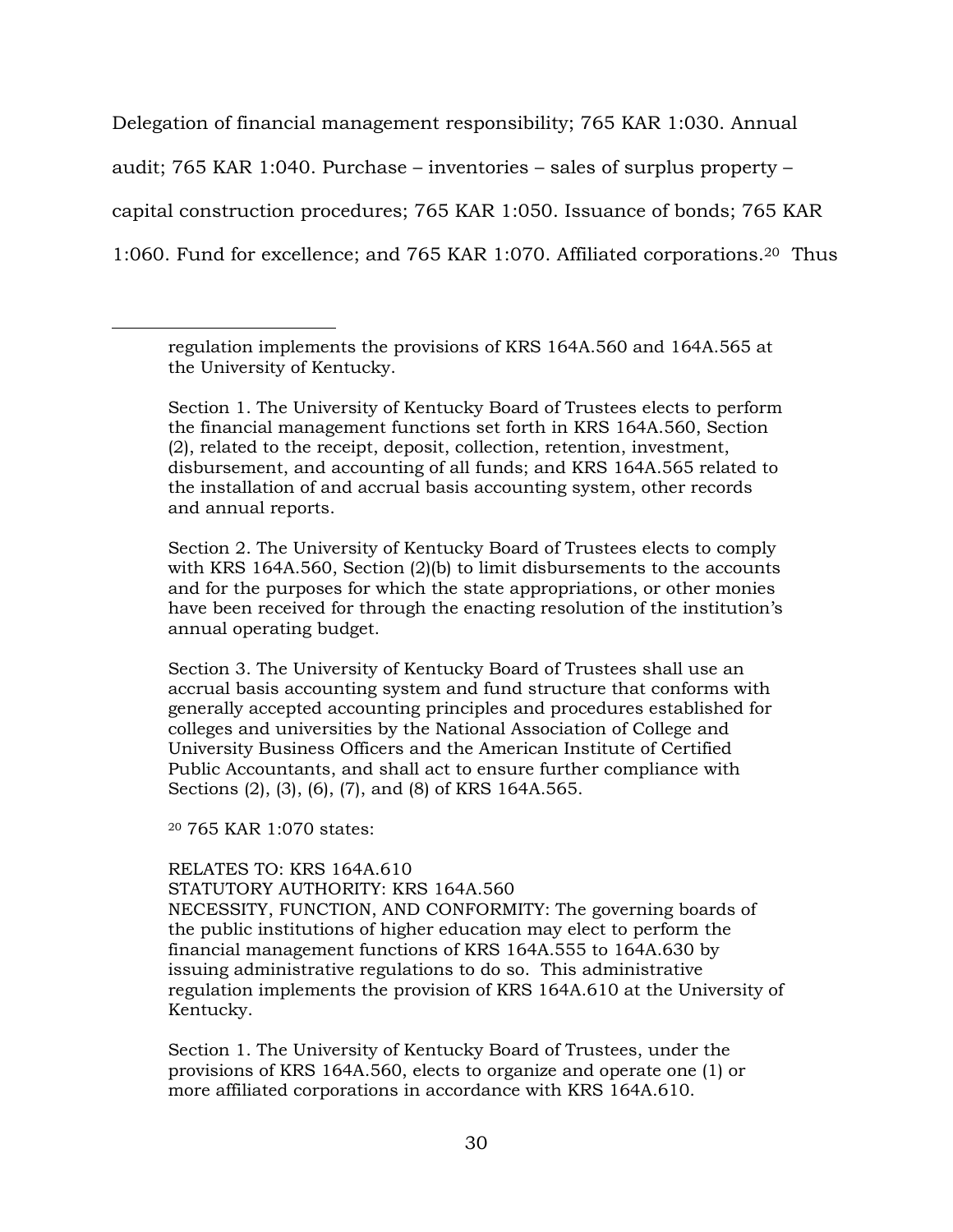Delegation of financial management responsibility; 765 KAR 1:030. Annual audit; 765 KAR 1:040. Purchase – inventories – sales of surplus property – capital construction procedures; 765 KAR 1:050. Issuance of bonds; 765 KAR 1:060. Fund for excellence; and 765 KAR 1:070. Affiliated corporations. <sup>20</sup> Thus

Section 1. The University of Kentucky Board of Trustees elects to perform the financial management functions set forth in KRS 164A.560, Section (2), related to the receipt, deposit, collection, retention, investment, disbursement, and accounting of all funds; and KRS 164A.565 related to the installation of and accrual basis accounting system, other records and annual reports.

Section 2. The University of Kentucky Board of Trustees elects to comply with KRS 164A.560, Section (2)(b) to limit disbursements to the accounts and for the purposes for which the state appropriations, or other monies have been received for through the enacting resolution of the institution's annual operating budget.

Section 3. The University of Kentucky Board of Trustees shall use an accrual basis accounting system and fund structure that conforms with generally accepted accounting principles and procedures established for colleges and universities by the National Association of College and University Business Officers and the American Institute of Certified Public Accountants, and shall act to ensure further compliance with Sections (2), (3), (6), (7), and (8) of KRS 164A.565.

<sup>20</sup> 765 KAR 1:070 states:

 $\overline{a}$ 

RELATES TO: KRS 164A.610 STATUTORY AUTHORITY: KRS 164A.560

NECESSITY, FUNCTION, AND CONFORMITY: The governing boards of the public institutions of higher education may elect to perform the financial management functions of KRS 164A.555 to 164A.630 by issuing administrative regulations to do so. This administrative regulation implements the provision of KRS 164A.610 at the University of Kentucky.

Section 1. The University of Kentucky Board of Trustees, under the provisions of KRS 164A.560, elects to organize and operate one (1) or more affiliated corporations in accordance with KRS 164A.610.

regulation implements the provisions of KRS 164A.560 and 164A.565 at the University of Kentucky.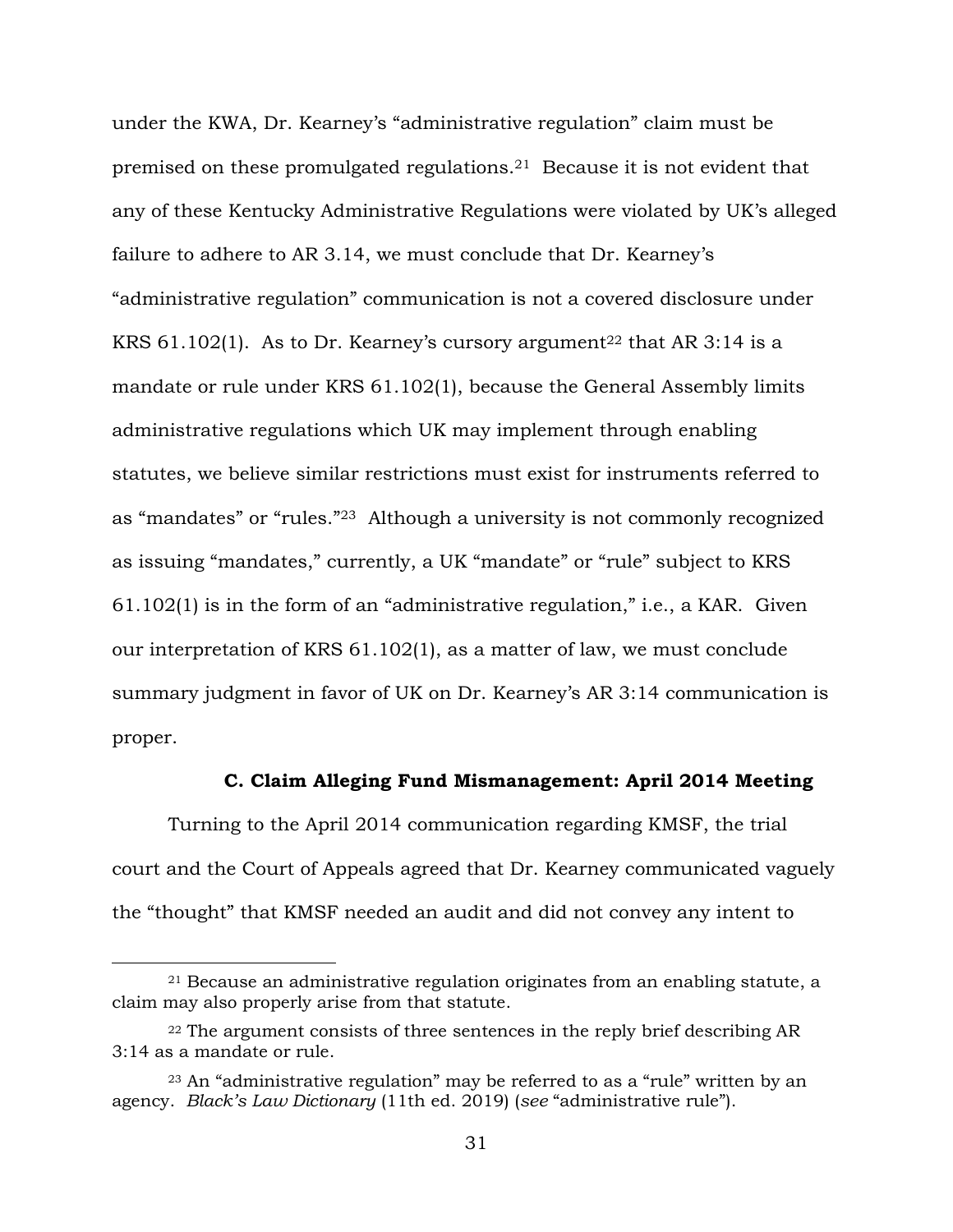under the KWA, Dr. Kearney's "administrative regulation" claim must be premised on these promulgated regulations.21 Because it is not evident that any of these Kentucky Administrative Regulations were violated by UK's alleged failure to adhere to AR 3.14, we must conclude that Dr. Kearney's "administrative regulation" communication is not a covered disclosure under KRS  $61.102(1)$ . As to Dr. Kearney's cursory argument<sup>22</sup> that AR 3:14 is a mandate or rule under KRS 61.102(1), because the General Assembly limits administrative regulations which UK may implement through enabling statutes, we believe similar restrictions must exist for instruments referred to as "mandates" or "rules."23 Although a university is not commonly recognized as issuing "mandates," currently, a UK "mandate" or "rule" subject to KRS 61.102(1) is in the form of an "administrative regulation," i.e., a KAR. Given our interpretation of KRS 61.102(1), as a matter of law, we must conclude summary judgment in favor of UK on Dr. Kearney's AR 3:14 communication is proper.

## **C. Claim Alleging Fund Mismanagement: April 2014 Meeting**

Turning to the April 2014 communication regarding KMSF, the trial court and the Court of Appeals agreed that Dr. Kearney communicated vaguely the "thought" that KMSF needed an audit and did not convey any intent to

<sup>21</sup> Because an administrative regulation originates from an enabling statute, a claim may also properly arise from that statute.

 $22$  The argument consists of three sentences in the reply brief describing AR 3:14 as a mandate or rule.

<sup>23</sup> An "administrative regulation" may be referred to as a "rule" written by an agency. *Black's Law Dictionary* (11th ed. 2019) (*see* "administrative rule").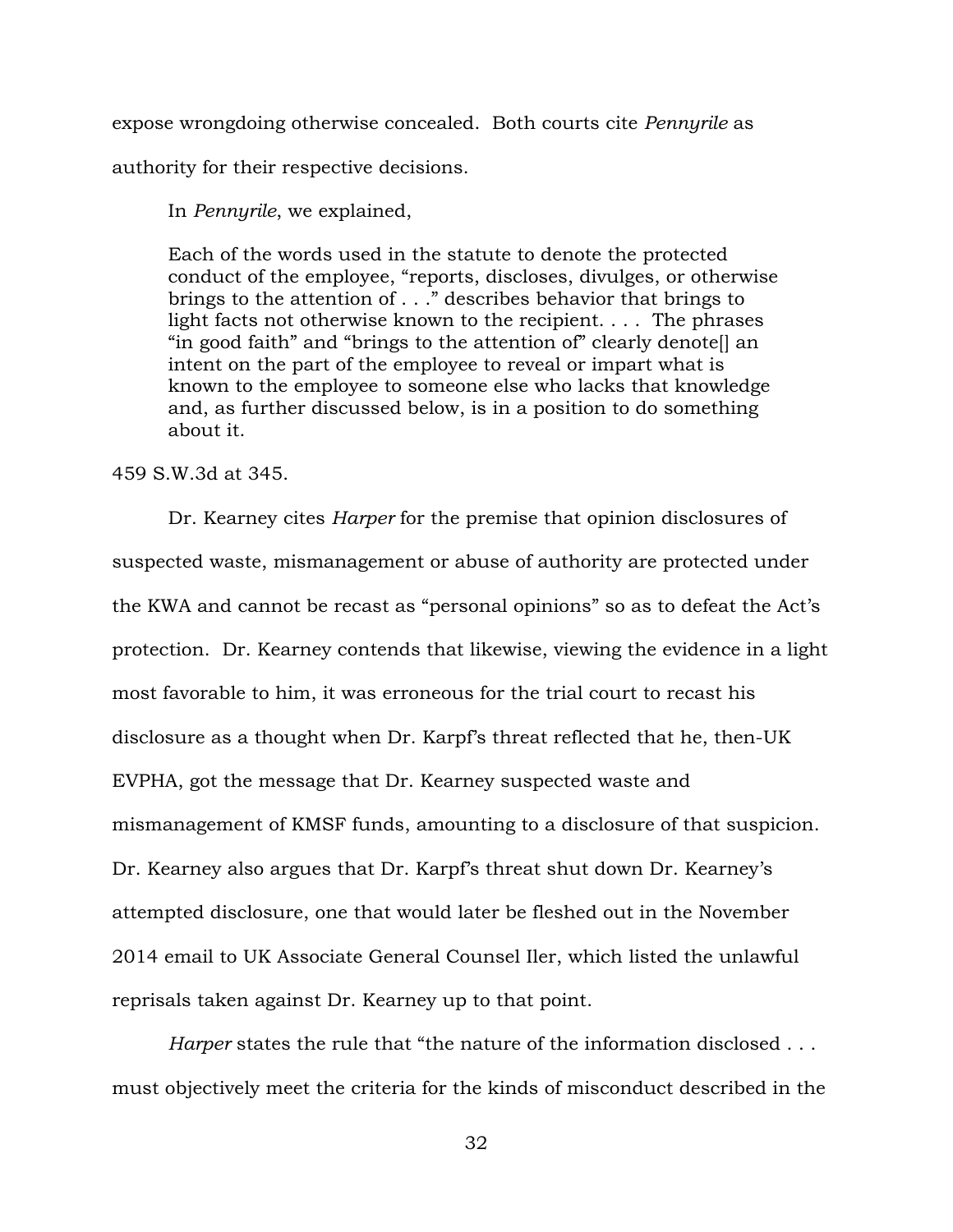expose wrongdoing otherwise concealed. Both courts cite *Pennyrile* as authority for their respective decisions.

In *Pennyrile*, we explained,

Each of the words used in the statute to denote the protected conduct of the employee, "reports, discloses, divulges, or otherwise brings to the attention of . . ." describes behavior that brings to light facts not otherwise known to the recipient. . . . The phrases "in good faith" and "brings to the attention of" clearly denote[] an intent on the part of the employee to reveal or impart what is known to the employee to someone else who lacks that knowledge and, as further discussed below, is in a position to do something about it.

459 S.W.3d at 345.

Dr. Kearney cites *Harper* for the premise that opinion disclosures of suspected waste, mismanagement or abuse of authority are protected under the KWA and cannot be recast as "personal opinions" so as to defeat the Act's protection. Dr. Kearney contends that likewise, viewing the evidence in a light most favorable to him, it was erroneous for the trial court to recast his disclosure as a thought when Dr. Karpf's threat reflected that he, then-UK EVPHA, got the message that Dr. Kearney suspected waste and mismanagement of KMSF funds, amounting to a disclosure of that suspicion. Dr. Kearney also argues that Dr. Karpf's threat shut down Dr. Kearney's attempted disclosure, one that would later be fleshed out in the November 2014 email to UK Associate General Counsel Iler, which listed the unlawful reprisals taken against Dr. Kearney up to that point.

*Harper* states the rule that "the nature of the information disclosed . . . must objectively meet the criteria for the kinds of misconduct described in the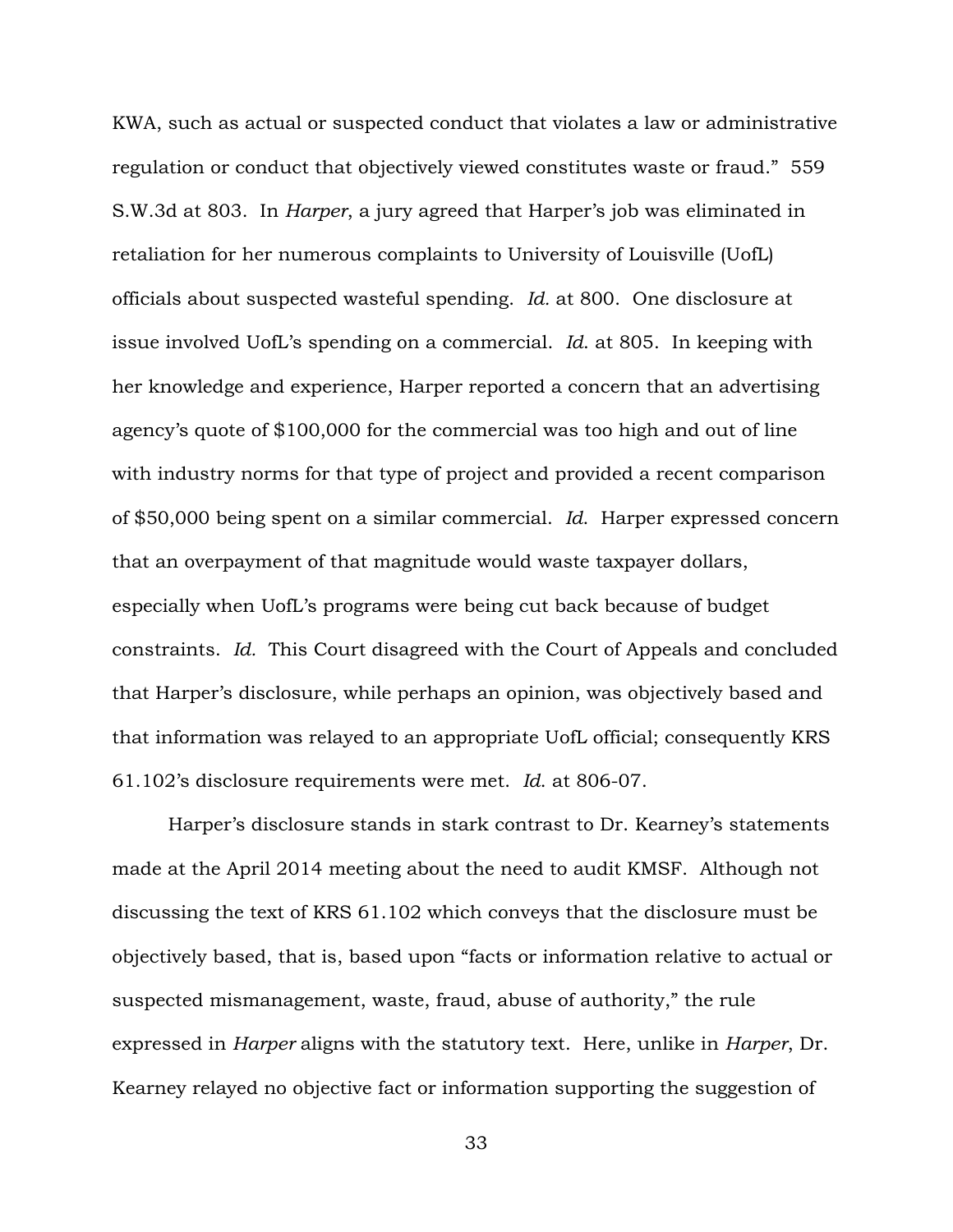KWA, such as actual or suspected conduct that violates a law or administrative regulation or conduct that objectively viewed constitutes waste or fraud." 559 S.W.3d at 803. In *Harper*, a jury agreed that Harper's job was eliminated in retaliation for her numerous complaints to University of Louisville (UofL) officials about suspected wasteful spending. *Id.* at 800. One disclosure at issue involved UofL's spending on a commercial. *Id*. at 805. In keeping with her knowledge and experience, Harper reported a concern that an advertising agency's quote of \$100,000 for the commercial was too high and out of line with industry norms for that type of project and provided a recent comparison of \$50,000 being spent on a similar commercial. *Id*. Harper expressed concern that an overpayment of that magnitude would waste taxpayer dollars, especially when UofL's programs were being cut back because of budget constraints. *Id.* This Court disagreed with the Court of Appeals and concluded that Harper's disclosure, while perhaps an opinion, was objectively based and that information was relayed to an appropriate UofL official; consequently KRS 61.102's disclosure requirements were met. *Id*. at 806-07.

Harper's disclosure stands in stark contrast to Dr. Kearney's statements made at the April 2014 meeting about the need to audit KMSF. Although not discussing the text of KRS 61.102 which conveys that the disclosure must be objectively based, that is, based upon "facts or information relative to actual or suspected mismanagement, waste, fraud, abuse of authority," the rule expressed in *Harper* aligns with the statutory text. Here, unlike in *Harper*, Dr. Kearney relayed no objective fact or information supporting the suggestion of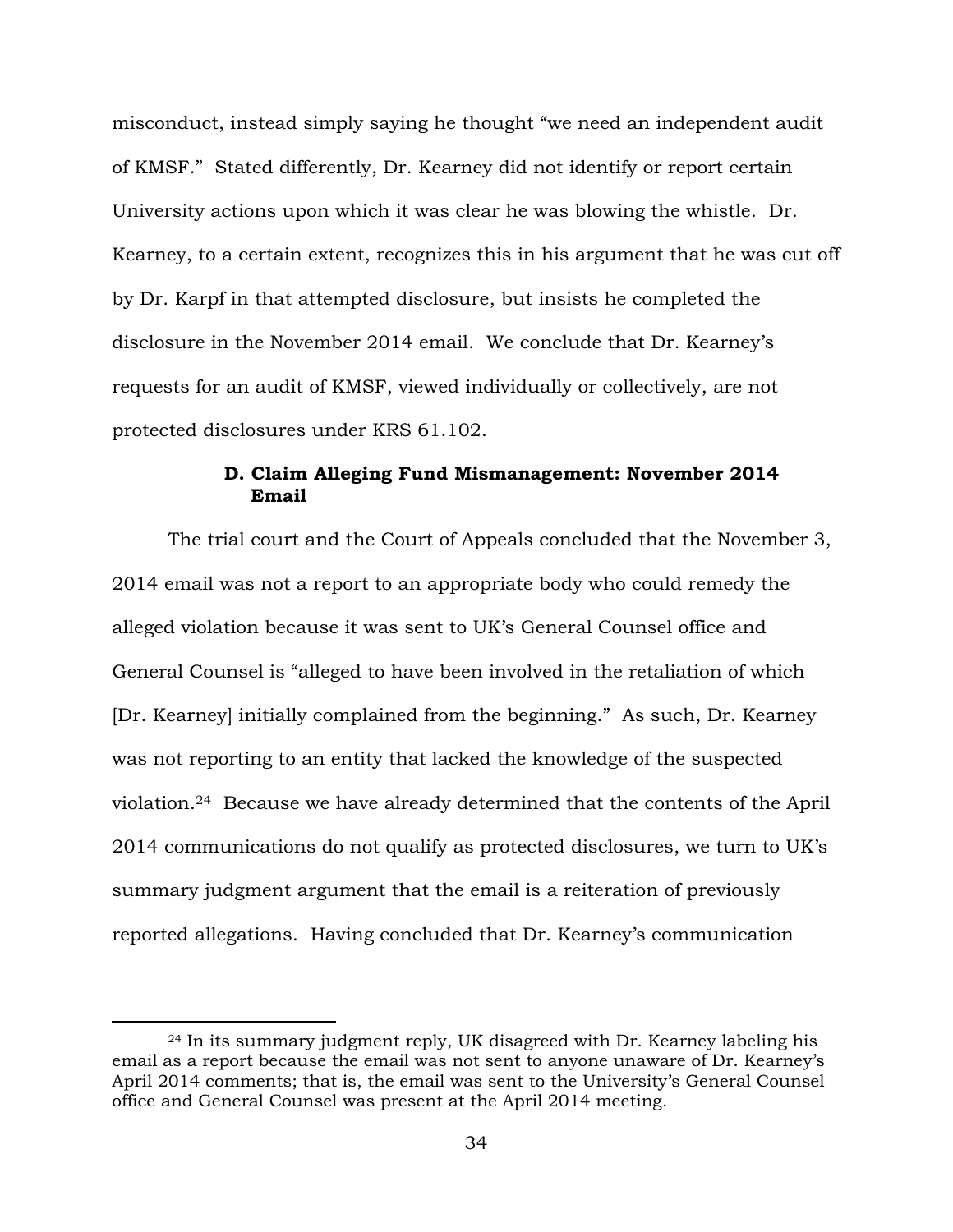misconduct, instead simply saying he thought "we need an independent audit of KMSF." Stated differently, Dr. Kearney did not identify or report certain University actions upon which it was clear he was blowing the whistle. Dr. Kearney, to a certain extent, recognizes this in his argument that he was cut off by Dr. Karpf in that attempted disclosure, but insists he completed the disclosure in the November 2014 email. We conclude that Dr. Kearney's requests for an audit of KMSF, viewed individually or collectively, are not protected disclosures under KRS 61.102.

# **D. Claim Alleging Fund Mismanagement: November 2014 Email**

The trial court and the Court of Appeals concluded that the November 3, 2014 email was not a report to an appropriate body who could remedy the alleged violation because it was sent to UK's General Counsel office and General Counsel is "alleged to have been involved in the retaliation of which [Dr. Kearney] initially complained from the beginning." As such, Dr. Kearney was not reporting to an entity that lacked the knowledge of the suspected violation.24 Because we have already determined that the contents of the April 2014 communications do not qualify as protected disclosures, we turn to UK's summary judgment argument that the email is a reiteration of previously reported allegations. Having concluded that Dr. Kearney's communication

<sup>24</sup> In its summary judgment reply, UK disagreed with Dr. Kearney labeling his email as a report because the email was not sent to anyone unaware of Dr. Kearney's April 2014 comments; that is, the email was sent to the University's General Counsel office and General Counsel was present at the April 2014 meeting.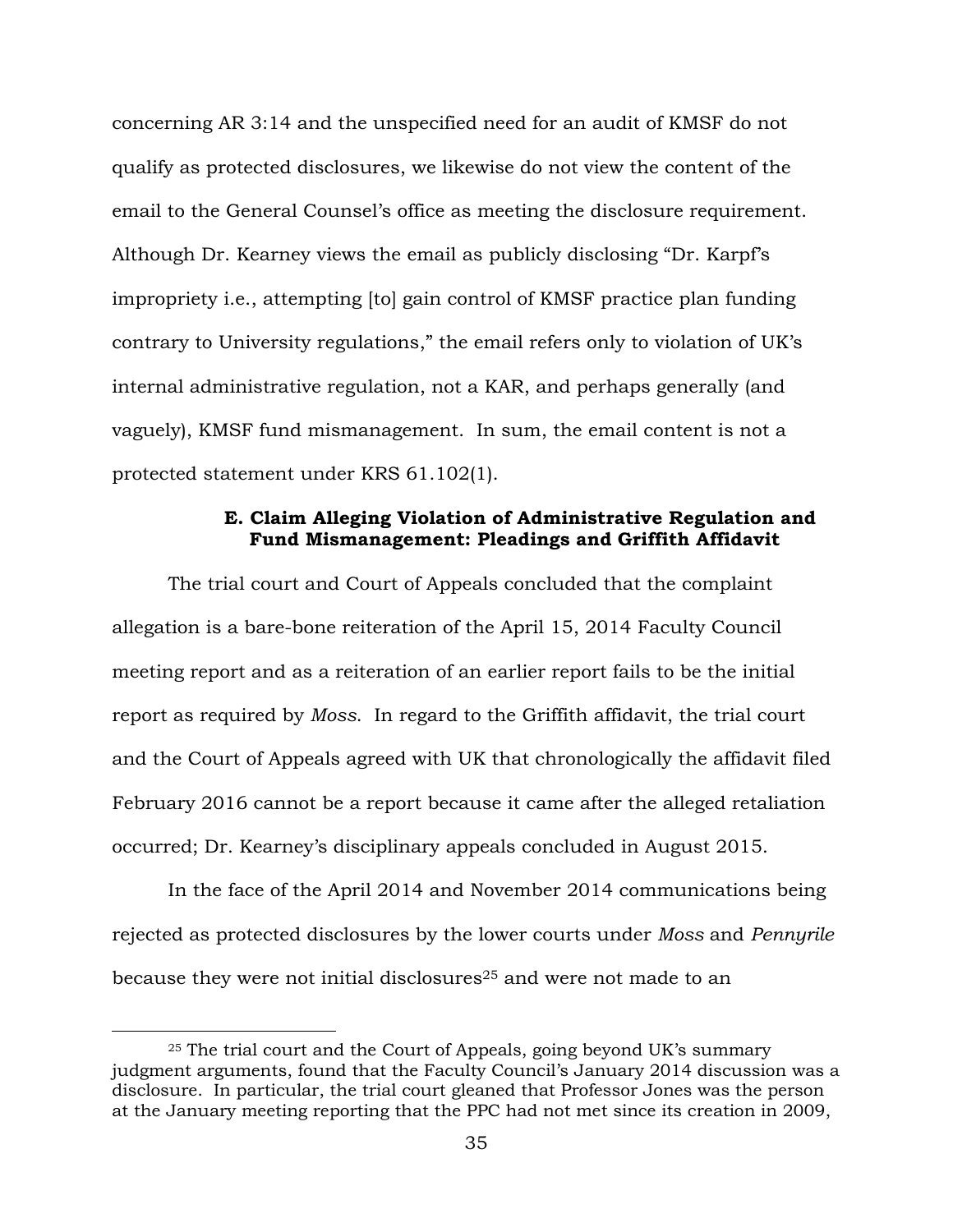concerning AR 3:14 and the unspecified need for an audit of KMSF do not qualify as protected disclosures, we likewise do not view the content of the email to the General Counsel's office as meeting the disclosure requirement. Although Dr. Kearney views the email as publicly disclosing "Dr. Karpf's impropriety i.e., attempting [to] gain control of KMSF practice plan funding contrary to University regulations," the email refers only to violation of UK's internal administrative regulation, not a KAR, and perhaps generally (and vaguely), KMSF fund mismanagement. In sum, the email content is not a protected statement under KRS 61.102(1).

# **E. Claim Alleging Violation of Administrative Regulation and Fund Mismanagement: Pleadings and Griffith Affidavit**

The trial court and Court of Appeals concluded that the complaint allegation is a bare-bone reiteration of the April 15, 2014 Faculty Council meeting report and as a reiteration of an earlier report fails to be the initial report as required by *Moss*. In regard to the Griffith affidavit, the trial court and the Court of Appeals agreed with UK that chronologically the affidavit filed February 2016 cannot be a report because it came after the alleged retaliation occurred; Dr. Kearney's disciplinary appeals concluded in August 2015.

In the face of the April 2014 and November 2014 communications being rejected as protected disclosures by the lower courts under *Moss* and *Pennyrile* because they were not initial disclosures<sup>25</sup> and were not made to an

<sup>25</sup> The trial court and the Court of Appeals, going beyond UK's summary judgment arguments, found that the Faculty Council's January 2014 discussion was a disclosure. In particular, the trial court gleaned that Professor Jones was the person at the January meeting reporting that the PPC had not met since its creation in 2009,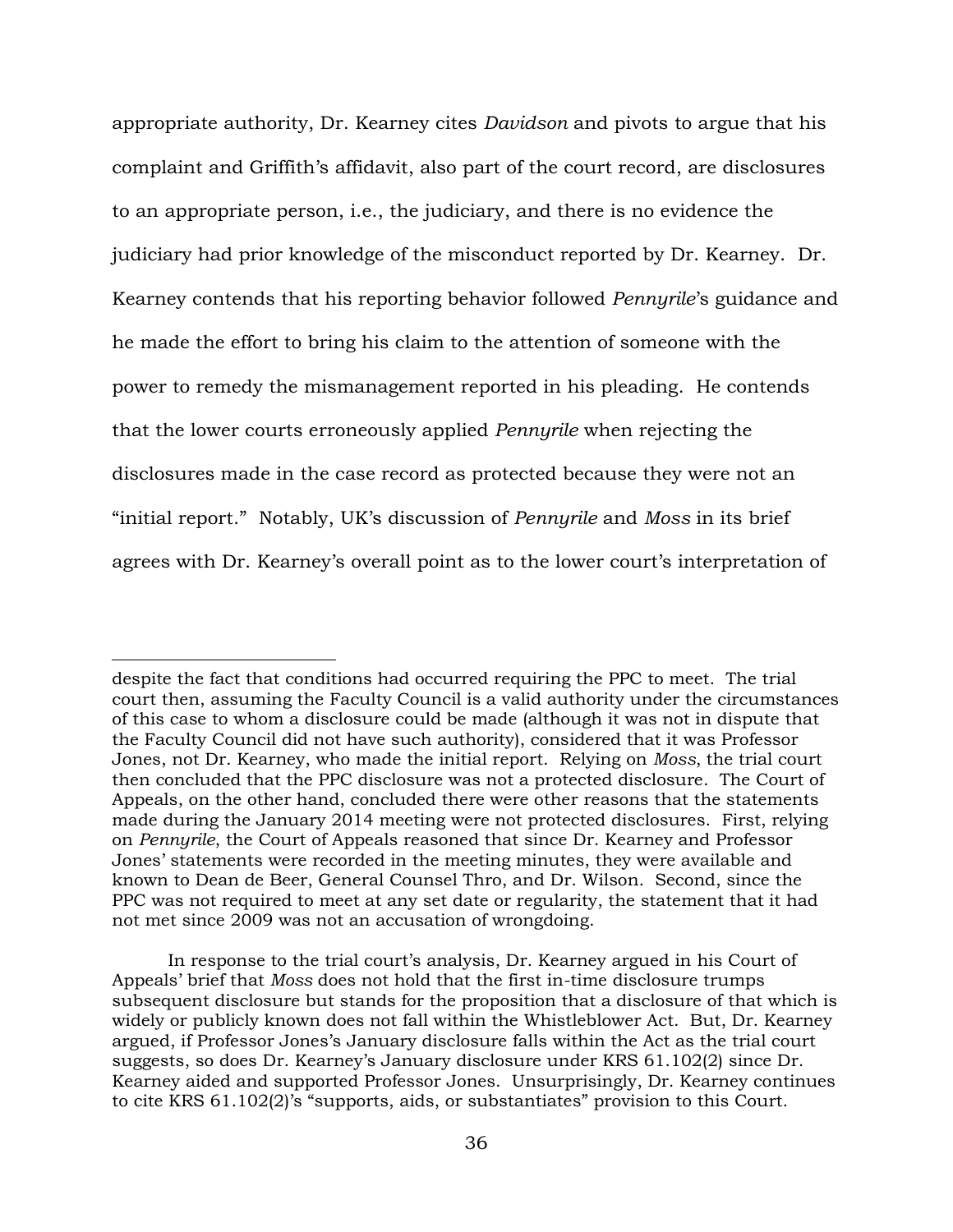appropriate authority, Dr. Kearney cites *Davidson* and pivots to argue that his complaint and Griffith's affidavit, also part of the court record, are disclosures to an appropriate person, i.e., the judiciary, and there is no evidence the judiciary had prior knowledge of the misconduct reported by Dr. Kearney. Dr. Kearney contends that his reporting behavior followed *Pennyrile*'s guidance and he made the effort to bring his claim to the attention of someone with the power to remedy the mismanagement reported in his pleading. He contends that the lower courts erroneously applied *Pennyrile* when rejecting the disclosures made in the case record as protected because they were not an "initial report." Notably, UK's discussion of *Pennyrile* and *Moss* in its brief agrees with Dr. Kearney's overall point as to the lower court's interpretation of

despite the fact that conditions had occurred requiring the PPC to meet. The trial court then, assuming the Faculty Council is a valid authority under the circumstances of this case to whom a disclosure could be made (although it was not in dispute that the Faculty Council did not have such authority), considered that it was Professor Jones, not Dr. Kearney, who made the initial report. Relying on *Moss*, the trial court then concluded that the PPC disclosure was not a protected disclosure. The Court of Appeals, on the other hand, concluded there were other reasons that the statements made during the January 2014 meeting were not protected disclosures. First, relying on *Pennyrile*, the Court of Appeals reasoned that since Dr. Kearney and Professor Jones' statements were recorded in the meeting minutes, they were available and known to Dean de Beer, General Counsel Thro, and Dr. Wilson. Second, since the PPC was not required to meet at any set date or regularity, the statement that it had not met since 2009 was not an accusation of wrongdoing.

In response to the trial court's analysis, Dr. Kearney argued in his Court of Appeals' brief that *Moss* does not hold that the first in-time disclosure trumps subsequent disclosure but stands for the proposition that a disclosure of that which is widely or publicly known does not fall within the Whistleblower Act. But, Dr. Kearney argued, if Professor Jones's January disclosure falls within the Act as the trial court suggests, so does Dr. Kearney's January disclosure under KRS 61.102(2) since Dr. Kearney aided and supported Professor Jones. Unsurprisingly, Dr. Kearney continues to cite KRS 61.102(2)'s "supports, aids, or substantiates" provision to this Court.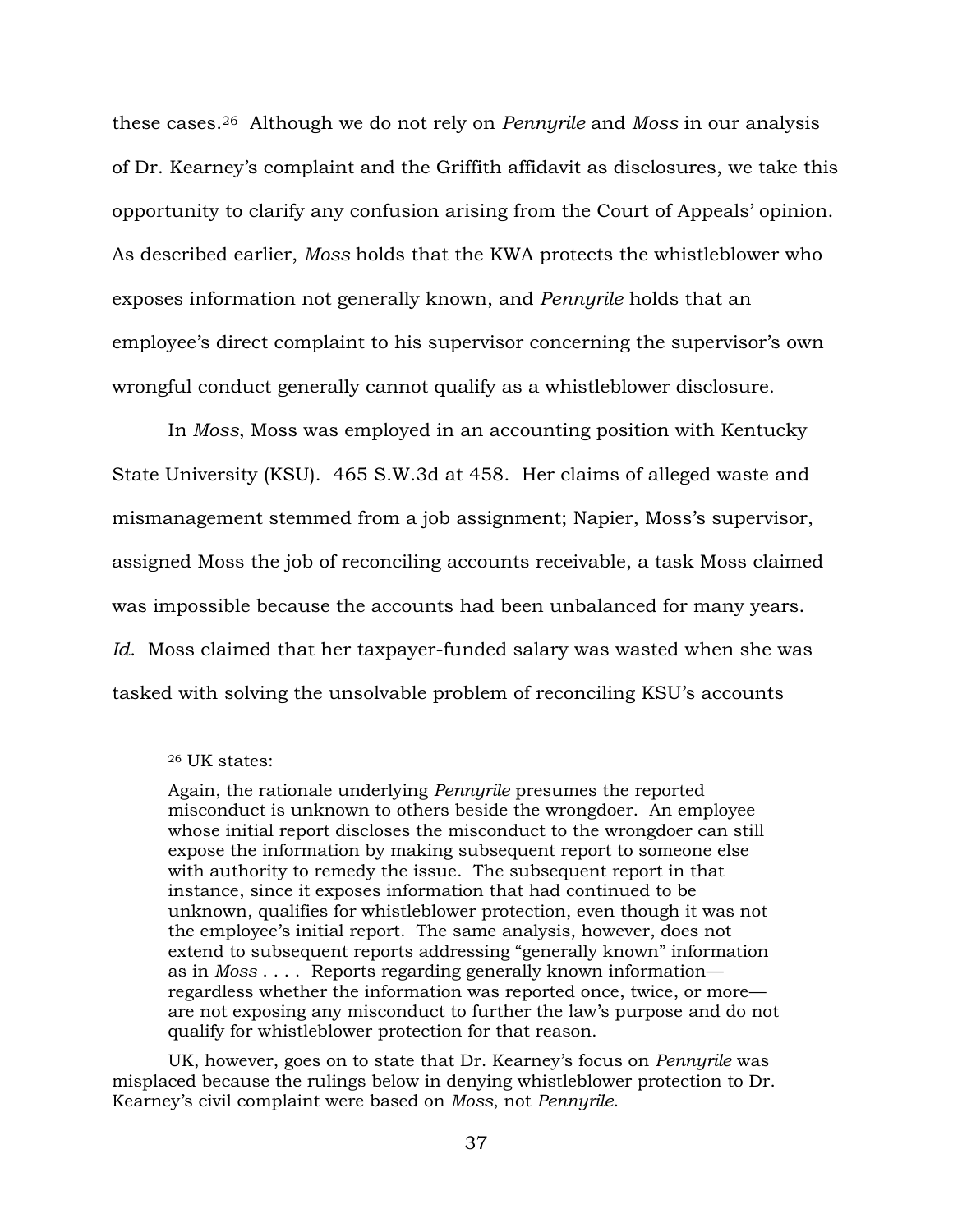these cases.26 Although we do not rely on *Pennyrile* and *Moss* in our analysis of Dr. Kearney's complaint and the Griffith affidavit as disclosures, we take this opportunity to clarify any confusion arising from the Court of Appeals' opinion. As described earlier, *Moss* holds that the KWA protects the whistleblower who exposes information not generally known, and *Pennyrile* holds that an employee's direct complaint to his supervisor concerning the supervisor's own wrongful conduct generally cannot qualify as a whistleblower disclosure.

In *Moss*, Moss was employed in an accounting position with Kentucky State University (KSU). 465 S.W.3d at 458. Her claims of alleged waste and mismanagement stemmed from a job assignment; Napier, Moss's supervisor, assigned Moss the job of reconciling accounts receivable, a task Moss claimed was impossible because the accounts had been unbalanced for many years. *Id*. Moss claimed that her taxpayer-funded salary was wasted when she was tasked with solving the unsolvable problem of reconciling KSU's accounts

 $\overline{a}$ 

UK, however, goes on to state that Dr. Kearney's focus on *Pennyrile* was misplaced because the rulings below in denying whistleblower protection to Dr. Kearney's civil complaint were based on *Moss*, not *Pennyrile*.

<sup>26</sup> UK states:

Again, the rationale underlying *Pennyrile* presumes the reported misconduct is unknown to others beside the wrongdoer. An employee whose initial report discloses the misconduct to the wrongdoer can still expose the information by making subsequent report to someone else with authority to remedy the issue. The subsequent report in that instance, since it exposes information that had continued to be unknown, qualifies for whistleblower protection, even though it was not the employee's initial report. The same analysis, however, does not extend to subsequent reports addressing "generally known" information as in *Moss* . . . . Reports regarding generally known information regardless whether the information was reported once, twice, or more are not exposing any misconduct to further the law's purpose and do not qualify for whistleblower protection for that reason.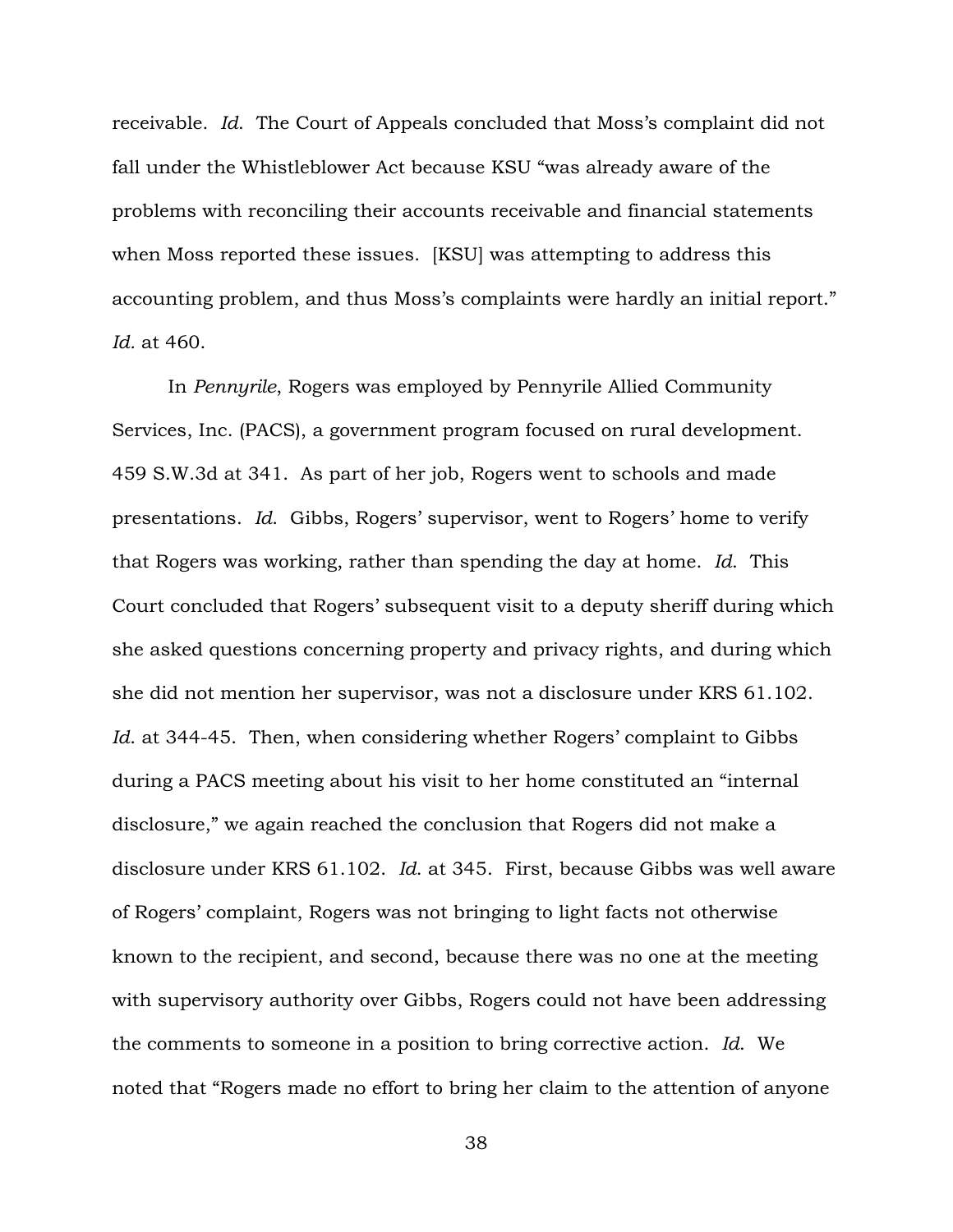receivable. *Id*. The Court of Appeals concluded that Moss's complaint did not fall under the Whistleblower Act because KSU "was already aware of the problems with reconciling their accounts receivable and financial statements when Moss reported these issues. [KSU] was attempting to address this accounting problem, and thus Moss's complaints were hardly an initial report." *Id.* at 460.

In *Pennyrile*, Rogers was employed by Pennyrile Allied Community Services, Inc. (PACS), a government program focused on rural development. 459 S.W.3d at 341. As part of her job, Rogers went to schools and made presentations. *Id*. Gibbs, Rogers' supervisor, went to Rogers' home to verify that Rogers was working, rather than spending the day at home. *Id*. This Court concluded that Rogers' subsequent visit to a deputy sheriff during which she asked questions concerning property and privacy rights, and during which she did not mention her supervisor, was not a disclosure under KRS 61.102. *Id*. at 344-45. Then, when considering whether Rogers' complaint to Gibbs during a PACS meeting about his visit to her home constituted an "internal disclosure," we again reached the conclusion that Rogers did not make a disclosure under KRS 61.102. *Id*. at 345. First, because Gibbs was well aware of Rogers' complaint, Rogers was not bringing to light facts not otherwise known to the recipient, and second, because there was no one at the meeting with supervisory authority over Gibbs, Rogers could not have been addressing the comments to someone in a position to bring corrective action. *Id*. We noted that "Rogers made no effort to bring her claim to the attention of anyone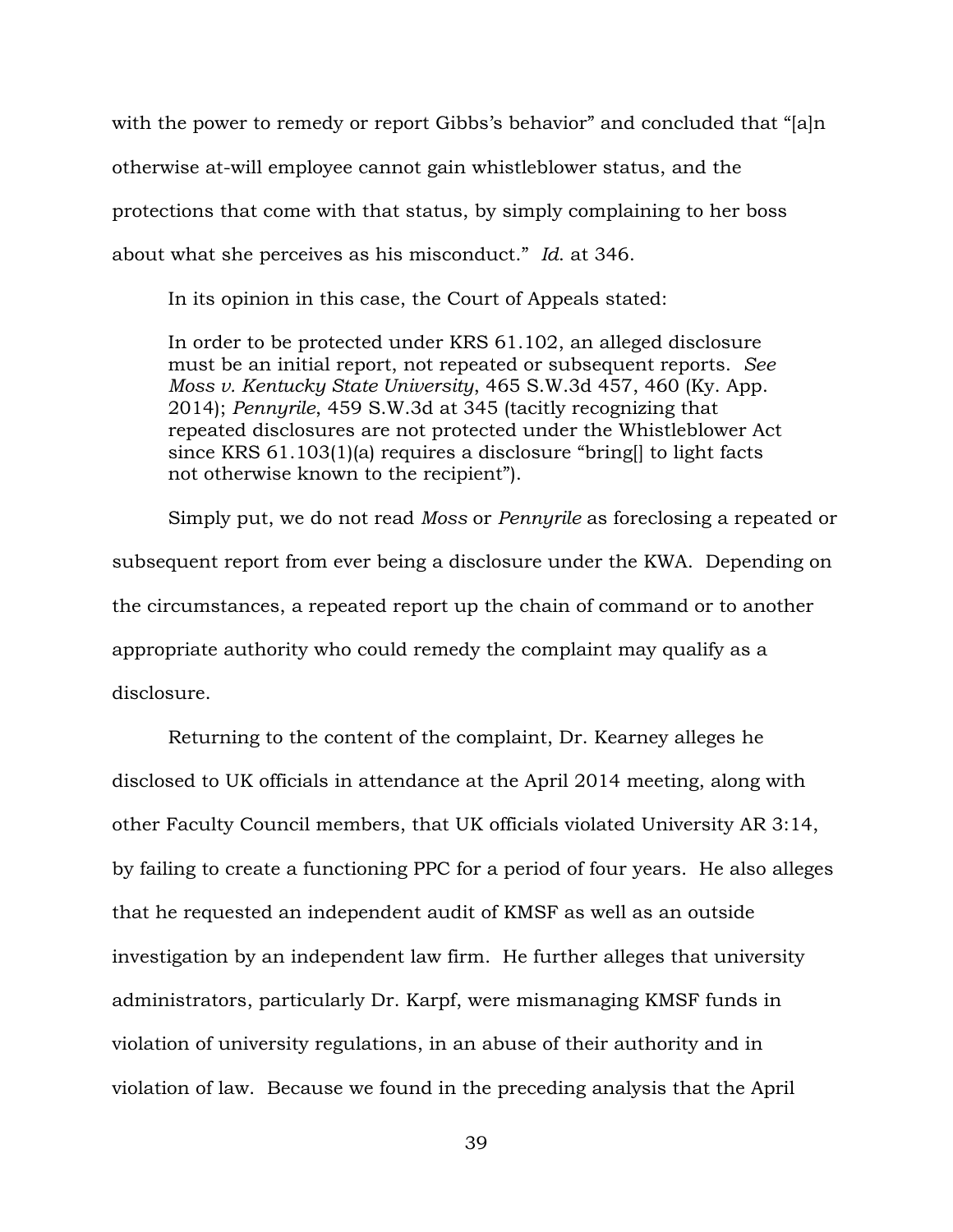with the power to remedy or report Gibbs's behavior" and concluded that "[a]n otherwise at-will employee cannot gain whistleblower status, and the protections that come with that status, by simply complaining to her boss about what she perceives as his misconduct." *Id*. at 346.

In its opinion in this case, the Court of Appeals stated:

In order to be protected under KRS 61.102, an alleged disclosure must be an initial report, not repeated or subsequent reports. *See Moss v. Kentucky State University*, 465 S.W.3d 457, 460 (Ky. App. 2014); *Pennyrile*, 459 S.W.3d at 345 (tacitly recognizing that repeated disclosures are not protected under the Whistleblower Act since KRS 61.103(1)(a) requires a disclosure "bring[] to light facts not otherwise known to the recipient").

Simply put, we do not read *Moss* or *Pennyrile* as foreclosing a repeated or subsequent report from ever being a disclosure under the KWA. Depending on the circumstances, a repeated report up the chain of command or to another appropriate authority who could remedy the complaint may qualify as a disclosure.

Returning to the content of the complaint, Dr. Kearney alleges he disclosed to UK officials in attendance at the April 2014 meeting, along with other Faculty Council members, that UK officials violated University AR 3:14, by failing to create a functioning PPC for a period of four years. He also alleges that he requested an independent audit of KMSF as well as an outside investigation by an independent law firm. He further alleges that university administrators, particularly Dr. Karpf, were mismanaging KMSF funds in violation of university regulations, in an abuse of their authority and in violation of law. Because we found in the preceding analysis that the April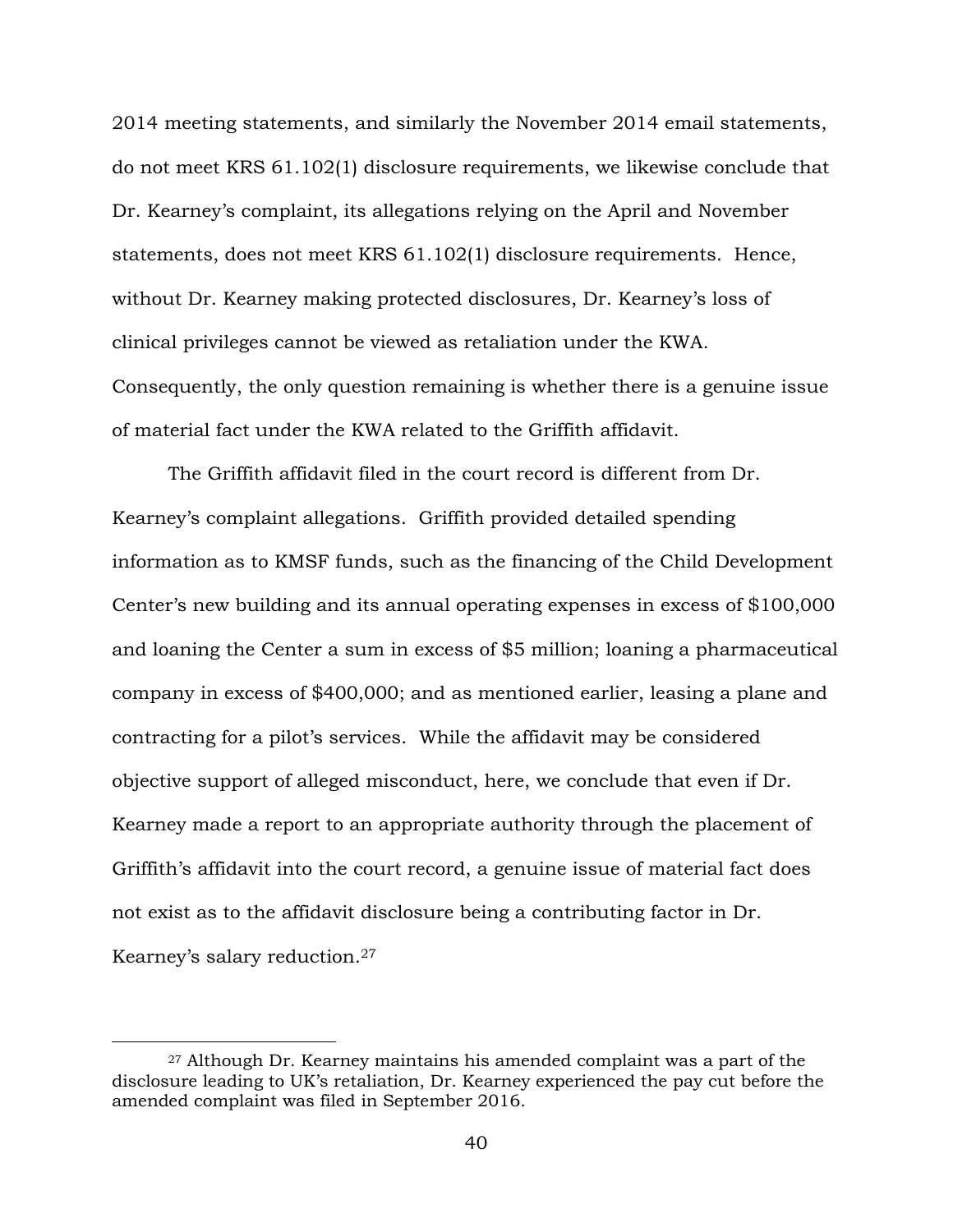2014 meeting statements, and similarly the November 2014 email statements, do not meet KRS 61.102(1) disclosure requirements, we likewise conclude that Dr. Kearney's complaint, its allegations relying on the April and November statements, does not meet KRS 61.102(1) disclosure requirements. Hence, without Dr. Kearney making protected disclosures, Dr. Kearney's loss of clinical privileges cannot be viewed as retaliation under the KWA. Consequently, the only question remaining is whether there is a genuine issue of material fact under the KWA related to the Griffith affidavit.

The Griffith affidavit filed in the court record is different from Dr. Kearney's complaint allegations. Griffith provided detailed spending information as to KMSF funds, such as the financing of the Child Development Center's new building and its annual operating expenses in excess of \$100,000 and loaning the Center a sum in excess of \$5 million; loaning a pharmaceutical company in excess of \$400,000; and as mentioned earlier, leasing a plane and contracting for a pilot's services. While the affidavit may be considered objective support of alleged misconduct, here, we conclude that even if Dr. Kearney made a report to an appropriate authority through the placement of Griffith's affidavit into the court record, a genuine issue of material fact does not exist as to the affidavit disclosure being a contributing factor in Dr. Kearney's salary reduction.<sup>27</sup>

<sup>27</sup> Although Dr. Kearney maintains his amended complaint was a part of the disclosure leading to UK's retaliation, Dr. Kearney experienced the pay cut before the amended complaint was filed in September 2016.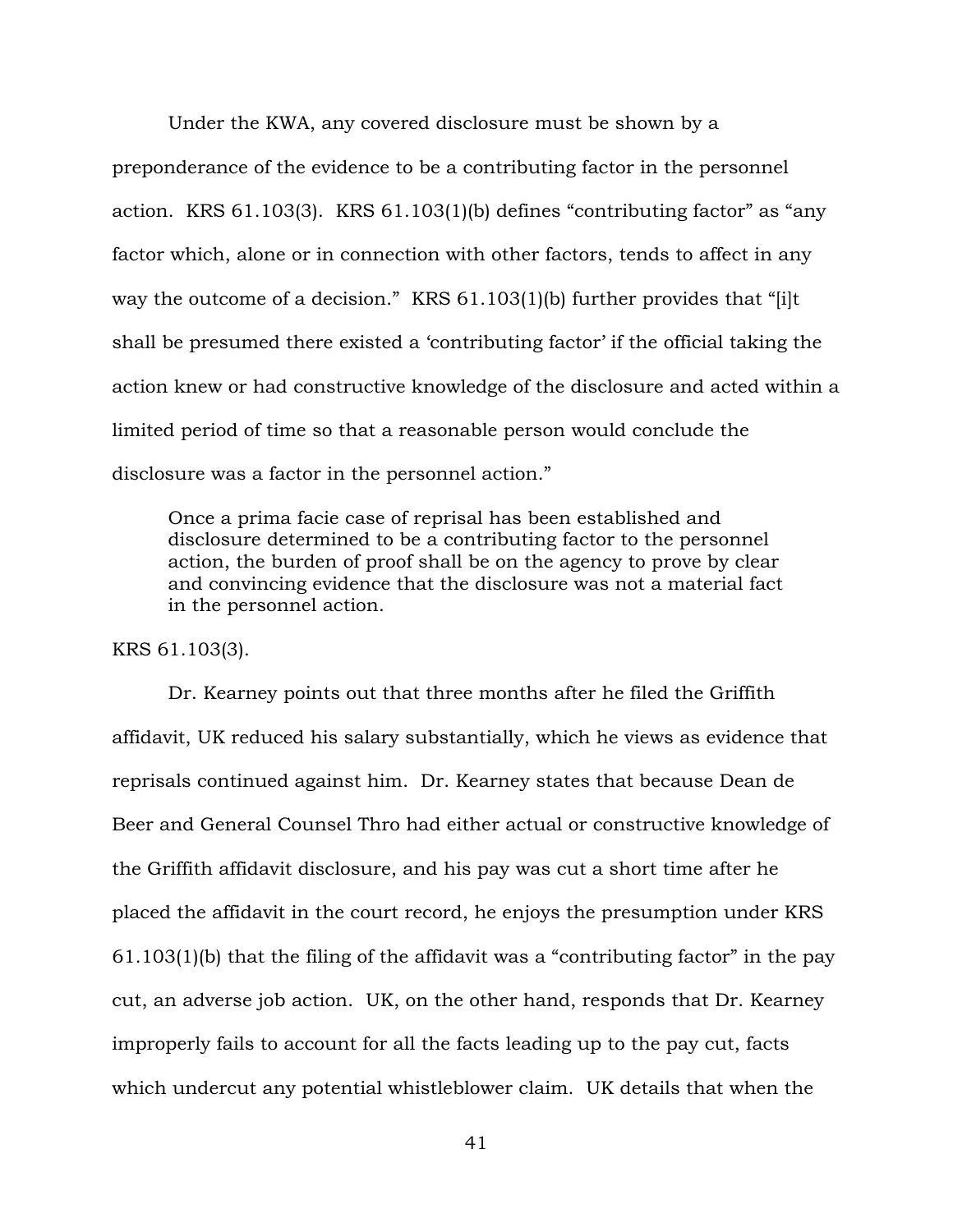Under the KWA, any covered disclosure must be shown by a preponderance of the evidence to be a contributing factor in the personnel action. KRS 61.103(3). KRS 61.103(1)(b) defines "contributing factor" as "any factor which, alone or in connection with other factors, tends to affect in any way the outcome of a decision." KRS 61.103(1)(b) further provides that "[i]t shall be presumed there existed a 'contributing factor' if the official taking the action knew or had constructive knowledge of the disclosure and acted within a limited period of time so that a reasonable person would conclude the disclosure was a factor in the personnel action."

Once a prima facie case of reprisal has been established and disclosure determined to be a contributing factor to the personnel action, the burden of proof shall be on the agency to prove by clear and convincing evidence that the disclosure was not a material fact in the personnel action.

KRS 61.103(3).

Dr. Kearney points out that three months after he filed the Griffith affidavit, UK reduced his salary substantially, which he views as evidence that reprisals continued against him. Dr. Kearney states that because Dean de Beer and General Counsel Thro had either actual or constructive knowledge of the Griffith affidavit disclosure, and his pay was cut a short time after he placed the affidavit in the court record, he enjoys the presumption under KRS 61.103(1)(b) that the filing of the affidavit was a "contributing factor" in the pay cut, an adverse job action. UK, on the other hand, responds that Dr. Kearney improperly fails to account for all the facts leading up to the pay cut, facts which undercut any potential whistleblower claim. UK details that when the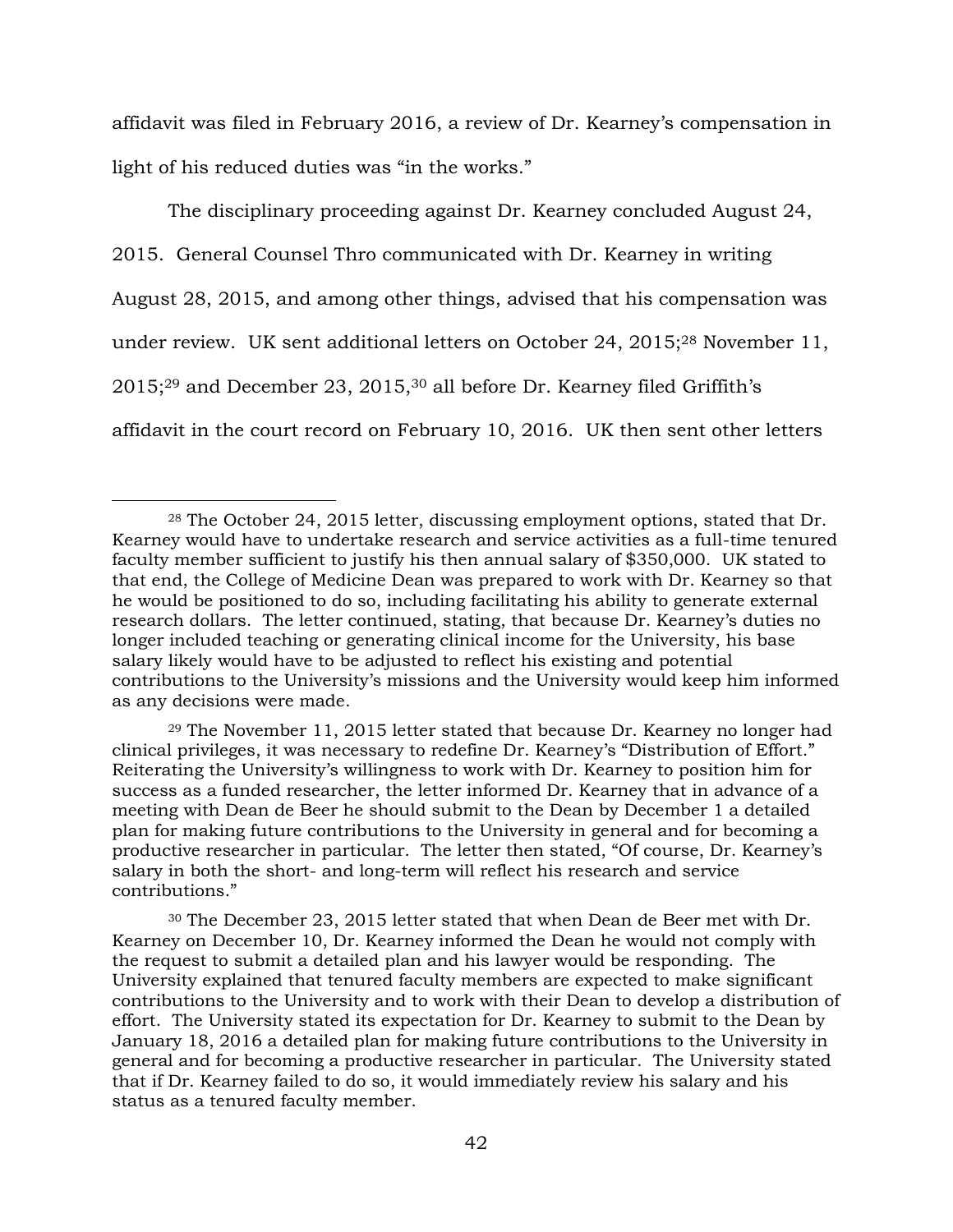affidavit was filed in February 2016, a review of Dr. Kearney's compensation in light of his reduced duties was "in the works."

The disciplinary proceeding against Dr. Kearney concluded August 24, 2015. General Counsel Thro communicated with Dr. Kearney in writing August 28, 2015, and among other things, advised that his compensation was under review. UK sent additional letters on October 24, 2015;<sup>28</sup> November 11, 2015;<sup>29</sup> and December 23, 2015,<sup>30</sup> all before Dr. Kearney filed Griffith's affidavit in the court record on February 10, 2016. UK then sent other letters

 $\overline{a}$ 

<sup>29</sup> The November 11, 2015 letter stated that because Dr. Kearney no longer had clinical privileges, it was necessary to redefine Dr. Kearney's "Distribution of Effort." Reiterating the University's willingness to work with Dr. Kearney to position him for success as a funded researcher, the letter informed Dr. Kearney that in advance of a meeting with Dean de Beer he should submit to the Dean by December 1 a detailed plan for making future contributions to the University in general and for becoming a productive researcher in particular. The letter then stated, "Of course, Dr. Kearney's salary in both the short- and long-term will reflect his research and service contributions."

<sup>30</sup> The December 23, 2015 letter stated that when Dean de Beer met with Dr. Kearney on December 10, Dr. Kearney informed the Dean he would not comply with the request to submit a detailed plan and his lawyer would be responding. The University explained that tenured faculty members are expected to make significant contributions to the University and to work with their Dean to develop a distribution of effort. The University stated its expectation for Dr. Kearney to submit to the Dean by January 18, 2016 a detailed plan for making future contributions to the University in general and for becoming a productive researcher in particular. The University stated that if Dr. Kearney failed to do so, it would immediately review his salary and his status as a tenured faculty member.

<sup>28</sup> The October 24, 2015 letter, discussing employment options, stated that Dr. Kearney would have to undertake research and service activities as a full-time tenured faculty member sufficient to justify his then annual salary of \$350,000. UK stated to that end, the College of Medicine Dean was prepared to work with Dr. Kearney so that he would be positioned to do so, including facilitating his ability to generate external research dollars. The letter continued, stating, that because Dr. Kearney's duties no longer included teaching or generating clinical income for the University, his base salary likely would have to be adjusted to reflect his existing and potential contributions to the University's missions and the University would keep him informed as any decisions were made.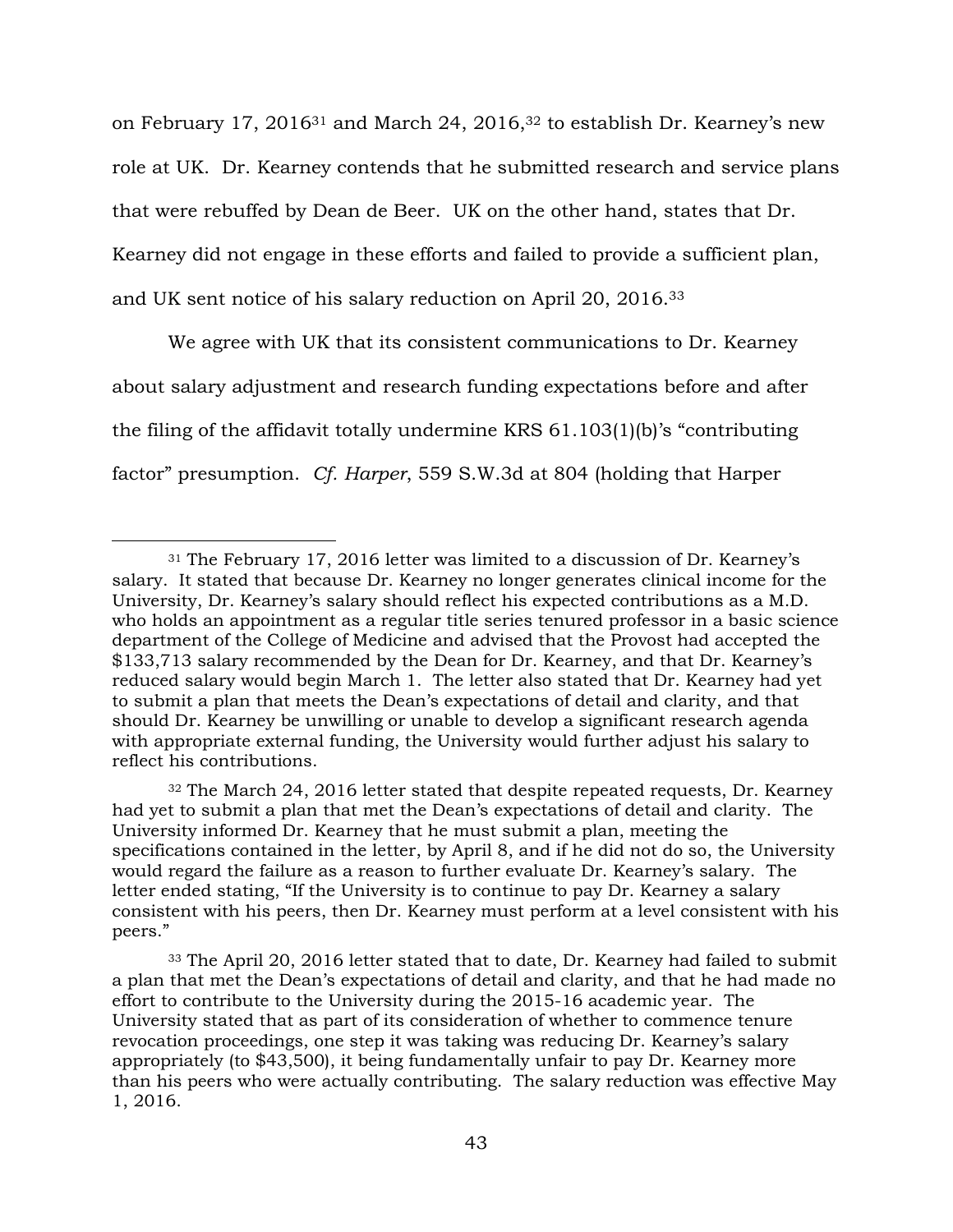on February 17, 2016<sup>31</sup> and March 24, 2016,<sup>32</sup> to establish Dr. Kearney's new role at UK. Dr. Kearney contends that he submitted research and service plans that were rebuffed by Dean de Beer. UK on the other hand, states that Dr. Kearney did not engage in these efforts and failed to provide a sufficient plan, and UK sent notice of his salary reduction on April 20, 2016.<sup>33</sup>

We agree with UK that its consistent communications to Dr. Kearney about salary adjustment and research funding expectations before and after the filing of the affidavit totally undermine KRS 61.103(1)(b)'s "contributing factor" presumption. *Cf. Harper*, 559 S.W.3d at 804 (holding that Harper

<sup>31</sup> The February 17, 2016 letter was limited to a discussion of Dr. Kearney's salary. It stated that because Dr. Kearney no longer generates clinical income for the University, Dr. Kearney's salary should reflect his expected contributions as a M.D. who holds an appointment as a regular title series tenured professor in a basic science department of the College of Medicine and advised that the Provost had accepted the \$133,713 salary recommended by the Dean for Dr. Kearney, and that Dr. Kearney's reduced salary would begin March 1. The letter also stated that Dr. Kearney had yet to submit a plan that meets the Dean's expectations of detail and clarity, and that should Dr. Kearney be unwilling or unable to develop a significant research agenda with appropriate external funding, the University would further adjust his salary to reflect his contributions.

 $32$  The March 24, 2016 letter stated that despite repeated requests, Dr. Kearney had yet to submit a plan that met the Dean's expectations of detail and clarity. The University informed Dr. Kearney that he must submit a plan, meeting the specifications contained in the letter, by April 8, and if he did not do so, the University would regard the failure as a reason to further evaluate Dr. Kearney's salary. The letter ended stating, "If the University is to continue to pay Dr. Kearney a salary consistent with his peers, then Dr. Kearney must perform at a level consistent with his peers."

<sup>33</sup> The April 20, 2016 letter stated that to date, Dr. Kearney had failed to submit a plan that met the Dean's expectations of detail and clarity, and that he had made no effort to contribute to the University during the 2015-16 academic year. The University stated that as part of its consideration of whether to commence tenure revocation proceedings, one step it was taking was reducing Dr. Kearney's salary appropriately (to \$43,500), it being fundamentally unfair to pay Dr. Kearney more than his peers who were actually contributing. The salary reduction was effective May 1, 2016.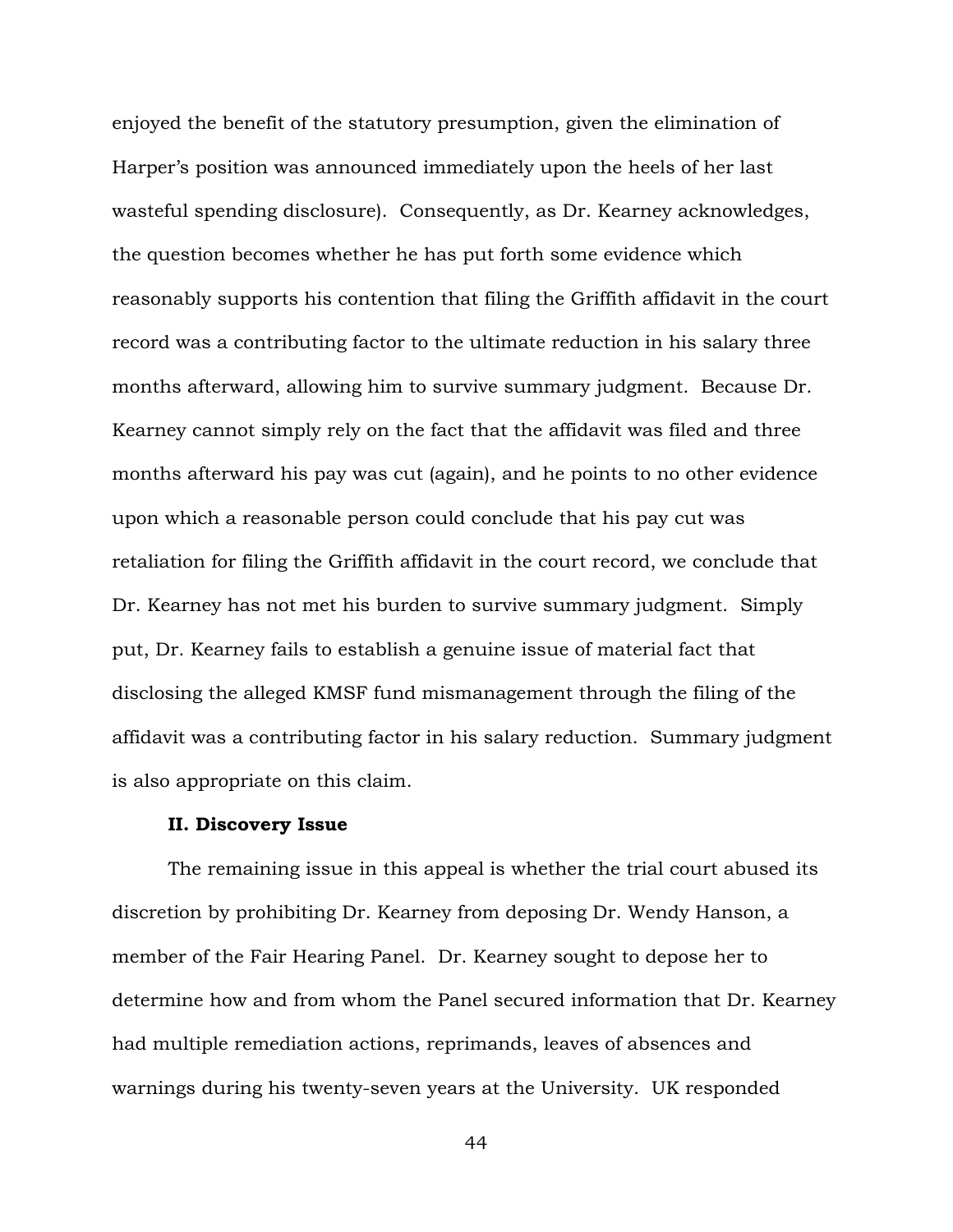enjoyed the benefit of the statutory presumption, given the elimination of Harper's position was announced immediately upon the heels of her last wasteful spending disclosure). Consequently, as Dr. Kearney acknowledges, the question becomes whether he has put forth some evidence which reasonably supports his contention that filing the Griffith affidavit in the court record was a contributing factor to the ultimate reduction in his salary three months afterward, allowing him to survive summary judgment. Because Dr. Kearney cannot simply rely on the fact that the affidavit was filed and three months afterward his pay was cut (again), and he points to no other evidence upon which a reasonable person could conclude that his pay cut was retaliation for filing the Griffith affidavit in the court record, we conclude that Dr. Kearney has not met his burden to survive summary judgment. Simply put, Dr. Kearney fails to establish a genuine issue of material fact that disclosing the alleged KMSF fund mismanagement through the filing of the affidavit was a contributing factor in his salary reduction. Summary judgment is also appropriate on this claim.

## **II. Discovery Issue**

The remaining issue in this appeal is whether the trial court abused its discretion by prohibiting Dr. Kearney from deposing Dr. Wendy Hanson, a member of the Fair Hearing Panel. Dr. Kearney sought to depose her to determine how and from whom the Panel secured information that Dr. Kearney had multiple remediation actions, reprimands, leaves of absences and warnings during his twenty-seven years at the University. UK responded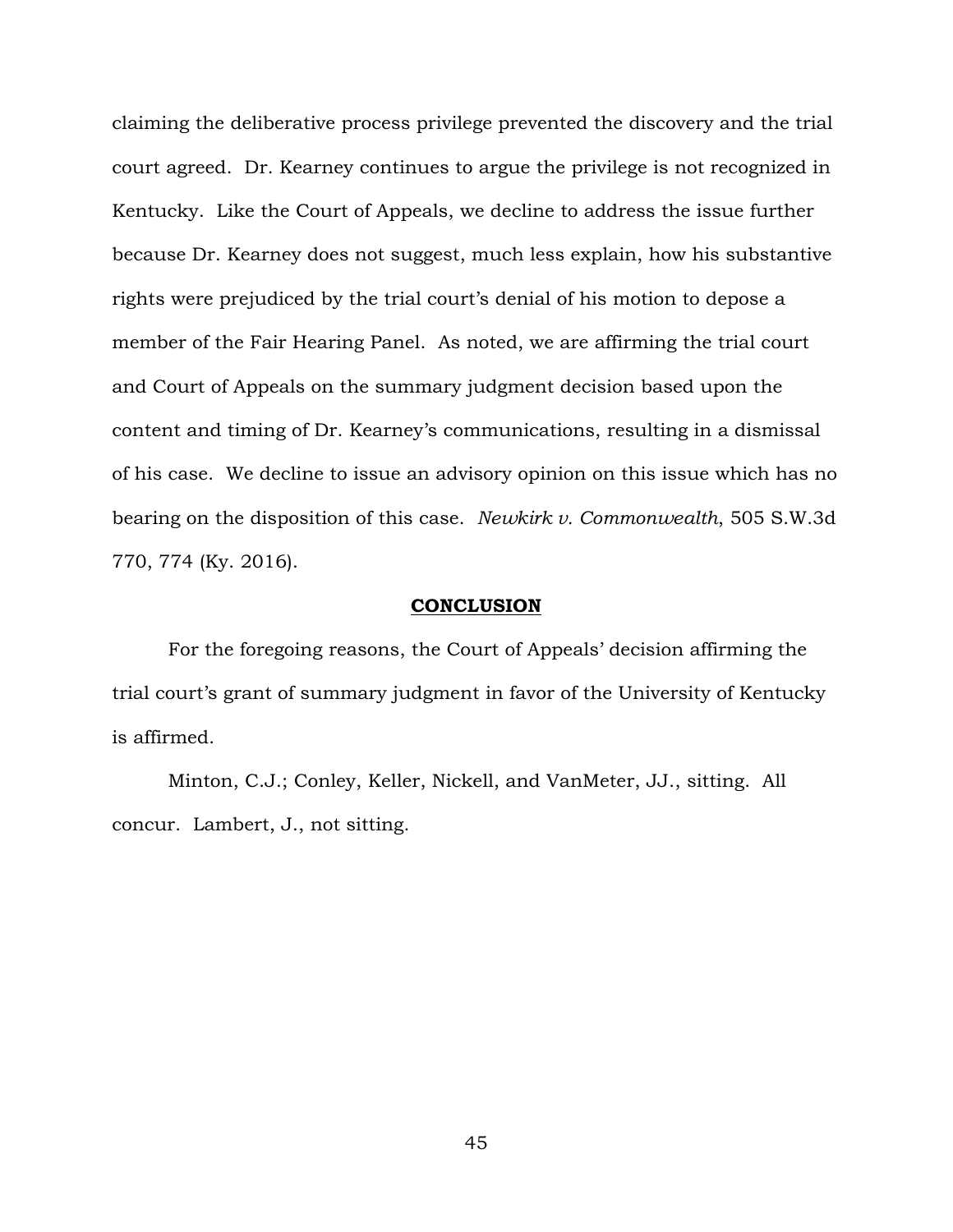claiming the deliberative process privilege prevented the discovery and the trial court agreed. Dr. Kearney continues to argue the privilege is not recognized in Kentucky. Like the Court of Appeals, we decline to address the issue further because Dr. Kearney does not suggest, much less explain, how his substantive rights were prejudiced by the trial court's denial of his motion to depose a member of the Fair Hearing Panel. As noted, we are affirming the trial court and Court of Appeals on the summary judgment decision based upon the content and timing of Dr. Kearney's communications, resulting in a dismissal of his case. We decline to issue an advisory opinion on this issue which has no bearing on the disposition of this case. *Newkirk v. Commonwealth*, 505 S.W.3d 770, 774 (Ky. 2016).

### **CONCLUSION**

For the foregoing reasons, the Court of Appeals' decision affirming the trial court's grant of summary judgment in favor of the University of Kentucky is affirmed.

Minton, C.J.; Conley, Keller, Nickell, and VanMeter, JJ., sitting. All concur. Lambert, J., not sitting.